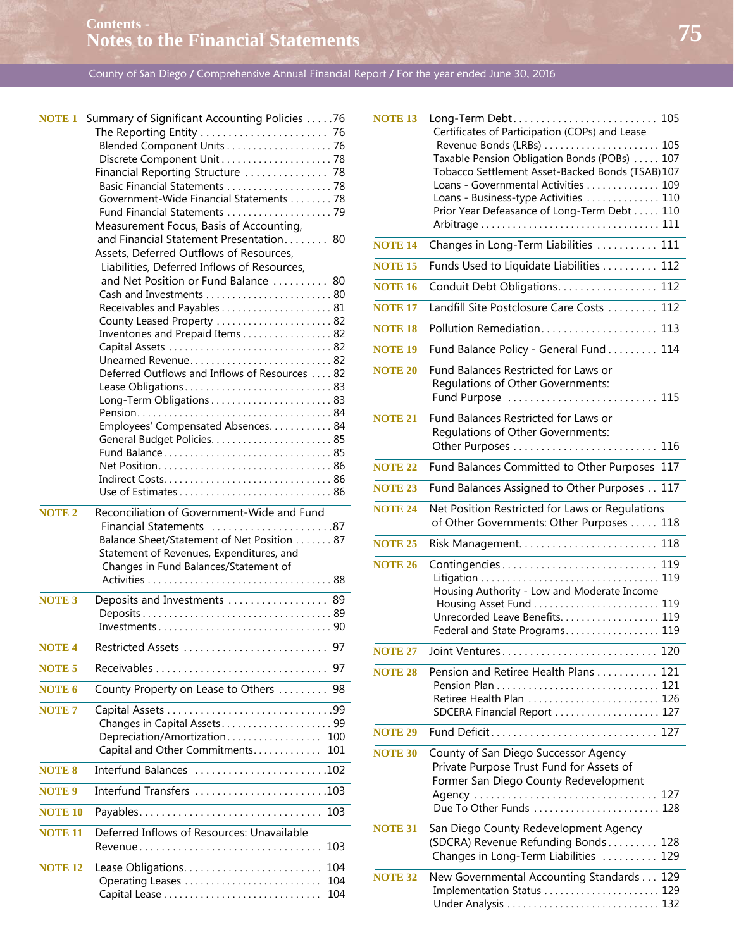| <b>NOTE 1</b>  | Summary of Significant Accounting Policies 76                                          |            |
|----------------|----------------------------------------------------------------------------------------|------------|
|                | The Reporting Entity  76                                                               |            |
|                |                                                                                        |            |
|                |                                                                                        |            |
|                | Financial Reporting Structure  78                                                      |            |
|                | Basic Financial Statements  78                                                         |            |
|                | Government-Wide Financial Statements 78                                                |            |
|                | Fund Financial Statements  79                                                          |            |
|                | Measurement Focus, Basis of Accounting,                                                |            |
|                | and Financial Statement Presentation 80                                                |            |
|                | Assets, Deferred Outflows of Resources,<br>Liabilities, Deferred Inflows of Resources, |            |
|                | and Net Position or Fund Balance  80                                                   |            |
|                |                                                                                        |            |
|                | Receivables and Payables  81                                                           |            |
|                | County Leased Property  82                                                             |            |
|                | Inventories and Prepaid Items 82                                                       |            |
|                |                                                                                        |            |
|                | Unearned Revenue82                                                                     |            |
|                | Deferred Outflows and Inflows of Resources  82                                         |            |
|                | Lease Obligations83                                                                    |            |
|                | Long-Term Obligations83                                                                |            |
|                |                                                                                        |            |
|                | Employees' Compensated Absences. 84                                                    |            |
|                |                                                                                        |            |
|                |                                                                                        |            |
|                |                                                                                        |            |
|                |                                                                                        |            |
|                |                                                                                        |            |
|                |                                                                                        |            |
| <b>NOTE 2</b>  | Reconciliation of Government-Wide and Fund                                             |            |
|                | Financial Statements 87                                                                |            |
|                | Balance Sheet/Statement of Net Position 87                                             |            |
|                | Statement of Revenues, Expenditures, and                                               |            |
|                | Changes in Fund Balances/Statement of                                                  |            |
|                |                                                                                        |            |
|                |                                                                                        |            |
| <b>NOTE 3</b>  | Deposits and Investments  89                                                           |            |
|                |                                                                                        |            |
|                |                                                                                        |            |
| <b>NOTE 4</b>  | Restricted Assets                                                                      | 97         |
| <b>NOTE 5</b>  |                                                                                        | 97         |
| <b>NOTE 6</b>  | County Property on Lease to Others                                                     | 98         |
| <b>NOTE 7</b>  |                                                                                        |            |
|                | Changes in Capital Assets99                                                            |            |
|                | Depreciation/Amortization                                                              | 100        |
|                | Capital and Other Commitments.                                                         | 101        |
| <b>NOTE 8</b>  | Interfund Balances                                                                     |            |
| <b>NOTE 9</b>  | Interfund Transfers 103                                                                |            |
| <b>NOTE 10</b> |                                                                                        | 103        |
| <b>NOTE 11</b> | Deferred Inflows of Resources: Unavailable                                             |            |
|                | Revenue                                                                                | 103        |
|                |                                                                                        |            |
| <b>NOTE 12</b> |                                                                                        | 104        |
|                |                                                                                        | 104<br>104 |

| <b>NOTE 13</b> | Long-Term Debt 105<br>Certificates of Participation (COPs) and Lease<br>Taxable Pension Obligation Bonds (POBs)  107<br>Tobacco Settlement Asset-Backed Bonds (TSAB)107<br>Loans - Governmental Activities 109<br>Loans - Business-type Activities  110<br>Prior Year Defeasance of Long-Term Debt 110 |
|----------------|--------------------------------------------------------------------------------------------------------------------------------------------------------------------------------------------------------------------------------------------------------------------------------------------------------|
| <b>NOTE 14</b> | Changes in Long-Term Liabilities  111                                                                                                                                                                                                                                                                  |
| <b>NOTE 15</b> | Funds Used to Liquidate Liabilities 112                                                                                                                                                                                                                                                                |
| <b>NOTE 16</b> | Conduit Debt Obligations 112                                                                                                                                                                                                                                                                           |
| <b>NOTE 17</b> | Landfill Site Postclosure Care Costs  112                                                                                                                                                                                                                                                              |
| <b>NOTE 18</b> | Pollution Remediation 113                                                                                                                                                                                                                                                                              |
| <b>NOTE 19</b> | Fund Balance Policy - General Fund 114                                                                                                                                                                                                                                                                 |
| <b>NOTE 20</b> | <b>Fund Balances Restricted for Laws or</b>                                                                                                                                                                                                                                                            |
|                | Regulations of Other Governments:<br>Fund Purpose  115                                                                                                                                                                                                                                                 |
| <b>NOTE 21</b> | Fund Balances Restricted for Laws or                                                                                                                                                                                                                                                                   |
|                | Regulations of Other Governments:                                                                                                                                                                                                                                                                      |
|                |                                                                                                                                                                                                                                                                                                        |
| <b>NOTE 22</b> | Fund Balances Committed to Other Purposes<br>117                                                                                                                                                                                                                                                       |
| <b>NOTE 23</b> | Fund Balances Assigned to Other Purposes 117                                                                                                                                                                                                                                                           |
| <b>NOTE 24</b> | Net Position Restricted for Laws or Regulations<br>of Other Governments: Other Purposes 118                                                                                                                                                                                                            |
| <b>NOTE 25</b> | <u> 1989 - Johann Barn, mars an t-Amerikaansk kommunister (</u>                                                                                                                                                                                                                                        |
| <b>NOTE 26</b> | Contingencies 119<br>Housing Authority - Low and Moderate Income<br>Unrecorded Leave Benefits. 119<br>Federal and State Programs 119                                                                                                                                                                   |
| <b>NOTE 27</b> | Joint Ventures 120                                                                                                                                                                                                                                                                                     |
| <b>NOTE 28</b> | Pension and Retiree Health Plans 121<br>Retiree Health Plan  126<br>SDCERA Financial Report  127                                                                                                                                                                                                       |
| <b>NOTE 29</b> | Fund Deficit 127                                                                                                                                                                                                                                                                                       |
| <b>NOTE 30</b> | County of San Diego Successor Agency<br>Private Purpose Trust Fund for Assets of<br>Former San Diego County Redevelopment<br>Due To Other Funds  128                                                                                                                                                   |
| <b>NOTE 31</b> | San Diego County Redevelopment Agency<br>(SDCRA) Revenue Refunding Bonds<br>128<br>Changes in Long-Term Liabilities<br>129                                                                                                                                                                             |
| <b>NOTE 32</b> | New Governmental Accounting Standards 129                                                                                                                                                                                                                                                              |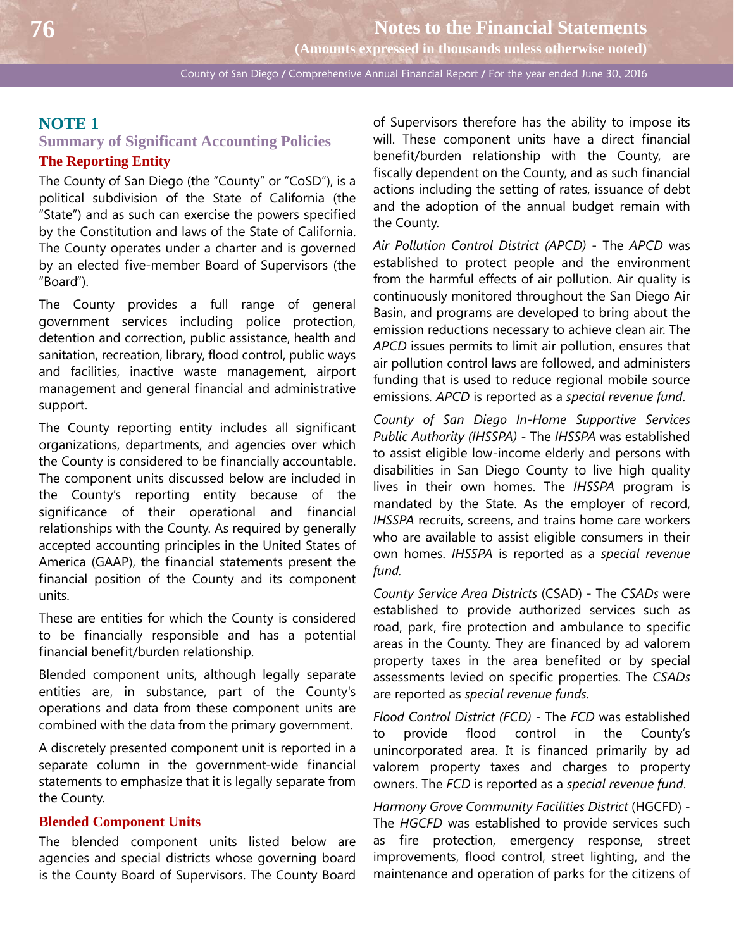### **NOTE 1**

# **Summary of Significant Accounting Policies The Reporting Entity**

The County of San Diego (the "County" or "CoSD"), is a political subdivision of the State of California (the "State") and as such can exercise the powers specified by the Constitution and laws of the State of California. The County operates under a charter and is governed by an elected five-member Board of Supervisors (the "Board").

The County provides a full range of general government services including police protection, detention and correction, public assistance, health and sanitation, recreation, library, flood control, public ways and facilities, inactive waste management, airport management and general financial and administrative support.

The County reporting entity includes all significant organizations, departments, and agencies over which the County is considered to be financially accountable. The component units discussed below are included in the County's reporting entity because of the significance of their operational and financial relationships with the County. As required by generally accepted accounting principles in the United States of America (GAAP), the financial statements present the financial position of the County and its component units.

These are entities for which the County is considered to be financially responsible and has a potential financial benefit/burden relationship.

Blended component units, although legally separate entities are, in substance, part of the County's operations and data from these component units are combined with the data from the primary government.

A discretely presented component unit is reported in a separate column in the government-wide financial statements to emphasize that it is legally separate from the County.

#### **Blended Component Units**

The blended component units listed below are agencies and special districts whose governing board is the County Board of Supervisors. The County Board

of Supervisors therefore has the ability to impose its will. These component units have a direct financial benefit/burden relationship with the County, are fiscally dependent on the County, and as such financial actions including the setting of rates, issuance of debt and the adoption of the annual budget remain with the County.

*Air Pollution Control District (APCD)* - The *APCD* was established to protect people and the environment from the harmful effects of air pollution. Air quality is continuously monitored throughout the San Diego Air Basin, and programs are developed to bring about the emission reductions necessary to achieve clean air. The *APCD* issues permits to limit air pollution, ensures that air pollution control laws are followed, and administers funding that is used to reduce regional mobile source emissions*. APCD* is reported as a *special revenue fund*.

*County of San Diego In-Home Supportive Services Public Authority (IHSSPA)* - The *IHSSPA* was established to assist eligible low-income elderly and persons with disabilities in San Diego County to live high quality lives in their own homes. The *IHSSPA* program is mandated by the State. As the employer of record, *IHSSPA* recruits, screens, and trains home care workers who are available to assist eligible consumers in their own homes. *IHSSPA* is reported as a *special revenue fund.* 

*County Service Area Districts* (CSAD) - The *CSADs* were established to provide authorized services such as road, park, fire protection and ambulance to specific areas in the County. They are financed by ad valorem property taxes in the area benefited or by special assessments levied on specific properties. The *CSADs* are reported as *special revenue funds*.

*Flood Control District (FCD)* - The *FCD* was established to provide flood control in the County's unincorporated area. It is financed primarily by ad valorem property taxes and charges to property owners. The *FCD* is reported as a *special revenue fund*.

*Harmony Grove Community Facilities District* (HGCFD) - The *HGCFD* was established to provide services such as fire protection, emergency response, street improvements, flood control, street lighting, and the maintenance and operation of parks for the citizens of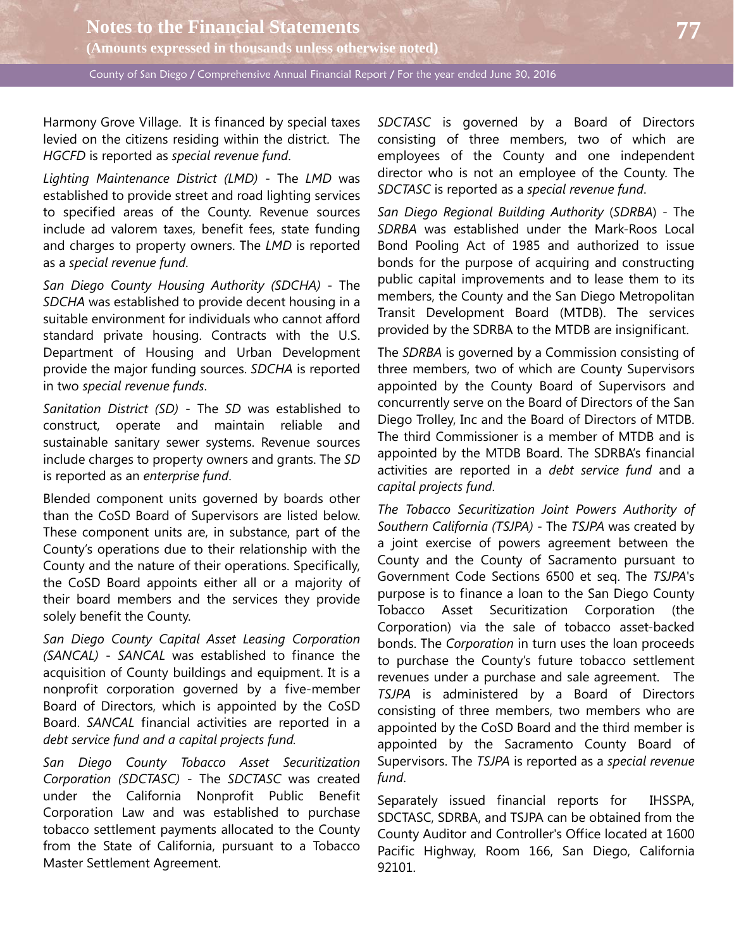Harmony Grove Village. It is financed by special taxes levied on the citizens residing within the district. The *HGCFD* is reported as *special revenue fund*.

*Lighting Maintenance District (LMD)* - The *LMD* was established to provide street and road lighting services to specified areas of the County. Revenue sources include ad valorem taxes, benefit fees, state funding and charges to property owners. The *LMD* is reported as a *special revenue fund*.

*San Diego County Housing Authority (SDCHA)* - The *SDCHA* was established to provide decent housing in a suitable environment for individuals who cannot afford standard private housing. Contracts with the U.S. Department of Housing and Urban Development provide the major funding sources. *SDCHA* is reported in two *special revenue funds*.

*Sanitation District (SD)* - The *SD* was established to construct, operate and maintain reliable and sustainable sanitary sewer systems. Revenue sources include charges to property owners and grants. The *SD* is reported as an *enterprise fund*.

Blended component units governed by boards other than the CoSD Board of Supervisors are listed below. These component units are, in substance, part of the County's operations due to their relationship with the County and the nature of their operations. Specifically, the CoSD Board appoints either all or a majority of their board members and the services they provide solely benefit the County.

*San Diego County Capital Asset Leasing Corporation (SANCAL)* - *SANCAL* was established to finance the acquisition of County buildings and equipment. It is a nonprofit corporation governed by a five-member Board of Directors, which is appointed by the CoSD Board. *SANCAL* financial activities are reported in a *debt service fund and a capital projects fund.*

*San Diego County Tobacco Asset Securitization Corporation (SDCTASC)* - The *SDCTASC* was created under the California Nonprofit Public Benefit Corporation Law and was established to purchase tobacco settlement payments allocated to the County from the State of California, pursuant to a Tobacco Master Settlement Agreement.

*SDCTASC* is governed by a Board of Directors consisting of three members, two of which are employees of the County and one independent director who is not an employee of the County. The *SDCTASC* is reported as a *special revenue fund*.

*San Diego Regional Building Authority* (*SDRBA*) - The *SDRBA* was established under the Mark-Roos Local Bond Pooling Act of 1985 and authorized to issue bonds for the purpose of acquiring and constructing public capital improvements and to lease them to its members, the County and the San Diego Metropolitan Transit Development Board (MTDB). The services provided by the SDRBA to the MTDB are insignificant.

The *SDRBA* is governed by a Commission consisting of three members, two of which are County Supervisors appointed by the County Board of Supervisors and concurrently serve on the Board of Directors of the San Diego Trolley, Inc and the Board of Directors of MTDB. The third Commissioner is a member of MTDB and is appointed by the MTDB Board. The SDRBA's financial activities are reported in a *debt service fund* and a *capital projects fund*.

*The Tobacco Securitization Joint Powers Authority of Southern California (TSJPA)* - The *TSJPA* was created by a joint exercise of powers agreement between the County and the County of Sacramento pursuant to Government Code Sections 6500 et seq. The *TSJPA*'s purpose is to finance a loan to the San Diego County Tobacco Asset Securitization Corporation (the Corporation) via the sale of tobacco asset-backed bonds. The *Corporation* in turn uses the loan proceeds to purchase the County's future tobacco settlement revenues under a purchase and sale agreement. The *TSJPA* is administered by a Board of Directors consisting of three members, two members who are appointed by the CoSD Board and the third member is appointed by the Sacramento County Board of Supervisors. The *TSJPA* is reported as a *special revenue fund*.

Separately issued financial reports for IHSSPA, SDCTASC, SDRBA, and TSJPA can be obtained from the County Auditor and Controller's Office located at 1600 Pacific Highway, Room 166, San Diego, California 92101.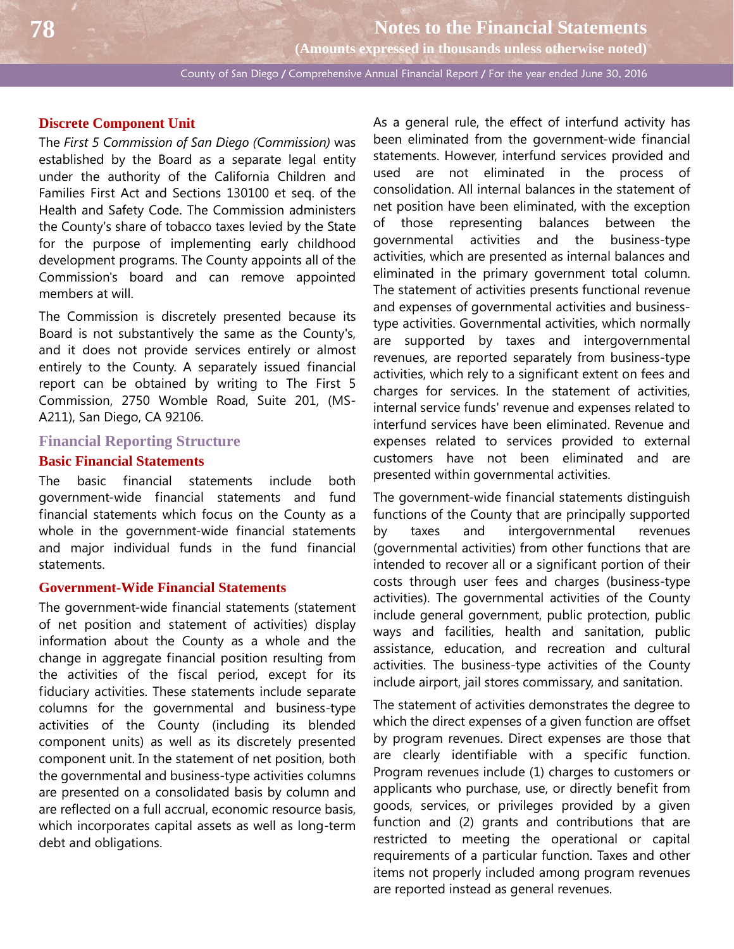#### **Discrete Component Unit**

The *First 5 Commission of San Diego (Commission)* was established by the Board as a separate legal entity under the authority of the California Children and Families First Act and Sections 130100 et seq. of the Health and Safety Code. The Commission administers the County's share of tobacco taxes levied by the State for the purpose of implementing early childhood development programs. The County appoints all of the Commission's board and can remove appointed members at will.

The Commission is discretely presented because its Board is not substantively the same as the County's, and it does not provide services entirely or almost entirely to the County. A separately issued financial report can be obtained by writing to The First 5 Commission, 2750 Womble Road, Suite 201, (MS-A211), San Diego, CA 92106.

### **Financial Reporting Structure**

#### **Basic Financial Statements**

The basic financial statements include both government-wide financial statements and fund financial statements which focus on the County as a whole in the government-wide financial statements and major individual funds in the fund financial statements.

#### **Government-Wide Financial Statements**

The government-wide financial statements (statement of net position and statement of activities) display information about the County as a whole and the change in aggregate financial position resulting from the activities of the fiscal period, except for its fiduciary activities. These statements include separate columns for the governmental and business-type activities of the County (including its blended component units) as well as its discretely presented component unit. In the statement of net position, both the governmental and business-type activities columns are presented on a consolidated basis by column and are reflected on a full accrual, economic resource basis, which incorporates capital assets as well as long-term debt and obligations.

As a general rule, the effect of interfund activity has been eliminated from the government-wide financial statements. However, interfund services provided and used are not eliminated in the process of consolidation. All internal balances in the statement of net position have been eliminated, with the exception of those representing balances between the governmental activities and the business-type activities, which are presented as internal balances and eliminated in the primary government total column. The statement of activities presents functional revenue and expenses of governmental activities and businesstype activities. Governmental activities, which normally are supported by taxes and intergovernmental revenues, are reported separately from business-type activities, which rely to a significant extent on fees and charges for services. In the statement of activities, internal service funds' revenue and expenses related to interfund services have been eliminated. Revenue and expenses related to services provided to external customers have not been eliminated and are presented within governmental activities.

The government-wide financial statements distinguish functions of the County that are principally supported by taxes and intergovernmental revenues (governmental activities) from other functions that are intended to recover all or a significant portion of their costs through user fees and charges (business-type activities). The governmental activities of the County include general government, public protection, public ways and facilities, health and sanitation, public assistance, education, and recreation and cultural activities. The business-type activities of the County include airport, jail stores commissary, and sanitation.

The statement of activities demonstrates the degree to which the direct expenses of a given function are offset by program revenues. Direct expenses are those that are clearly identifiable with a specific function. Program revenues include (1) charges to customers or applicants who purchase, use, or directly benefit from goods, services, or privileges provided by a given function and (2) grants and contributions that are restricted to meeting the operational or capital requirements of a particular function. Taxes and other items not properly included among program revenues are reported instead as general revenues.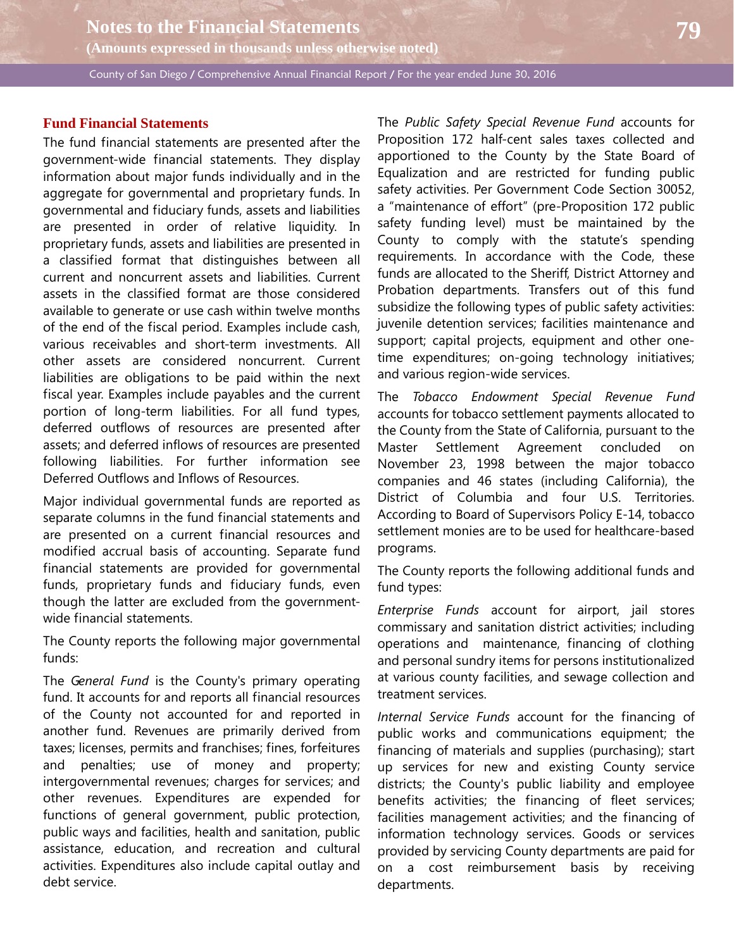#### **Fund Financial Statements**

The fund financial statements are presented after the government-wide financial statements. They display information about major funds individually and in the aggregate for governmental and proprietary funds. In governmental and fiduciary funds, assets and liabilities are presented in order of relative liquidity. In proprietary funds, assets and liabilities are presented in a classified format that distinguishes between all current and noncurrent assets and liabilities. Current assets in the classified format are those considered available to generate or use cash within twelve months of the end of the fiscal period. Examples include cash, various receivables and short-term investments. All other assets are considered noncurrent. Current liabilities are obligations to be paid within the next fiscal year. Examples include payables and the current portion of long-term liabilities. For all fund types, deferred outflows of resources are presented after assets; and deferred inflows of resources are presented following liabilities. For further information see Deferred Outflows and Inflows of Resources.

Major individual governmental funds are reported as separate columns in the fund financial statements and are presented on a current financial resources and modified accrual basis of accounting. Separate fund financial statements are provided for governmental funds, proprietary funds and fiduciary funds, even though the latter are excluded from the governmentwide financial statements.

The County reports the following major governmental funds:

The *General Fund* is the County's primary operating fund. It accounts for and reports all financial resources of the County not accounted for and reported in another fund. Revenues are primarily derived from taxes; licenses, permits and franchises; fines, forfeitures and penalties; use of money and property; intergovernmental revenues; charges for services; and other revenues. Expenditures are expended for functions of general government, public protection, public ways and facilities, health and sanitation, public assistance, education, and recreation and cultural activities. Expenditures also include capital outlay and debt service.

The *Public Safety Special Revenue Fund* accounts for Proposition 172 half-cent sales taxes collected and apportioned to the County by the State Board of Equalization and are restricted for funding public safety activities. Per Government Code Section 30052, a "maintenance of effort" (pre-Proposition 172 public safety funding level) must be maintained by the County to comply with the statute's spending requirements. In accordance with the Code, these funds are allocated to the Sheriff, District Attorney and Probation departments. Transfers out of this fund subsidize the following types of public safety activities: juvenile detention services; facilities maintenance and support; capital projects, equipment and other onetime expenditures; on-going technology initiatives; and various region-wide services.

The *Tobacco Endowment Special Revenue Fund* accounts for tobacco settlement payments allocated to the County from the State of California, pursuant to the Master Settlement Agreement concluded on November 23, 1998 between the major tobacco companies and 46 states (including California), the District of Columbia and four U.S. Territories. According to Board of Supervisors Policy E-14, tobacco settlement monies are to be used for healthcare-based programs.

The County reports the following additional funds and fund types:

*Enterprise Funds* account for airport, jail stores commissary and sanitation district activities; including operations and maintenance, financing of clothing and personal sundry items for persons institutionalized at various county facilities, and sewage collection and treatment services.

*Internal Service Funds* account for the financing of public works and communications equipment; the financing of materials and supplies (purchasing); start up services for new and existing County service districts; the County's public liability and employee benefits activities; the financing of fleet services; facilities management activities; and the financing of information technology services. Goods or services provided by servicing County departments are paid for on a cost reimbursement basis by receiving departments.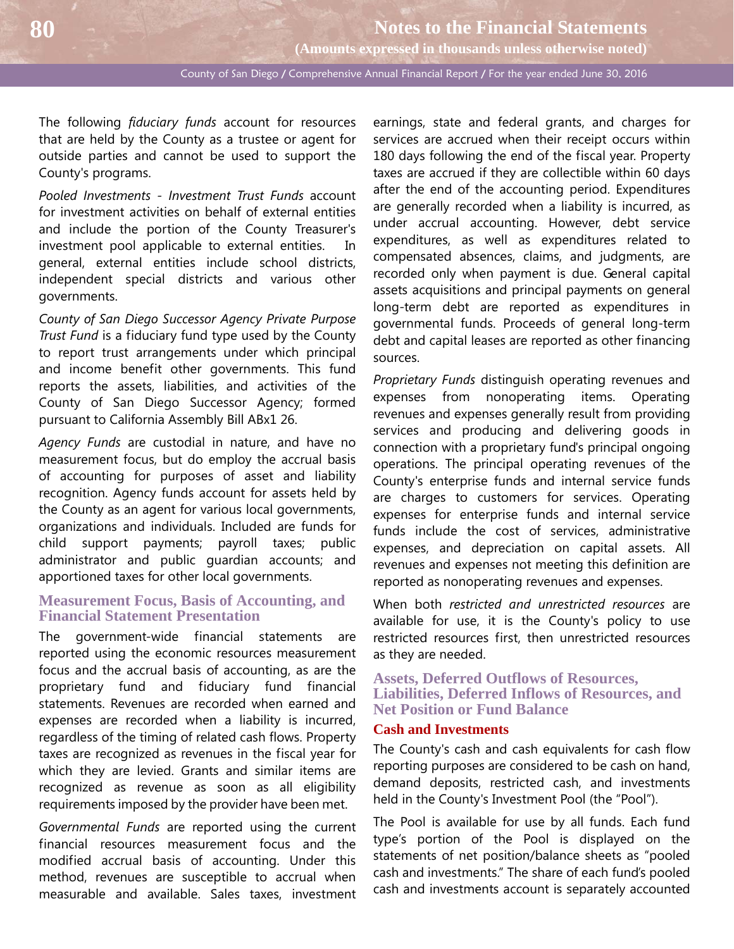The following *fiduciary funds* account for resources that are held by the County as a trustee or agent for outside parties and cannot be used to support the County's programs.

*Pooled Investments - Investment Trust Funds* account for investment activities on behalf of external entities and include the portion of the County Treasurer's investment pool applicable to external entities. In general, external entities include school districts, independent special districts and various other governments.

*County of San Diego Successor Agency Private Purpose Trust Fund* is a fiduciary fund type used by the County to report trust arrangements under which principal and income benefit other governments. This fund reports the assets, liabilities, and activities of the County of San Diego Successor Agency; formed pursuant to California Assembly Bill ABx1 26.

*Agency Funds* are custodial in nature, and have no measurement focus, but do employ the accrual basis of accounting for purposes of asset and liability recognition. Agency funds account for assets held by the County as an agent for various local governments, organizations and individuals. Included are funds for child support payments; payroll taxes; public administrator and public guardian accounts; and apportioned taxes for other local governments.

## **Measurement Focus, Basis of Accounting, and Financial Statement Presentation**

The government-wide financial statements are reported using the economic resources measurement focus and the accrual basis of accounting, as are the proprietary fund and fiduciary fund financial statements. Revenues are recorded when earned and expenses are recorded when a liability is incurred, regardless of the timing of related cash flows. Property taxes are recognized as revenues in the fiscal year for which they are levied. Grants and similar items are recognized as revenue as soon as all eligibility requirements imposed by the provider have been met.

*Governmental Funds* are reported using the current financial resources measurement focus and the modified accrual basis of accounting. Under this method, revenues are susceptible to accrual when measurable and available. Sales taxes, investment

earnings, state and federal grants, and charges for services are accrued when their receipt occurs within 180 days following the end of the fiscal year. Property taxes are accrued if they are collectible within 60 days after the end of the accounting period. Expenditures are generally recorded when a liability is incurred, as under accrual accounting. However, debt service expenditures, as well as expenditures related to compensated absences, claims, and judgments, are recorded only when payment is due. General capital assets acquisitions and principal payments on general long-term debt are reported as expenditures in governmental funds. Proceeds of general long-term debt and capital leases are reported as other financing sources.

*Proprietary Funds* distinguish operating revenues and expenses from nonoperating items. Operating revenues and expenses generally result from providing services and producing and delivering goods in connection with a proprietary fund's principal ongoing operations. The principal operating revenues of the County's enterprise funds and internal service funds are charges to customers for services. Operating expenses for enterprise funds and internal service funds include the cost of services, administrative expenses, and depreciation on capital assets. All revenues and expenses not meeting this definition are reported as nonoperating revenues and expenses.

When both *restricted and unrestricted resources* are available for use, it is the County's policy to use restricted resources first, then unrestricted resources as they are needed.

## **Assets, Deferred Outflows of Resources, Liabilities, Deferred Inflows of Resources, and Net Position or Fund Balance**

#### **Cash and Investments**

The County's cash and cash equivalents for cash flow reporting purposes are considered to be cash on hand, demand deposits, restricted cash, and investments held in the County's Investment Pool (the "Pool").

The Pool is available for use by all funds. Each fund type's portion of the Pool is displayed on the statements of net position/balance sheets as "pooled cash and investments." The share of each fund's pooled cash and investments account is separately accounted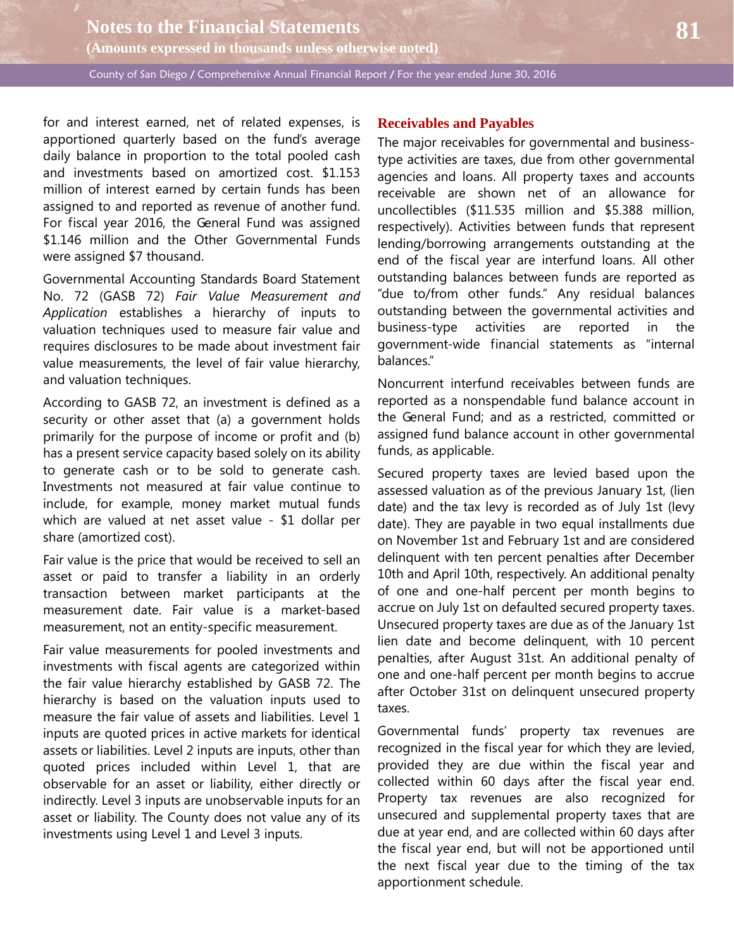County of San Diego / Comprehensive Annual Financial Report / For the year ended June 30, 2016

for and interest earned, net of related expenses, is apportioned quarterly based on the fund's average daily balance in proportion to the total pooled cash and investments based on amortized cost. \$1.153 million of interest earned by certain funds has been assigned to and reported as revenue of another fund. For fiscal year 2016, the General Fund was assigned \$1.146 million and the Other Governmental Funds were assigned \$7 thousand.

Governmental Accounting Standards Board Statement No. 72 (GASB 72) *Fair Value Measurement and Application* establishes a hierarchy of inputs to valuation techniques used to measure fair value and requires disclosures to be made about investment fair value measurements, the level of fair value hierarchy, and valuation techniques.

According to GASB 72, an investment is defined as a security or other asset that (a) a government holds primarily for the purpose of income or profit and (b) has a present service capacity based solely on its ability to generate cash or to be sold to generate cash. Investments not measured at fair value continue to include, for example, money market mutual funds which are valued at net asset value - \$1 dollar per share (amortized cost).

Fair value is the price that would be received to sell an asset or paid to transfer a liability in an orderly transaction between market participants at the measurement date. Fair value is a market-based measurement, not an entity-specific measurement.

Fair value measurements for pooled investments and investments with fiscal agents are categorized within the fair value hierarchy established by GASB 72. The hierarchy is based on the valuation inputs used to measure the fair value of assets and liabilities. Level 1 inputs are quoted prices in active markets for identical assets or liabilities. Level 2 inputs are inputs, other than quoted prices included within Level 1, that are observable for an asset or liability, either directly or indirectly. Level 3 inputs are unobservable inputs for an asset or liability. The County does not value any of its investments using Level 1 and Level 3 inputs.

#### **Receivables and Payables**

The major receivables for governmental and businesstype activities are taxes, due from other governmental agencies and loans. All property taxes and accounts receivable are shown net of an allowance for uncollectibles (\$11.535 million and \$5.388 million, respectively). Activities between funds that represent lending/borrowing arrangements outstanding at the end of the fiscal year are interfund loans. All other outstanding balances between funds are reported as "due to/from other funds." Any residual balances outstanding between the governmental activities and business-type activities are reported in the government-wide financial statements as "internal balances."

Noncurrent interfund receivables between funds are reported as a nonspendable fund balance account in the General Fund; and as a restricted, committed or assigned fund balance account in other governmental funds, as applicable.

Secured property taxes are levied based upon the assessed valuation as of the previous January 1st, (lien date) and the tax levy is recorded as of July 1st (levy date). They are payable in two equal installments due on November 1st and February 1st and are considered delinquent with ten percent penalties after December 10th and April 10th, respectively. An additional penalty of one and one-half percent per month begins to accrue on July 1st on defaulted secured property taxes. Unsecured property taxes are due as of the January 1st lien date and become delinquent, with 10 percent penalties, after August 31st. An additional penalty of one and one-half percent per month begins to accrue after October 31st on delinquent unsecured property taxes.

Governmental funds' property tax revenues are recognized in the fiscal year for which they are levied, provided they are due within the fiscal year and collected within 60 days after the fiscal year end. Property tax revenues are also recognized for unsecured and supplemental property taxes that are due at year end, and are collected within 60 days after the fiscal year end, but will not be apportioned until the next fiscal year due to the timing of the tax apportionment schedule.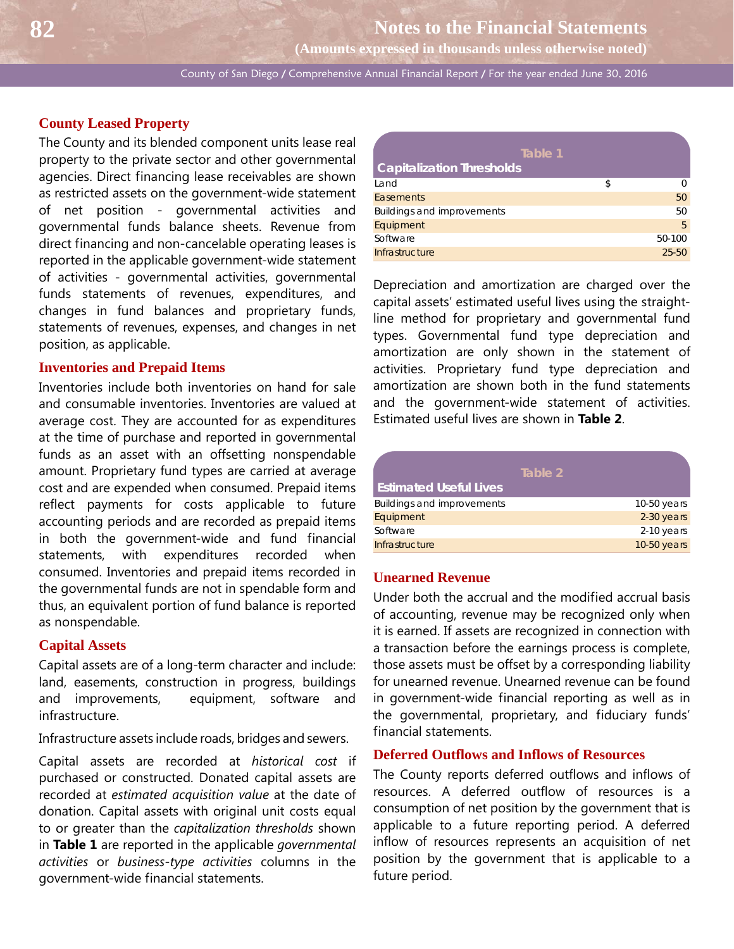#### **County Leased Property**

The County and its blended component units lease real property to the private sector and other governmental agencies. Direct financing lease receivables are shown as restricted assets on the government-wide statement of net position - governmental activities and governmental funds balance sheets. Revenue from direct financing and non-cancelable operating leases is reported in the applicable government-wide statement of activities - governmental activities, governmental funds statements of revenues, expenditures, and changes in fund balances and proprietary funds, statements of revenues, expenses, and changes in net position, as applicable.

#### **Inventories and Prepaid Items**

Inventories include both inventories on hand for sale and consumable inventories. Inventories are valued at average cost. They are accounted for as expenditures at the time of purchase and reported in governmental funds as an asset with an offsetting nonspendable amount. Proprietary fund types are carried at average cost and are expended when consumed. Prepaid items reflect payments for costs applicable to future accounting periods and are recorded as prepaid items in both the government-wide and fund financial statements, with expenditures recorded when consumed. Inventories and prepaid items recorded in the governmental funds are not in spendable form and thus, an equivalent portion of fund balance is reported as nonspendable.

#### **Capital Assets**

Capital assets are of a long-term character and include: land, easements, construction in progress, buildings and improvements, equipment, software and infrastructure.

Infrastructure assets include roads, bridges and sewers.

Capital assets are recorded at *historical cost* if purchased or constructed. Donated capital assets are recorded at *estimated acquisition value* at the date of donation. Capital assets with original unit costs equal to or greater than the *capitalization thresholds* shown in **Table 1** are reported in the applicable *governmental activities* or *business-type activities* columns in the government-wide financial statements.

| Table 1                           |           |
|-----------------------------------|-----------|
| <b>Capitalization Thresholds</b>  |           |
| Land                              | \$        |
| Easements                         | 50        |
| <b>Buildings and improvements</b> | 50        |
| Equipment                         | 5         |
| Software                          | 50-100    |
| Infrastructure                    | $25 - 50$ |

Depreciation and amortization are charged over the capital assets' estimated useful lives using the straightline method for proprietary and governmental fund types. Governmental fund type depreciation and amortization are only shown in the statement of activities. Proprietary fund type depreciation and amortization are shown both in the fund statements and the government-wide statement of activities. Estimated useful lives are shown in **Table 2**.

| <b>Estimated Useful Lives</b>     | Table 2       |
|-----------------------------------|---------------|
| <b>Buildings and improvements</b> | $10-50$ years |
| Equipment                         | 2-30 years    |
| Software                          | 2-10 years    |
| Infrastructure                    | 10-50 years   |

#### **Unearned Revenue**

Under both the accrual and the modified accrual basis of accounting, revenue may be recognized only when it is earned. If assets are recognized in connection with a transaction before the earnings process is complete, those assets must be offset by a corresponding liability for unearned revenue. Unearned revenue can be found in government-wide financial reporting as well as in the governmental, proprietary, and fiduciary funds' financial statements.

#### **Deferred Outflows and Inflows of Resources**

The County reports deferred outflows and inflows of resources. A deferred outflow of resources is a consumption of net position by the government that is applicable to a future reporting period. A deferred inflow of resources represents an acquisition of net position by the government that is applicable to a future period.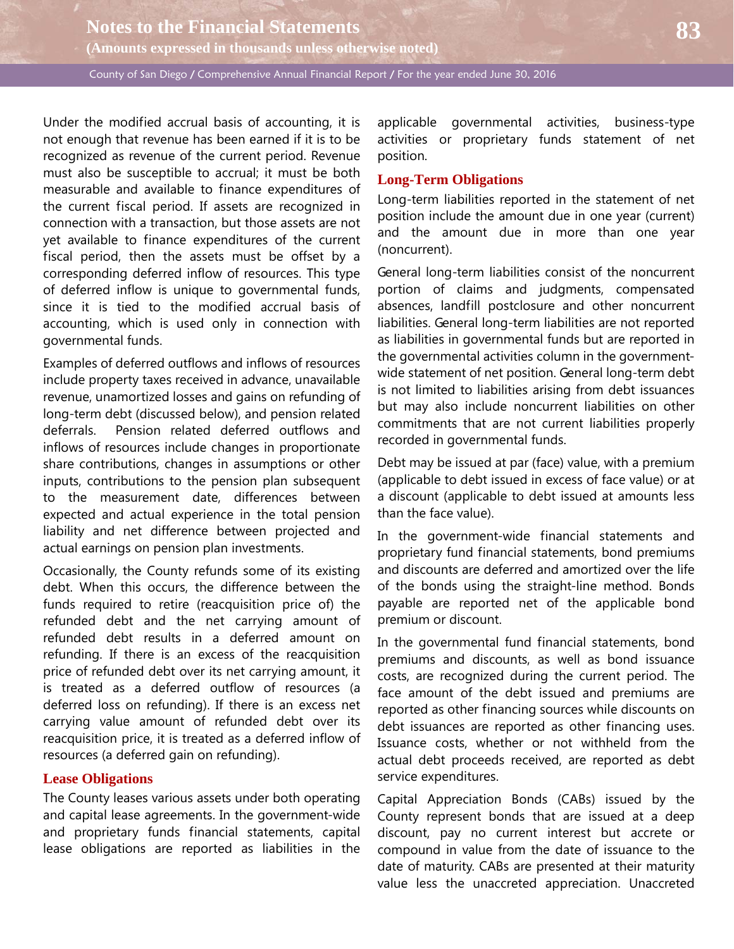Under the modified accrual basis of accounting, it is not enough that revenue has been earned if it is to be recognized as revenue of the current period. Revenue must also be susceptible to accrual; it must be both measurable and available to finance expenditures of the current fiscal period. If assets are recognized in connection with a transaction, but those assets are not yet available to finance expenditures of the current fiscal period, then the assets must be offset by a corresponding deferred inflow of resources. This type of deferred inflow is unique to governmental funds, since it is tied to the modified accrual basis of accounting, which is used only in connection with governmental funds.

Examples of deferred outflows and inflows of resources include property taxes received in advance, unavailable revenue, unamortized losses and gains on refunding of long-term debt (discussed below), and pension related deferrals. Pension related deferred outflows and inflows of resources include changes in proportionate share contributions, changes in assumptions or other inputs, contributions to the pension plan subsequent to the measurement date, differences between expected and actual experience in the total pension liability and net difference between projected and actual earnings on pension plan investments.

Occasionally, the County refunds some of its existing debt. When this occurs, the difference between the funds required to retire (reacquisition price of) the refunded debt and the net carrying amount of refunded debt results in a deferred amount on refunding. If there is an excess of the reacquisition price of refunded debt over its net carrying amount, it is treated as a deferred outflow of resources (a deferred loss on refunding). If there is an excess net carrying value amount of refunded debt over its reacquisition price, it is treated as a deferred inflow of resources (a deferred gain on refunding).

#### **Lease Obligations**

The County leases various assets under both operating and capital lease agreements. In the government-wide and proprietary funds financial statements, capital lease obligations are reported as liabilities in the applicable governmental activities, business-type activities or proprietary funds statement of net position.

#### **Long-Term Obligations**

Long-term liabilities reported in the statement of net position include the amount due in one year (current) and the amount due in more than one year (noncurrent).

General long-term liabilities consist of the noncurrent portion of claims and judgments, compensated absences, landfill postclosure and other noncurrent liabilities. General long-term liabilities are not reported as liabilities in governmental funds but are reported in the governmental activities column in the governmentwide statement of net position. General long-term debt is not limited to liabilities arising from debt issuances but may also include noncurrent liabilities on other commitments that are not current liabilities properly recorded in governmental funds.

Debt may be issued at par (face) value, with a premium (applicable to debt issued in excess of face value) or at a discount (applicable to debt issued at amounts less than the face value).

In the government-wide financial statements and proprietary fund financial statements, bond premiums and discounts are deferred and amortized over the life of the bonds using the straight-line method. Bonds payable are reported net of the applicable bond premium or discount.

In the governmental fund financial statements, bond premiums and discounts, as well as bond issuance costs, are recognized during the current period. The face amount of the debt issued and premiums are reported as other financing sources while discounts on debt issuances are reported as other financing uses. Issuance costs, whether or not withheld from the actual debt proceeds received, are reported as debt service expenditures.

Capital Appreciation Bonds (CABs) issued by the County represent bonds that are issued at a deep discount, pay no current interest but accrete or compound in value from the date of issuance to the date of maturity. CABs are presented at their maturity value less the unaccreted appreciation. Unaccreted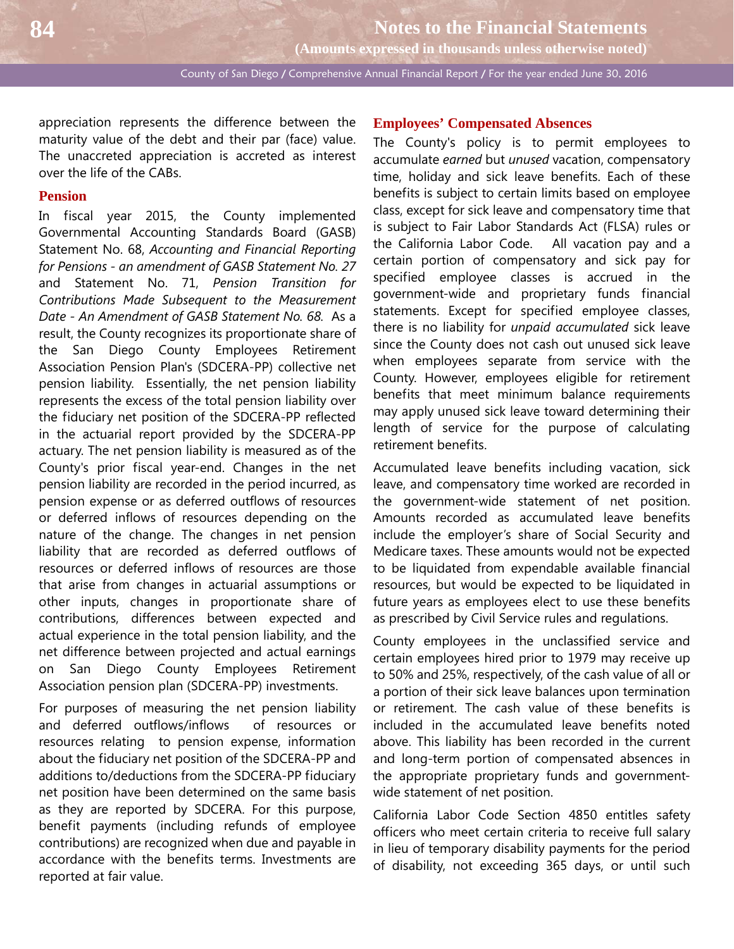County of San Diego / Comprehensive Annual Financial Report / For the year ended June 30, 2016

appreciation represents the difference between the maturity value of the debt and their par (face) value. The unaccreted appreciation is accreted as interest over the life of the CABs.

#### **Pension**

In fiscal year 2015, the County implemented Governmental Accounting Standards Board (GASB) Statement No. 68, *Accounting and Financial Reporting for Pensions - an amendment of GASB Statement No. 27* and Statement No. 71, *Pension Transition for Contributions Made Subsequent to the Measurement Date - An Amendment of GASB Statement No. 68.* As a result, the County recognizes its proportionate share of the San Diego County Employees Retirement Association Pension Plan's (SDCERA-PP) collective net pension liability. Essentially, the net pension liability represents the excess of the total pension liability over the fiduciary net position of the SDCERA-PP reflected in the actuarial report provided by the SDCERA-PP actuary. The net pension liability is measured as of the County's prior fiscal year-end. Changes in the net pension liability are recorded in the period incurred, as pension expense or as deferred outflows of resources or deferred inflows of resources depending on the nature of the change. The changes in net pension liability that are recorded as deferred outflows of resources or deferred inflows of resources are those that arise from changes in actuarial assumptions or other inputs, changes in proportionate share of contributions, differences between expected and actual experience in the total pension liability, and the net difference between projected and actual earnings on San Diego County Employees Retirement Association pension plan (SDCERA-PP) investments.

For purposes of measuring the net pension liability and deferred outflows/inflows of resources or resources relating to pension expense, information about the fiduciary net position of the SDCERA-PP and additions to/deductions from the SDCERA-PP fiduciary net position have been determined on the same basis as they are reported by SDCERA. For this purpose, benefit payments (including refunds of employee contributions) are recognized when due and payable in accordance with the benefits terms. Investments are reported at fair value.

#### **Employees' Compensated Absences**

The County's policy is to permit employees to accumulate *earned* but *unused* vacation, compensatory time, holiday and sick leave benefits. Each of these benefits is subject to certain limits based on employee class, except for sick leave and compensatory time that is subject to Fair Labor Standards Act (FLSA) rules or the California Labor Code. All vacation pay and a certain portion of compensatory and sick pay for specified employee classes is accrued in the government-wide and proprietary funds financial statements. Except for specified employee classes, there is no liability for *unpaid accumulated* sick leave since the County does not cash out unused sick leave when employees separate from service with the County. However, employees eligible for retirement benefits that meet minimum balance requirements may apply unused sick leave toward determining their length of service for the purpose of calculating retirement benefits.

Accumulated leave benefits including vacation, sick leave, and compensatory time worked are recorded in the government-wide statement of net position. Amounts recorded as accumulated leave benefits include the employer's share of Social Security and Medicare taxes. These amounts would not be expected to be liquidated from expendable available financial resources, but would be expected to be liquidated in future years as employees elect to use these benefits as prescribed by Civil Service rules and regulations.

County employees in the unclassified service and certain employees hired prior to 1979 may receive up to 50% and 25%, respectively, of the cash value of all or a portion of their sick leave balances upon termination or retirement. The cash value of these benefits is included in the accumulated leave benefits noted above. This liability has been recorded in the current and long-term portion of compensated absences in the appropriate proprietary funds and governmentwide statement of net position.

California Labor Code Section 4850 entitles safety officers who meet certain criteria to receive full salary in lieu of temporary disability payments for the period of disability, not exceeding 365 days, or until such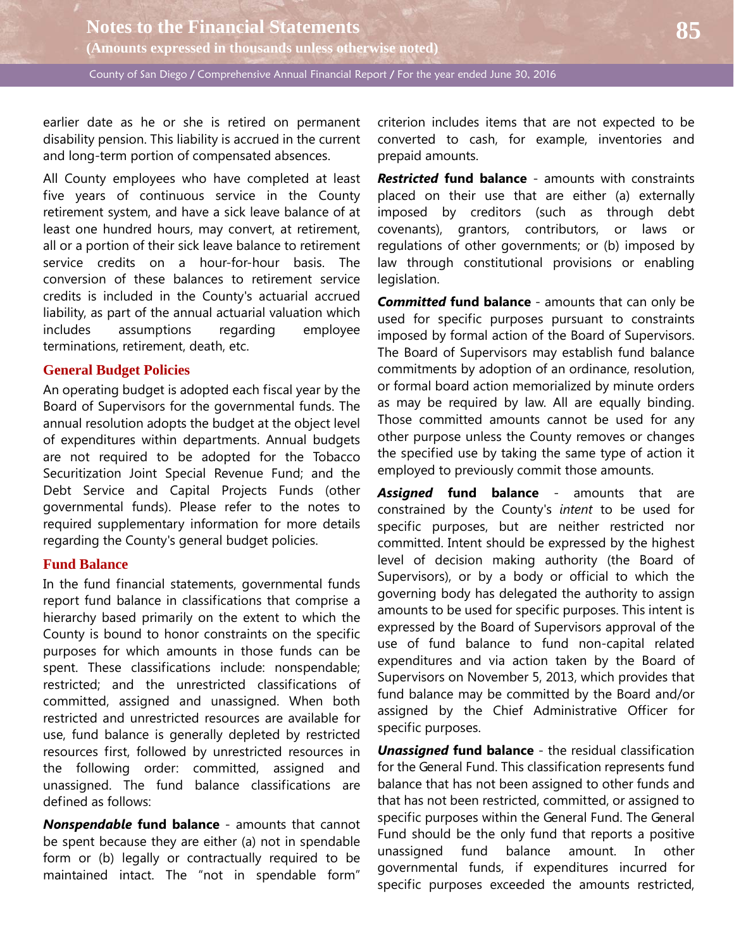earlier date as he or she is retired on permanent disability pension. This liability is accrued in the current and long-term portion of compensated absences.

All County employees who have completed at least five years of continuous service in the County retirement system, and have a sick leave balance of at least one hundred hours, may convert, at retirement, all or a portion of their sick leave balance to retirement service credits on a hour-for-hour basis. The conversion of these balances to retirement service credits is included in the County's actuarial accrued liability, as part of the annual actuarial valuation which includes assumptions regarding employee terminations, retirement, death, etc.

#### **General Budget Policies**

An operating budget is adopted each fiscal year by the Board of Supervisors for the governmental funds. The annual resolution adopts the budget at the object level of expenditures within departments. Annual budgets are not required to be adopted for the Tobacco Securitization Joint Special Revenue Fund; and the Debt Service and Capital Projects Funds (other governmental funds). Please refer to the notes to required supplementary information for more details regarding the County's general budget policies.

#### **Fund Balance**

In the fund financial statements, governmental funds report fund balance in classifications that comprise a hierarchy based primarily on the extent to which the County is bound to honor constraints on the specific purposes for which amounts in those funds can be spent. These classifications include: nonspendable; restricted; and the unrestricted classifications of committed, assigned and unassigned. When both restricted and unrestricted resources are available for use, fund balance is generally depleted by restricted resources first, followed by unrestricted resources in the following order: committed, assigned and unassigned. The fund balance classifications are defined as follows:

*Nonspendable* **fund balance** - amounts that cannot be spent because they are either (a) not in spendable form or (b) legally or contractually required to be maintained intact. The "not in spendable form" criterion includes items that are not expected to be converted to cash, for example, inventories and prepaid amounts.

*Restricted* **fund balance** - amounts with constraints placed on their use that are either (a) externally imposed by creditors (such as through debt covenants), grantors, contributors, or laws or regulations of other governments; or (b) imposed by law through constitutional provisions or enabling legislation.

*Committed* **fund balance** - amounts that can only be used for specific purposes pursuant to constraints imposed by formal action of the Board of Supervisors. The Board of Supervisors may establish fund balance commitments by adoption of an ordinance, resolution, or formal board action memorialized by minute orders as may be required by law. All are equally binding. Those committed amounts cannot be used for any other purpose unless the County removes or changes the specified use by taking the same type of action it employed to previously commit those amounts.

*Assigned* **fund balance** - amounts that are constrained by the County's *intent* to be used for specific purposes, but are neither restricted nor committed. Intent should be expressed by the highest level of decision making authority (the Board of Supervisors), or by a body or official to which the governing body has delegated the authority to assign amounts to be used for specific purposes. This intent is expressed by the Board of Supervisors approval of the use of fund balance to fund non-capital related expenditures and via action taken by the Board of Supervisors on November 5, 2013, which provides that fund balance may be committed by the Board and/or assigned by the Chief Administrative Officer for specific purposes.

*Unassigned* **fund balance** - the residual classification for the General Fund. This classification represents fund balance that has not been assigned to other funds and that has not been restricted, committed, or assigned to specific purposes within the General Fund. The General Fund should be the only fund that reports a positive unassigned fund balance amount. In other governmental funds, if expenditures incurred for specific purposes exceeded the amounts restricted,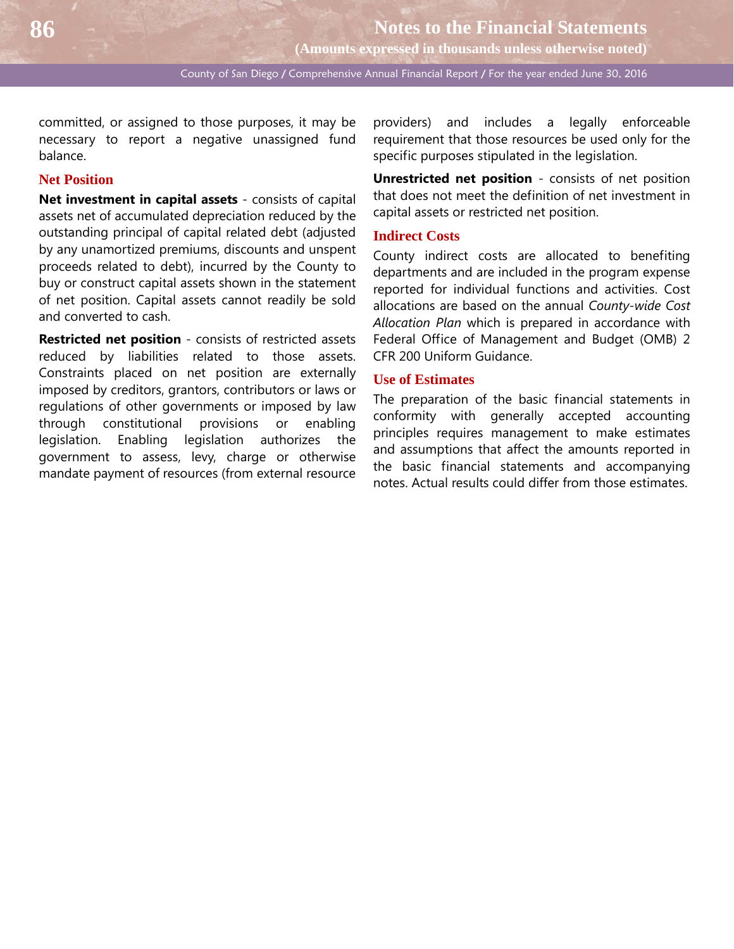County of San Diego / Comprehensive Annual Financial Report / For the year ended June 30, 2016

committed, or assigned to those purposes, it may be necessary to report a negative unassigned fund balance.

### **Net Position**

**Net investment in capital assets** - consists of capital assets net of accumulated depreciation reduced by the outstanding principal of capital related debt (adjusted by any unamortized premiums, discounts and unspent proceeds related to debt), incurred by the County to buy or construct capital assets shown in the statement of net position. Capital assets cannot readily be sold and converted to cash.

**Restricted net position** - consists of restricted assets reduced by liabilities related to those assets. Constraints placed on net position are externally imposed by creditors, grantors, contributors or laws or regulations of other governments or imposed by law through constitutional provisions or enabling legislation. Enabling legislation authorizes the government to assess, levy, charge or otherwise mandate payment of resources (from external resource

providers) and includes a legally enforceable requirement that those resources be used only for the specific purposes stipulated in the legislation.

**Unrestricted net position** - consists of net position that does not meet the definition of net investment in capital assets or restricted net position.

### **Indirect Costs**

County indirect costs are allocated to benefiting departments and are included in the program expense reported for individual functions and activities. Cost allocations are based on the annual *County-wide Cost Allocation Plan* which is prepared in accordance with Federal Office of Management and Budget (OMB) 2 CFR 200 Uniform Guidance.

#### **Use of Estimates**

The preparation of the basic financial statements in conformity with generally accepted accounting principles requires management to make estimates and assumptions that affect the amounts reported in the basic financial statements and accompanying notes. Actual results could differ from those estimates.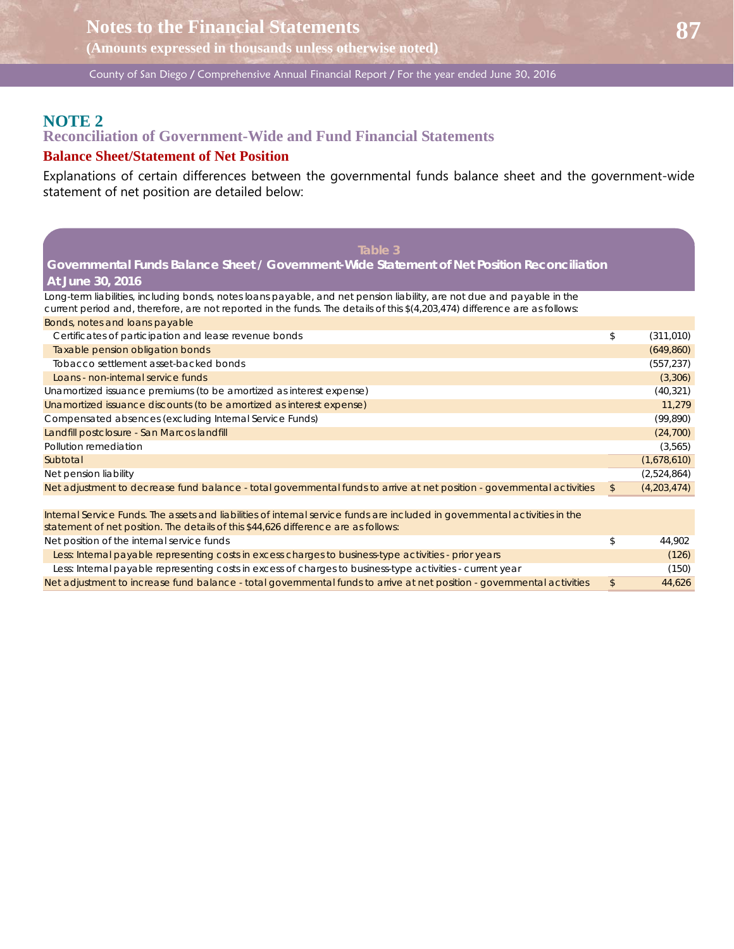**(Amounts expressed in thousands unless otherwise noted)**

County of San Diego / Comprehensive Annual Financial Report / For the year ended June 30, 2016

# **NOTE 2**

# **Reconciliation of Government-Wide and Fund Financial Statements**

## **Balance Sheet/Statement of Net Position**

Explanations of certain differences between the governmental funds balance sheet and the government-wide statement of net position are detailed below:

| Table 3                                                                                                                                                                                                                                              |               |             |
|------------------------------------------------------------------------------------------------------------------------------------------------------------------------------------------------------------------------------------------------------|---------------|-------------|
| Governmental Funds Balance Sheet / Government-Wide Statement of Net Position Reconciliation                                                                                                                                                          |               |             |
| At June 30, 2016                                                                                                                                                                                                                                     |               |             |
| Long-term liabilities, including bonds, notes loans payable, and net pension liability, are not due and payable in the<br>current period and, therefore, are not reported in the funds. The details of this \$(4,203,474) difference are as follows: |               |             |
| Bonds, notes and loans payable                                                                                                                                                                                                                       |               |             |
| Certificates of participation and lease revenue bonds                                                                                                                                                                                                | \$            | (311, 010)  |
| Taxable pension obligation bonds                                                                                                                                                                                                                     |               | (649, 860)  |
| Tobacco settlement asset-backed bonds                                                                                                                                                                                                                |               | (557, 237)  |
| Loans - non-internal service funds                                                                                                                                                                                                                   |               | (3,306)     |
| Unamortized issuance premiums (to be amortized as interest expense)                                                                                                                                                                                  |               | (40, 321)   |
| Unamortized issuance discounts (to be amortized as interest expense)                                                                                                                                                                                 |               | 11,279      |
| Compensated absences (excluding Internal Service Funds)                                                                                                                                                                                              |               | (99, 890)   |
| Landfill postclosure - San Marcos landfill                                                                                                                                                                                                           |               | (24, 700)   |
| Pollution remediation                                                                                                                                                                                                                                |               | (3,565)     |
| Subtotal                                                                                                                                                                                                                                             |               | (1,678,610) |
| Net pension liability                                                                                                                                                                                                                                |               | (2,524,864) |
| Net adjustment to decrease fund balance - total governmental funds to arrive at net position - governmental activities                                                                                                                               | $\mathsf{\$}$ | (4,203,474) |
|                                                                                                                                                                                                                                                      |               |             |
| Internal Service Funds. The assets and liabilities of internal service funds are included in governmental activities in the<br>statement of net position. The details of this \$44,626 difference are as follows:                                    |               |             |
| Net position of the internal service funds                                                                                                                                                                                                           | \$            | 44,902      |
| Less: Internal payable representing costs in excess charges to business-type activities - prior years                                                                                                                                                |               | (126)       |
| Less: Internal payable representing costs in excess of charges to business-type activities - current year                                                                                                                                            |               | (150)       |
| Net adjustment to increase fund balance - total governmental funds to arrive at net position - governmental activities                                                                                                                               | \$            | 44.626      |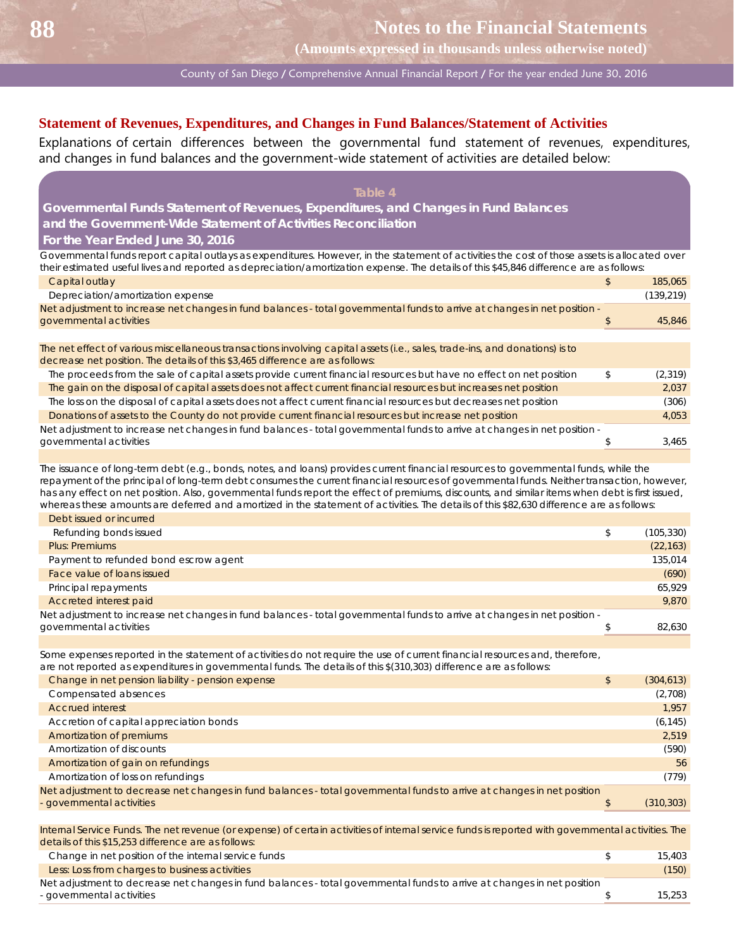**(Amounts expressed in thousands unless otherwise noted)**

County of San Diego / Comprehensive Annual Financial Report / For the year ended June 30, 2016

#### **Statement of Revenues, Expenditures, and Changes in Fund Balances/Statement of Activities**

Explanations of certain differences between the governmental fund statement of revenues, expenditures, and changes in fund balances and the government-wide statement of activities are detailed below:

### **Table 4 Governmental Funds Statement of Revenues, Expenditures, and Changes in Fund Balances and the Government-Wide Statement of Activities Reconciliation For the Year Ended June 30, 2016**

Governmental funds report capital outlays as expenditures. However, in the statement of activities the cost of those assets is allocated over their estimated useful lives and reported as depreciation/amortization expense. The details of this \$45,846 difference are as follows:

| Capital outlay                                                                                                              | 185.065   |
|-----------------------------------------------------------------------------------------------------------------------------|-----------|
| Depreciation/amortization expense                                                                                           | (139,219) |
| Net adjustment to increase net changes in fund balances - total governmental funds to arrive at changes in net position -   |           |
| governmental activities                                                                                                     | 45,846    |
|                                                                                                                             |           |
| The net effect of various miscellaneous transactions involving capital assets (i.e., sales, trade-ins, and donations) is to |           |
| decrease net position. The details of this \$3,465 difference are as follows:                                               |           |
| The proceeds from the sale of capital assets provide current financial resources but have no effect on net position         | (2,319)   |
| The gain on the disposal of capital assets does not affect current financial resources but increases net position           | 2,037     |
| The loss on the disposal of capital assets does not affect current financial resources but decreases net position           | (306)     |
| Donations of assets to the County do not provide current financial resources but increase net position                      | 4,053     |
| Net adjustment to increase net changes in fund balances - total governmental funds to arrive at changes in net position -   |           |
| governmental activities                                                                                                     | 3.465     |

The issuance of long-term debt (e.g., bonds, notes, and loans) provides current financial resources to governmental funds, while the repayment of the principal of long-term debt consumes the current financial resources of governmental funds. Neither transaction, however, has any effect on net position. Also, governmental funds report the effect of premiums, discounts, and similar items when debt is first issued, whereas these amounts are deferred and amortized in the statement of activities. The details of this \$82,630 difference are as follows: Debt issued or inc

| <u>DENI ISSUEU UL IITUUHEU</u>                                                                                            |            |
|---------------------------------------------------------------------------------------------------------------------------|------------|
| Refunding bonds issued                                                                                                    | (105, 330) |
| <b>Plus: Premiums</b>                                                                                                     | (22, 163)  |
| Payment to refunded bond escrow agent                                                                                     | 135.014    |
| Face value of loans issued                                                                                                | (690)      |
| Principal repayments                                                                                                      | 65.929     |
| Accreted interest paid                                                                                                    | 9.870      |
| Net adjustment to increase net changes in fund balances - total governmental funds to arrive at changes in net position - |            |
| governmental activities                                                                                                   | 82.630     |

Some expenses reported in the statement of activities do not require the use of current financial resources and, therefore, are not reported as expenditures in governmental funds. The details of this \$(310,303) difference are as follows:

| Change in net pension liability - pension expense                                                                                                                                                         | \$ | (304, 613) |
|-----------------------------------------------------------------------------------------------------------------------------------------------------------------------------------------------------------|----|------------|
| Compensated absences                                                                                                                                                                                      |    | (2,708)    |
| <b>Accrued interest</b>                                                                                                                                                                                   |    | 1,957      |
| Accretion of capital appreciation bonds                                                                                                                                                                   |    | (6, 145)   |
| Amortization of premiums                                                                                                                                                                                  |    | 2,519      |
| Amortization of discounts                                                                                                                                                                                 |    | (590)      |
| Amortization of gain on refundings                                                                                                                                                                        |    | 56         |
| Amortization of loss on refundings                                                                                                                                                                        |    | (779)      |
| Net adjustment to decrease net changes in fund balances - total governmental funds to arrive at changes in net position                                                                                   |    |            |
| - governmental activities                                                                                                                                                                                 |    | (310, 303) |
|                                                                                                                                                                                                           |    |            |
| Internal Service Funds. The net revenue (or expense) of certain activities of internal service funds is reported with governmental activities. The<br>details of this \$15,253 difference are as follows: |    |            |
| Change in net position of the internal service funds                                                                                                                                                      | \$ | 15,403     |
| Less: Loss from charges to business activities                                                                                                                                                            |    | (150)      |
| Net adjustment to decrease net changes in fund balances - total governmental funds to arrive at changes in net position                                                                                   |    |            |
| - governmental activities                                                                                                                                                                                 | S. | 15.253     |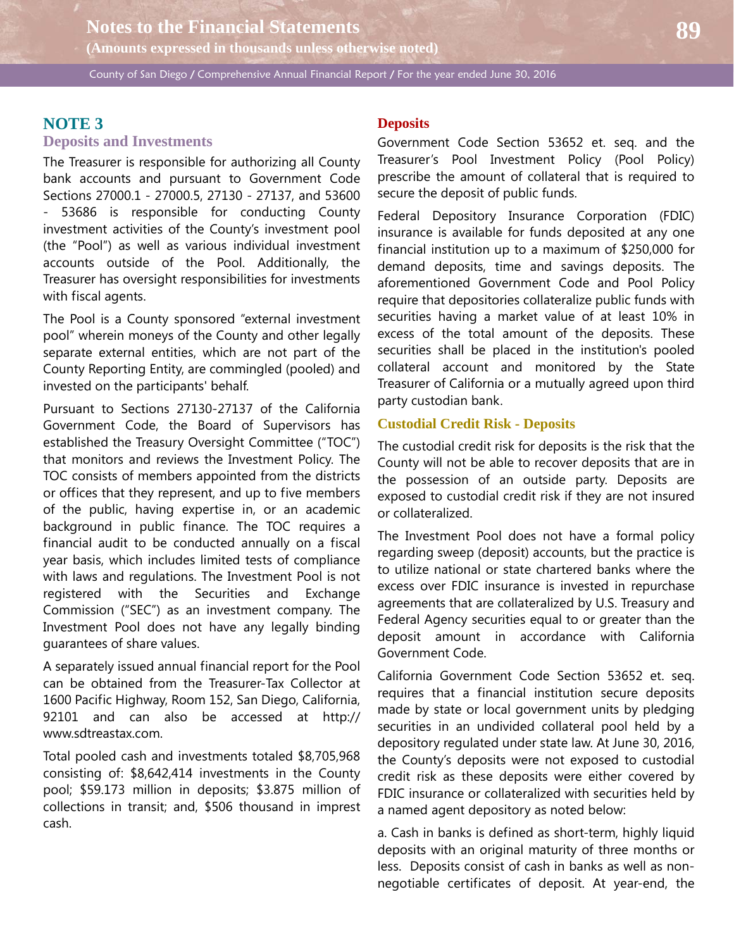**(Amounts expressed in thousands unless otherwise noted)**

County of San Diego / Comprehensive Annual Financial Report / For the year ended June 30, 2016

# **NOTE 3**

### **Deposits and Investments**

The Treasurer is responsible for authorizing all County bank accounts and pursuant to Government Code Sections 27000.1 - 27000.5, 27130 - 27137, and 53600 53686 is responsible for conducting County investment activities of the County's investment pool (the "Pool") as well as various individual investment accounts outside of the Pool. Additionally, the Treasurer has oversight responsibilities for investments with fiscal agents.

The Pool is a County sponsored "external investment pool" wherein moneys of the County and other legally separate external entities, which are not part of the County Reporting Entity, are commingled (pooled) and invested on the participants' behalf.

Pursuant to Sections 27130-27137 of the California Government Code, the Board of Supervisors has established the Treasury Oversight Committee ("TOC") that monitors and reviews the Investment Policy. The TOC consists of members appointed from the districts or offices that they represent, and up to five members of the public, having expertise in, or an academic background in public finance. The TOC requires a financial audit to be conducted annually on a fiscal year basis, which includes limited tests of compliance with laws and regulations. The Investment Pool is not registered with the Securities and Exchange Commission ("SEC") as an investment company. The Investment Pool does not have any legally binding guarantees of share values.

A separately issued annual financial report for the Pool can be obtained from the Treasurer-Tax Collector at 1600 Pacific Highway, Room 152, San Diego, California, 92101 and can also be accessed at http:// www.sdtreastax.com.

Total pooled cash and investments totaled \$8,705,968 consisting of: \$8,642,414 investments in the County pool; \$59.173 million in deposits; \$3.875 million of collections in transit; and, \$506 thousand in imprest cash.

#### **Deposits**

Government Code Section 53652 et. seq. and the Treasurer's Pool Investment Policy (Pool Policy) prescribe the amount of collateral that is required to secure the deposit of public funds.

Federal Depository Insurance Corporation (FDIC) insurance is available for funds deposited at any one financial institution up to a maximum of \$250,000 for demand deposits, time and savings deposits. The aforementioned Government Code and Pool Policy require that depositories collateralize public funds with securities having a market value of at least 10% in excess of the total amount of the deposits. These securities shall be placed in the institution's pooled collateral account and monitored by the State Treasurer of California or a mutually agreed upon third party custodian bank.

#### **Custodial Credit Risk - Deposits**

The custodial credit risk for deposits is the risk that the County will not be able to recover deposits that are in the possession of an outside party. Deposits are exposed to custodial credit risk if they are not insured or collateralized.

The Investment Pool does not have a formal policy regarding sweep (deposit) accounts, but the practice is to utilize national or state chartered banks where the excess over FDIC insurance is invested in repurchase agreements that are collateralized by U.S. Treasury and Federal Agency securities equal to or greater than the deposit amount in accordance with California Government Code.

California Government Code Section 53652 et. seq. requires that a financial institution secure deposits made by state or local government units by pledging securities in an undivided collateral pool held by a depository regulated under state law. At June 30, 2016, the County's deposits were not exposed to custodial credit risk as these deposits were either covered by FDIC insurance or collateralized with securities held by a named agent depository as noted below:

a. Cash in banks is defined as short-term, highly liquid deposits with an original maturity of three months or less. Deposits consist of cash in banks as well as nonnegotiable certificates of deposit. At year-end, the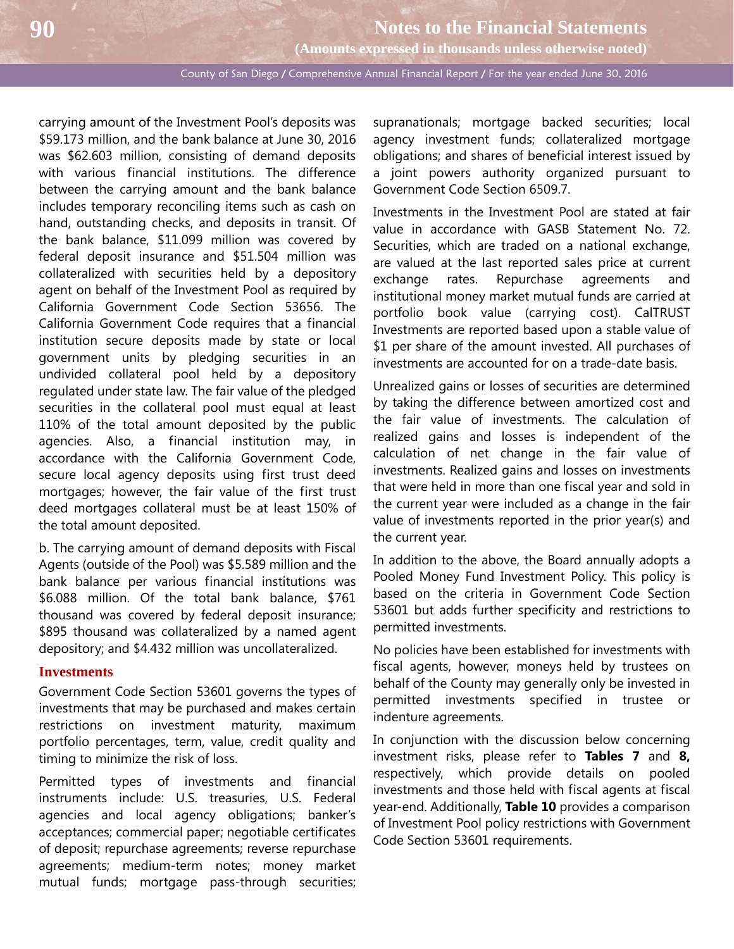carrying amount of the Investment Pool's deposits was \$59.173 million, and the bank balance at June 30, 2016 was \$62.603 million, consisting of demand deposits with various financial institutions. The difference between the carrying amount and the bank balance includes temporary reconciling items such as cash on hand, outstanding checks, and deposits in transit. Of the bank balance, \$11.099 million was covered by federal deposit insurance and \$51.504 million was collateralized with securities held by a depository agent on behalf of the Investment Pool as required by California Government Code Section 53656. The California Government Code requires that a financial institution secure deposits made by state or local government units by pledging securities in an undivided collateral pool held by a depository regulated under state law. The fair value of the pledged securities in the collateral pool must equal at least 110% of the total amount deposited by the public agencies. Also, a financial institution may, in accordance with the California Government Code, secure local agency deposits using first trust deed mortgages; however, the fair value of the first trust deed mortgages collateral must be at least 150% of the total amount deposited.

b. The carrying amount of demand deposits with Fiscal Agents (outside of the Pool) was \$5.589 million and the bank balance per various financial institutions was \$6.088 million. Of the total bank balance, \$761 thousand was covered by federal deposit insurance; \$895 thousand was collateralized by a named agent depository; and \$4.432 million was uncollateralized.

#### **Investments**

Government Code Section 53601 governs the types of investments that may be purchased and makes certain restrictions on investment maturity, maximum portfolio percentages, term, value, credit quality and timing to minimize the risk of loss.

Permitted types of investments and financial instruments include: U.S. treasuries, U.S. Federal agencies and local agency obligations; banker's acceptances; commercial paper; negotiable certificates of deposit; repurchase agreements; reverse repurchase agreements; medium-term notes; money market mutual funds; mortgage pass-through securities;

supranationals; mortgage backed securities; local agency investment funds; collateralized mortgage obligations; and shares of beneficial interest issued by a joint powers authority organized pursuant to Government Code Section 6509.7.

Investments in the Investment Pool are stated at fair value in accordance with GASB Statement No. 72. Securities, which are traded on a national exchange, are valued at the last reported sales price at current exchange rates. Repurchase agreements and institutional money market mutual funds are carried at portfolio book value (carrying cost). CalTRUST Investments are reported based upon a stable value of \$1 per share of the amount invested. All purchases of investments are accounted for on a trade-date basis.

Unrealized gains or losses of securities are determined by taking the difference between amortized cost and the fair value of investments. The calculation of realized gains and losses is independent of the calculation of net change in the fair value of investments. Realized gains and losses on investments that were held in more than one fiscal year and sold in the current year were included as a change in the fair value of investments reported in the prior year(s) and the current year.

In addition to the above, the Board annually adopts a Pooled Money Fund Investment Policy. This policy is based on the criteria in Government Code Section 53601 but adds further specificity and restrictions to permitted investments.

No policies have been established for investments with fiscal agents, however, moneys held by trustees on behalf of the County may generally only be invested in permitted investments specified in trustee or indenture agreements.

In conjunction with the discussion below concerning investment risks, please refer to **Tables 7** and **8,** respectively, which provide details on pooled investments and those held with fiscal agents at fiscal year-end. Additionally, **Table 10** provides a comparison of Investment Pool policy restrictions with Government Code Section 53601 requirements.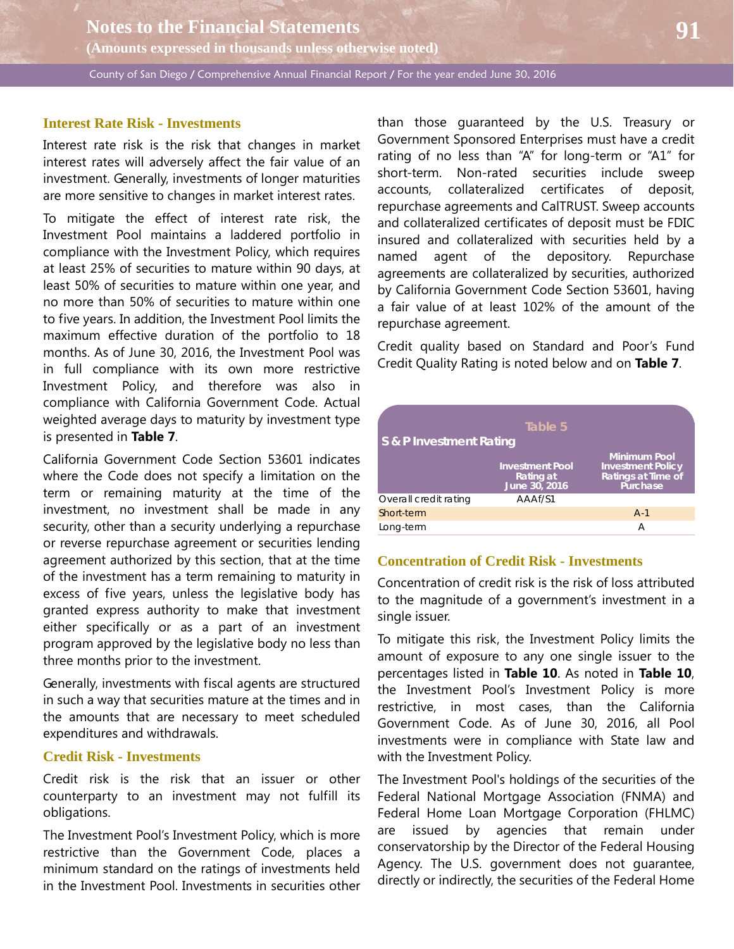#### **Interest Rate Risk - Investments**

Interest rate risk is the risk that changes in market interest rates will adversely affect the fair value of an investment. Generally, investments of longer maturities are more sensitive to changes in market interest rates.

To mitigate the effect of interest rate risk, the Investment Pool maintains a laddered portfolio in compliance with the Investment Policy, which requires at least 25% of securities to mature within 90 days, at least 50% of securities to mature within one year, and no more than 50% of securities to mature within one to five years. In addition, the Investment Pool limits the maximum effective duration of the portfolio to 18 months. As of June 30, 2016, the Investment Pool was in full compliance with its own more restrictive Investment Policy, and therefore was also in compliance with California Government Code. Actual weighted average days to maturity by investment type is presented in **Table 7**.

California Government Code Section 53601 indicates where the Code does not specify a limitation on the term or remaining maturity at the time of the investment, no investment shall be made in any security, other than a security underlying a repurchase or reverse repurchase agreement or securities lending agreement authorized by this section, that at the time of the investment has a term remaining to maturity in excess of five years, unless the legislative body has granted express authority to make that investment either specifically or as a part of an investment program approved by the legislative body no less than three months prior to the investment.

Generally, investments with fiscal agents are structured in such a way that securities mature at the times and in the amounts that are necessary to meet scheduled expenditures and withdrawals.

#### **Credit Risk - Investments**

Credit risk is the risk that an issuer or other counterparty to an investment may not fulfill its obligations.

The Investment Pool's Investment Policy, which is more restrictive than the Government Code, places a minimum standard on the ratings of investments held in the Investment Pool. Investments in securities other than those guaranteed by the U.S. Treasury or Government Sponsored Enterprises must have a credit rating of no less than "A" for long-term or "A1" for short-term. Non-rated securities include sweep accounts, collateralized certificates of deposit, repurchase agreements and CalTRUST. Sweep accounts and collateralized certificates of deposit must be FDIC insured and collateralized with securities held by a named agent of the depository. Repurchase agreements are collateralized by securities, authorized by California Government Code Section 53601, having a fair value of at least 102% of the amount of the repurchase agreement.

Credit quality based on Standard and Poor's Fund Credit Quality Rating is noted below and on **Table 7**.

| S & P Investment Rating | Table 5                                              |                                                                                   |
|-------------------------|------------------------------------------------------|-----------------------------------------------------------------------------------|
|                         | <b>Investment Pool</b><br>Rating at<br>June 30, 2016 | <b>Minimum Pool</b><br><b>Investment Policy</b><br>Ratings at Time of<br>Purchase |
| Overall credit rating   | AAAf/S1                                              |                                                                                   |
| Short-term              |                                                      | $A-1$                                                                             |
| Long-term               |                                                      | А                                                                                 |

### **Concentration of Credit Risk - Investments**

Concentration of credit risk is the risk of loss attributed to the magnitude of a government's investment in a single issuer.

To mitigate this risk, the Investment Policy limits the amount of exposure to any one single issuer to the percentages listed in **Table 10**. As noted in **Table 10**, the Investment Pool's Investment Policy is more restrictive, in most cases, than the California Government Code. As of June 30, 2016, all Pool investments were in compliance with State law and with the Investment Policy.

The Investment Pool's holdings of the securities of the Federal National Mortgage Association (FNMA) and Federal Home Loan Mortgage Corporation (FHLMC) are issued by agencies that remain under conservatorship by the Director of the Federal Housing Agency. The U.S. government does not guarantee, directly or indirectly, the securities of the Federal Home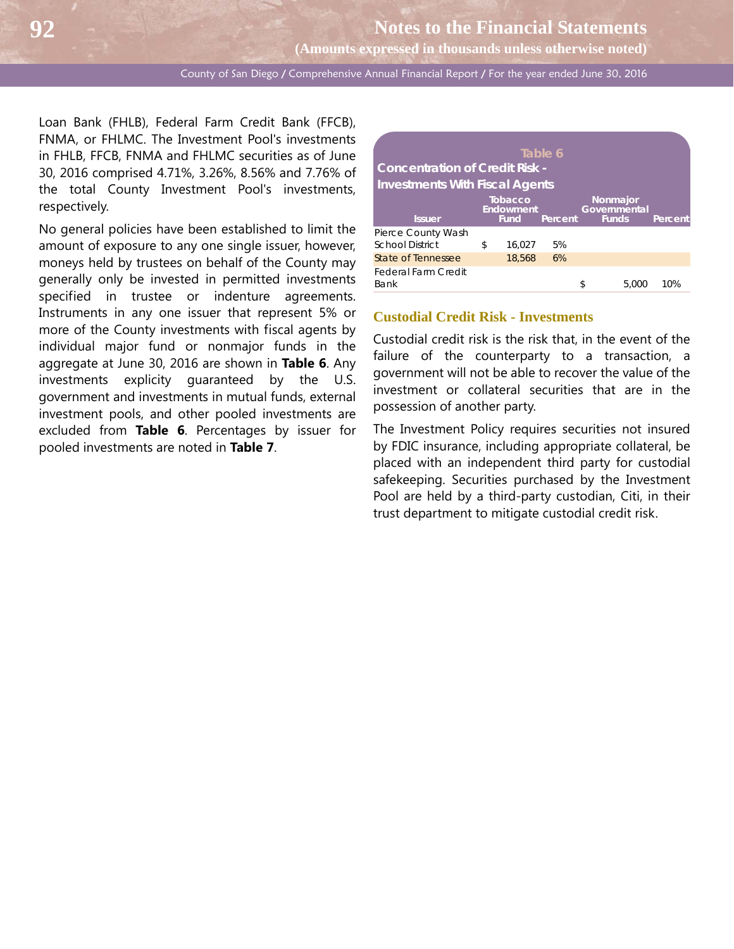Loan Bank (FHLB), Federal Farm Credit Bank (FFCB), FNMA, or FHLMC. The Investment Pool's investments in FHLB, FFCB, FNMA and FHLMC securities as of June 30, 2016 comprised 4.71%, 3.26%, 8.56% and 7.76% of the total County Investment Pool's investments, respectively.

No general policies have been established to limit the amount of exposure to any one single issuer, however, moneys held by trustees on behalf of the County may generally only be invested in permitted investments specified in trustee or indenture agreements. Instruments in any one issuer that represent 5% or more of the County investments with fiscal agents by individual major fund or nonmajor funds in the aggregate at June 30, 2016 are shown in **Table 6**. Any investments explicity guaranteed by the U.S. government and investments in mutual funds, external investment pools, and other pooled investments are excluded from **Table 6**. Percentages by issuer for pooled investments are noted in **Table 7**.

| Table 6<br><b>Concentration of Credit Risk -</b> |    |                                            |         |  |                                          |         |  |  |  |
|--------------------------------------------------|----|--------------------------------------------|---------|--|------------------------------------------|---------|--|--|--|
| <b>Investments With Fiscal Agents</b>            |    |                                            |         |  |                                          |         |  |  |  |
| <b>Issuer</b>                                    |    | Tobacco<br><b>Endowment</b><br><b>Fund</b> | Percent |  | Nonmajor<br>Governmental<br><b>Funds</b> | Percent |  |  |  |
| Pierce County Wash<br><b>School District</b>     |    |                                            |         |  |                                          |         |  |  |  |
|                                                  | \$ | 16.027                                     | 5%      |  |                                          |         |  |  |  |
| <b>State of Tennessee</b>                        |    | 18,568                                     | 6%      |  |                                          |         |  |  |  |
| <b>Federal Farm Credit</b><br>Bank               |    |                                            |         |  | 5.000                                    | 10%     |  |  |  |

### **Custodial Credit Risk - Investments**

Custodial credit risk is the risk that, in the event of the failure of the counterparty to a transaction, a government will not be able to recover the value of the investment or collateral securities that are in the possession of another party.

The Investment Policy requires securities not insured by FDIC insurance, including appropriate collateral, be placed with an independent third party for custodial safekeeping. Securities purchased by the Investment Pool are held by a third-party custodian, Citi, in their trust department to mitigate custodial credit risk.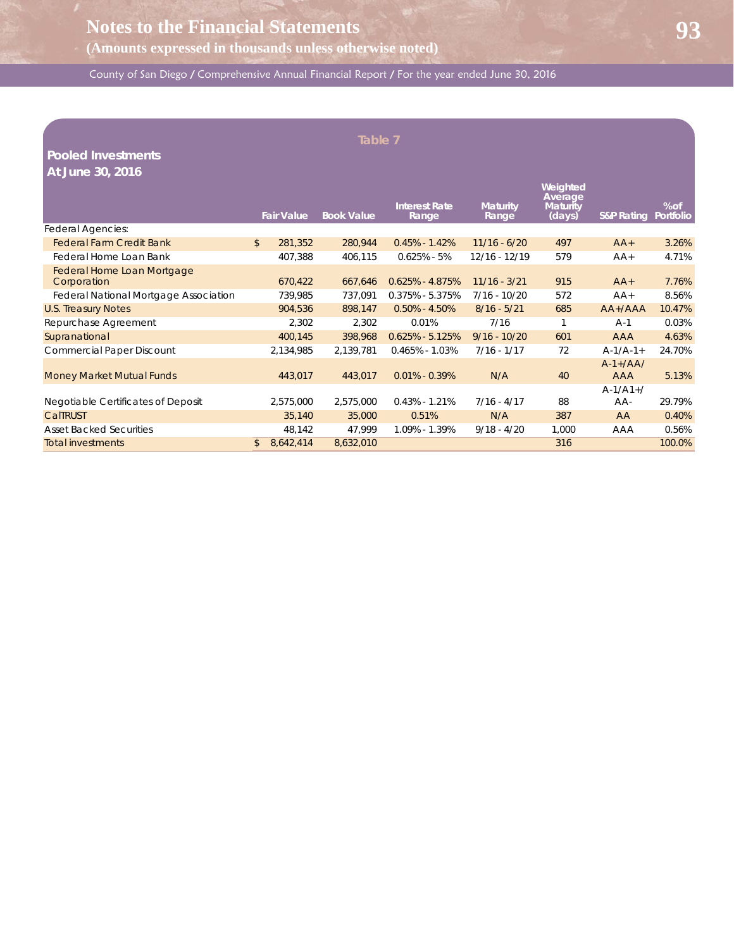**(Amounts expressed in thousands unless otherwise noted)**

County of San Diego / Comprehensive Annual Financial Report / For the year ended June 30, 2016

| <b>Pooled Investments</b><br>At June 30, 2016    | Table 7        |                   |                   |                               |                          |                                                  |                                       |                     |
|--------------------------------------------------|----------------|-------------------|-------------------|-------------------------------|--------------------------|--------------------------------------------------|---------------------------------------|---------------------|
|                                                  |                | <b>Fair Value</b> | <b>Book Value</b> | <b>Interest Rate</b><br>Range | <b>Maturity</b><br>Range | Weighted<br>Average<br><b>Maturity</b><br>(days) | <b>S&amp;P Rating</b>                 | $%$ of<br>Portfolio |
| <b>Federal Agencies:</b>                         |                |                   |                   |                               |                          |                                                  |                                       |                     |
| <b>Federal Farm Credit Bank</b>                  | $\mathfrak{S}$ | 281,352           | 280.944           | $0.45\% - 1.42\%$             | $11/16 - 6/20$           | 497                                              | $AA+$                                 | 3.26%               |
| Federal Home Loan Bank                           |                | 407,388           | 406,115           | $0.625% - 5%$                 | 12/16 - 12/19            | 579                                              | $AA+$                                 | 4.71%               |
| <b>Federal Home Loan Mortgage</b><br>Corporation |                | 670,422           | 667.646           | $0.625\% - 4.875\%$           | $11/16 - 3/21$           | 915                                              | $AA+$                                 | 7.76%               |
| Federal National Mortgage Association            |                | 739,985           | 737,091           | $0.375\% - 5.375\%$           | $7/16 - 10/20$           | 572                                              | $AA+$                                 | 8.56%               |
| <b>U.S. Treasury Notes</b>                       |                | 904,536           | 898,147           | $0.50\% - 4.50\%$             | $8/16 - 5/21$            | 685                                              | $AA+/AAA$                             | 10.47%              |
| Repurchase Agreement                             |                | 2,302             | 2,302             | 0.01%                         | 7/16                     | $\mathbf{1}$                                     | $A-1$                                 | 0.03%               |
| Supranational                                    |                | 400,145           | 398.968           | $0.625\% - 5.125\%$           | $9/16 - 10/20$           | 601                                              | <b>AAA</b>                            | 4.63%               |
| <b>Commercial Paper Discount</b>                 |                | 2,134,985         | 2,139,781         | $0.465\% - 1.03\%$            | $7/16 - 1/17$            | 72                                               | $A-1/A-1+$                            | 24.70%              |
| <b>Money Market Mutual Funds</b>                 |                | 443,017           | 443.017           | $0.01\% - 0.39\%$             | N/A                      | 40                                               | $A-1+/AA/$<br><b>AAA</b><br>$A-1/A1+$ | 5.13%               |
| Negotiable Certificates of Deposit               |                | 2,575,000         | 2,575,000         | $0.43\% - 1.21\%$             | $7/16 - 4/17$            | 88                                               | AA-                                   | 29.79%              |
| CalTRUST                                         |                | 35,140            | 35,000            | 0.51%                         | N/A                      | 387                                              | <b>AA</b>                             | 0.40%               |
| <b>Asset Backed Securities</b>                   |                | 48,142            | 47,999            | 1.09% - 1.39%                 | $9/18 - 4/20$            | 1,000                                            | AAA                                   | 0.56%               |
| <b>Total investments</b>                         | \$             | 8,642,414         | 8,632,010         |                               |                          | 316                                              |                                       | 100.0%              |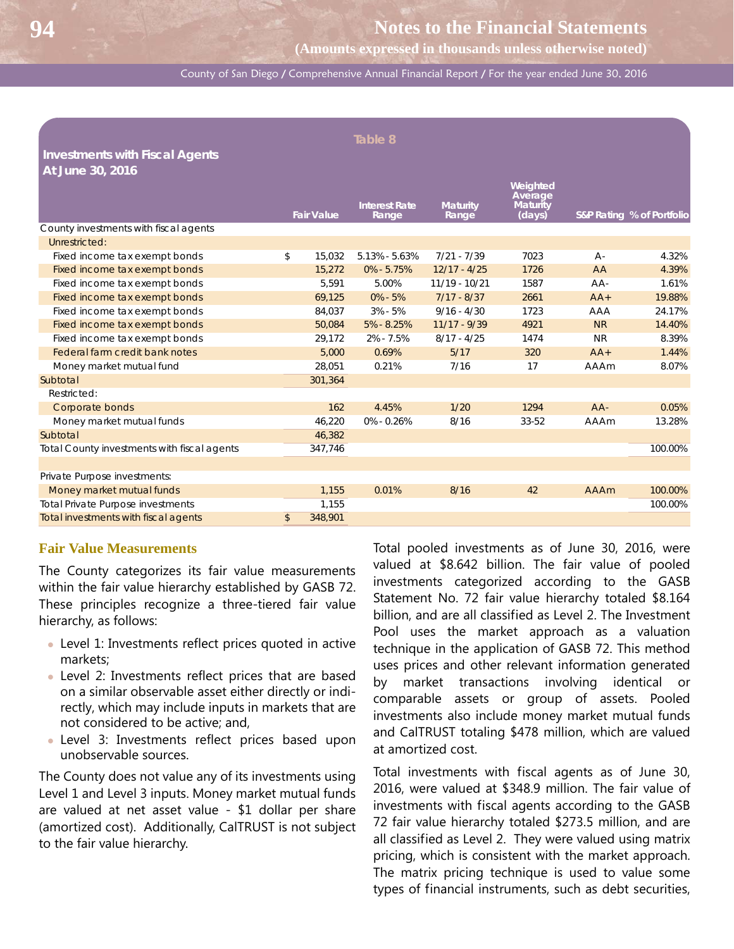**(Amounts expressed in thousands unless otherwise noted)**

County of San Diego / Comprehensive Annual Financial Report / For the year ended June 30, 2016

| <b>Investments with Fiscal Agents</b><br>At June 30, 2016 | Table 8 |                   |                               |                          |                                                  |             |                           |
|-----------------------------------------------------------|---------|-------------------|-------------------------------|--------------------------|--------------------------------------------------|-------------|---------------------------|
|                                                           |         | <b>Fair Value</b> | <b>Interest Rate</b><br>Range | <b>Maturity</b><br>Range | Weighted<br>Average<br><b>Maturity</b><br>(days) |             | S&P Rating % of Portfolio |
| County investments with fiscal agents                     |         |                   |                               |                          |                                                  |             |                           |
| Unrestricted:                                             |         |                   |                               |                          |                                                  |             |                           |
| Fixed income tax exempt bonds                             | \$      | 15.032            | $5.13\% - 5.63\%$             | $7/21 - 7/39$            | 7023                                             | $A -$       | 4.32%                     |
| Fixed income tax exempt bonds                             |         | 15,272            | $0\% - 5.75\%$                | $12/17 - 4/25$           | 1726                                             | AA          | 4.39%                     |
| Fixed income tax exempt bonds                             |         | 5.591             | 5.00%                         | 11/19 - 10/21            | 1587                                             | AA-         | 1.61%                     |
| Fixed income tax exempt bonds                             |         | 69,125            | $0\% - 5\%$                   | $7/17 - 8/37$            | 2661                                             | $AA+$       | 19.88%                    |
| Fixed income tax exempt bonds                             |         | 84,037            | $3% - 5%$                     | $9/16 - 4/30$            | 1723                                             | AAA         | 24.17%                    |
| Fixed income tax exempt bonds                             |         | 50,084            | 5% - 8.25%                    | $11/17 - 9/39$           | 4921                                             | <b>NR</b>   | 14.40%                    |
| Fixed income tax exempt bonds                             |         | 29,172            | $2\% - 7.5\%$                 | $8/17 - 4/25$            | 1474                                             | <b>NR</b>   | 8.39%                     |
| Federal farm credit bank notes                            |         | 5,000             | 0.69%                         | 5/17                     | 320                                              | $AA+$       | 1.44%                     |
| Money market mutual fund                                  |         | 28,051            | 0.21%                         | 7/16                     | 17                                               | AAAm        | 8.07%                     |
| Subtotal                                                  |         | 301,364           |                               |                          |                                                  |             |                           |
| Restricted:                                               |         |                   |                               |                          |                                                  |             |                           |
| Corporate bonds                                           |         | 162               | 4.45%                         | 1/20                     | 1294                                             | $AA-$       | 0.05%                     |
| Money market mutual funds                                 |         | 46,220            | $0\% - 0.26\%$                | 8/16                     | 33-52                                            | <b>AAAm</b> | 13.28%                    |
| Subtotal                                                  |         | 46,382            |                               |                          |                                                  |             |                           |
| Total County investments with fiscal agents               |         | 347,746           |                               |                          |                                                  |             | 100.00%                   |
|                                                           |         |                   |                               |                          |                                                  |             |                           |
| Private Purpose investments:                              |         |                   |                               |                          |                                                  |             |                           |
| Money market mutual funds                                 |         | 1.155             | 0.01%                         | 8/16                     | 42                                               | <b>AAAm</b> | 100.00%                   |
| <b>Total Private Purpose investments</b>                  |         | 1,155             |                               |                          |                                                  |             | 100.00%                   |
| Total investments with fiscal agents                      | \$      | 348,901           |                               |                          |                                                  |             |                           |

#### **Fair Value Measurements**

The County categorizes its fair value measurements within the fair value hierarchy established by GASB 72. These principles recognize a three-tiered fair value hierarchy, as follows:

- Level 1: Investments reflect prices quoted in active markets;
- Level 2: Investments reflect prices that are based on a similar observable asset either directly or indirectly, which may include inputs in markets that are not considered to be active; and,
- Level 3: Investments reflect prices based upon unobservable sources.

The County does not value any of its investments using Level 1 and Level 3 inputs. Money market mutual funds are valued at net asset value - \$1 dollar per share (amortized cost). Additionally, CalTRUST is not subject to the fair value hierarchy.

Total pooled investments as of June 30, 2016, were valued at \$8.642 billion. The fair value of pooled investments categorized according to the GASB Statement No. 72 fair value hierarchy totaled \$8.164 billion, and are all classified as Level 2. The Investment Pool uses the market approach as a valuation technique in the application of GASB 72. This method uses prices and other relevant information generated by market transactions involving identical or comparable assets or group of assets. Pooled investments also include money market mutual funds and CalTRUST totaling \$478 million, which are valued at amortized cost.

Total investments with fiscal agents as of June 30, 2016, were valued at \$348.9 million. The fair value of investments with fiscal agents according to the GASB 72 fair value hierarchy totaled \$273.5 million, and are all classified as Level 2. They were valued using matrix pricing, which is consistent with the market approach. The matrix pricing technique is used to value some types of financial instruments, such as debt securities,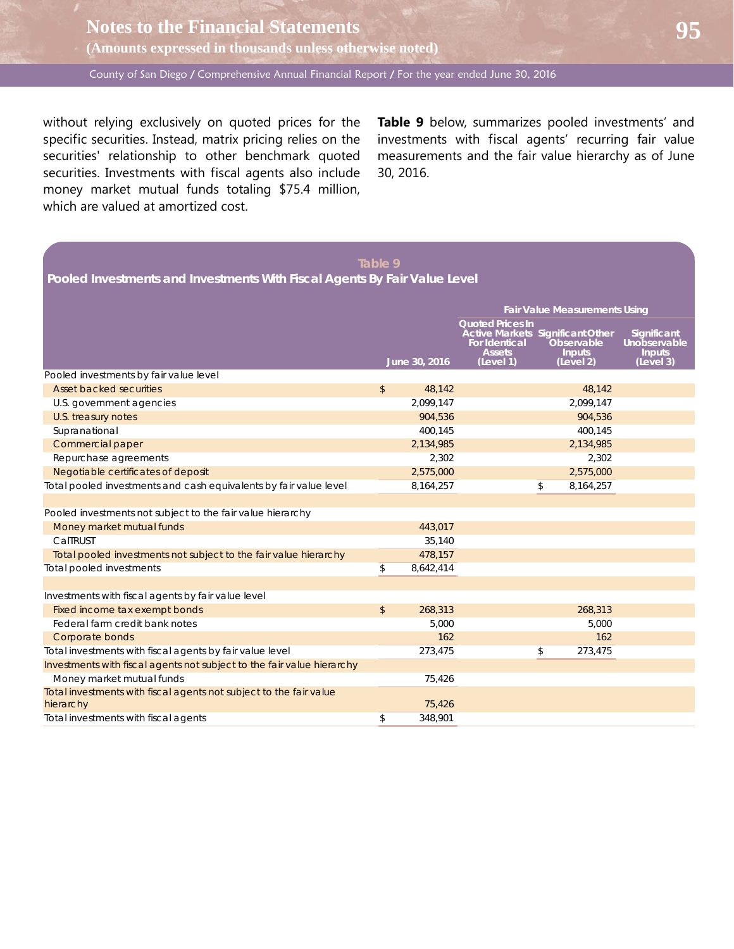without relying exclusively on quoted prices for the specific securities. Instead, matrix pricing relies on the securities' relationship to other benchmark quoted securities. Investments with fiscal agents also include money market mutual funds totaling \$75.4 million, which are valued at amortized cost.

**Table 9** below, summarizes pooled investments' and investments with fiscal agents' recurring fair value measurements and the fair value hierarchy as of June 30, 2016.

|                                                                                 | Table 9      |               |                                                                        |                                                                                     |                                                           |  |  |  |
|---------------------------------------------------------------------------------|--------------|---------------|------------------------------------------------------------------------|-------------------------------------------------------------------------------------|-----------------------------------------------------------|--|--|--|
| Pooled Investments and Investments With Fiscal Agents By Fair Value Level       |              |               |                                                                        |                                                                                     |                                                           |  |  |  |
|                                                                                 |              |               |                                                                        |                                                                                     |                                                           |  |  |  |
|                                                                                 |              |               |                                                                        | <b>Fair Value Measurements Using</b>                                                |                                                           |  |  |  |
|                                                                                 |              | June 30, 2016 | <b>Quoted Prices In</b><br>For Identical<br><b>Assets</b><br>(Level 1) | <b>Active Markets Significant Other</b><br>Observable<br><b>Inputs</b><br>(Level 2) | Significant<br>Unobservable<br><b>Inputs</b><br>(Level 3) |  |  |  |
| Pooled investments by fair value level                                          |              |               |                                                                        |                                                                                     |                                                           |  |  |  |
| <b>Asset backed securities</b>                                                  | \$           | 48,142        |                                                                        | 48,142                                                                              |                                                           |  |  |  |
| U.S. government agencies                                                        |              | 2,099,147     |                                                                        | 2,099,147                                                                           |                                                           |  |  |  |
| U.S. treasury notes                                                             |              | 904,536       |                                                                        | 904,536                                                                             |                                                           |  |  |  |
| Supranational                                                                   |              | 400,145       |                                                                        | 400,145                                                                             |                                                           |  |  |  |
| Commercial paper                                                                |              | 2,134,985     |                                                                        | 2,134,985                                                                           |                                                           |  |  |  |
| Repurchase agreements                                                           |              | 2,302         |                                                                        | 2,302                                                                               |                                                           |  |  |  |
| Negotiable certificates of deposit                                              |              | 2,575,000     |                                                                        | 2,575,000                                                                           |                                                           |  |  |  |
| Total pooled investments and cash equivalents by fair value level               |              | 8,164,257     |                                                                        | \$<br>8,164,257                                                                     |                                                           |  |  |  |
|                                                                                 |              |               |                                                                        |                                                                                     |                                                           |  |  |  |
| Pooled investments not subject to the fair value hierarchy                      |              |               |                                                                        |                                                                                     |                                                           |  |  |  |
| Money market mutual funds                                                       |              | 443,017       |                                                                        |                                                                                     |                                                           |  |  |  |
| CalTRUST                                                                        |              | 35,140        |                                                                        |                                                                                     |                                                           |  |  |  |
| Total pooled investments not subject to the fair value hierarchy                |              | 478,157       |                                                                        |                                                                                     |                                                           |  |  |  |
| Total pooled investments                                                        | \$           | 8,642,414     |                                                                        |                                                                                     |                                                           |  |  |  |
|                                                                                 |              |               |                                                                        |                                                                                     |                                                           |  |  |  |
| Investments with fiscal agents by fair value level                              |              |               |                                                                        |                                                                                     |                                                           |  |  |  |
| Fixed income tax exempt bonds                                                   | $\mathbb{S}$ | 268,313       |                                                                        | 268,313                                                                             |                                                           |  |  |  |
| Federal farm credit bank notes                                                  |              | 5,000         |                                                                        | 5,000                                                                               |                                                           |  |  |  |
| Corporate bonds                                                                 |              | 162           |                                                                        | 162                                                                                 |                                                           |  |  |  |
| Total investments with fiscal agents by fair value level                        |              | 273,475       |                                                                        | \$<br>273,475                                                                       |                                                           |  |  |  |
| Investments with fiscal agents not subject to the fair value hierarchy          |              |               |                                                                        |                                                                                     |                                                           |  |  |  |
| Money market mutual funds                                                       |              | 75,426        |                                                                        |                                                                                     |                                                           |  |  |  |
| Total investments with fiscal agents not subject to the fair value<br>hierarchy |              | 75,426        |                                                                        |                                                                                     |                                                           |  |  |  |
| Total investments with fiscal agents                                            | \$           | 348,901       |                                                                        |                                                                                     |                                                           |  |  |  |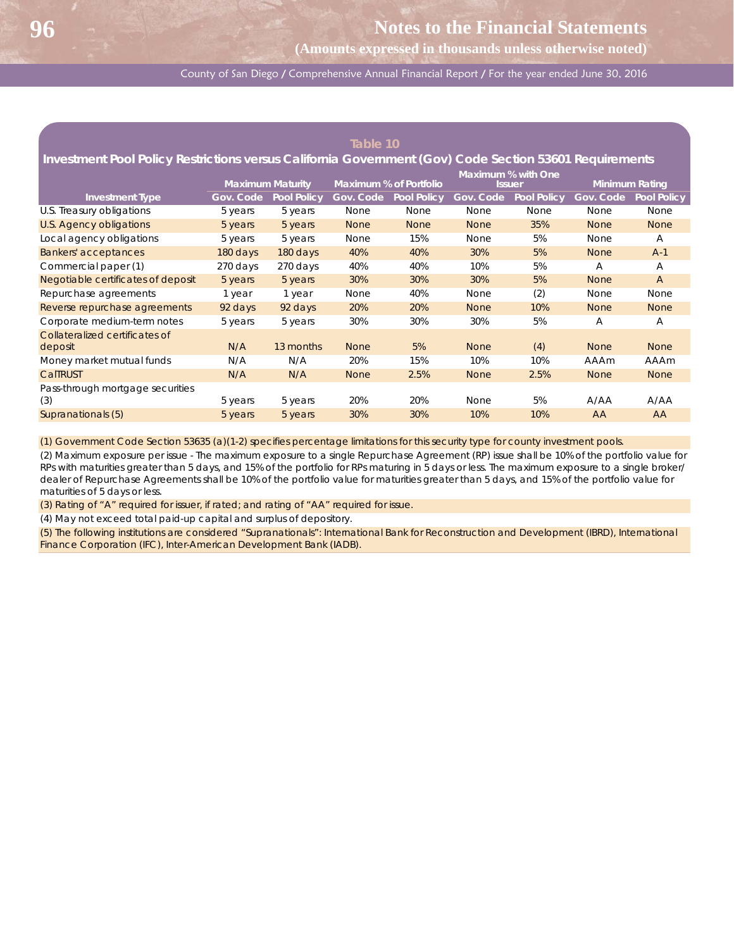# **(Amounts expressed in thousands unless otherwise noted)**

County of San Diego / Comprehensive Annual Financial Report / For the year ended June 30, 2016

| Table 10<br>Investment Pool Policy Restrictions versus California Government (Gov) Code Section 53601 Requirements |           |                         |             |                        |             |                                     |             |                       |  |
|--------------------------------------------------------------------------------------------------------------------|-----------|-------------------------|-------------|------------------------|-------------|-------------------------------------|-------------|-----------------------|--|
|                                                                                                                    |           | <b>Maximum Maturity</b> |             | Maximum % of Portfolio |             | Maximum % with One<br><b>Issuer</b> |             | <b>Minimum Rating</b> |  |
| <b>Investment Type</b>                                                                                             | Gov. Code | <b>Pool Policy</b>      | Gov. Code   | <b>Pool Policy</b>     | Gov. Code   | <b>Pool Policy</b>                  | Gov. Code   | <b>Pool Policy</b>    |  |
| U.S. Treasury obligations                                                                                          | 5 years   | 5 years                 | None        | None                   | None        | None                                | None        | None                  |  |
| U.S. Agency obligations                                                                                            | 5 years   | 5 years                 | <b>None</b> | <b>None</b>            | <b>None</b> | 35%                                 | <b>None</b> | <b>None</b>           |  |
| Local agency obligations                                                                                           | 5 years   | 5 years                 | None        | 15%                    | None        | 5%                                  | None        | A                     |  |
| <b>Bankers' acceptances</b>                                                                                        | 180 days  | 180 days                | 40%         | 40%                    | 30%         | 5%                                  | <b>None</b> | $A-1$                 |  |
| Commercial paper (1)                                                                                               | 270 days  | 270 days                | 40%         | 40%                    | 10%         | 5%                                  | Α           | A                     |  |
| Negotiable certificates of deposit                                                                                 | 5 years   | 5 years                 | 30%         | 30%                    | 30%         | 5%                                  | <b>None</b> | $\mathsf{A}$          |  |
| Repurchase agreements                                                                                              | 1 year    | 1 year                  | None        | 40%                    | None        | (2)                                 | None        | None                  |  |
| Reverse repurchase agreements                                                                                      | 92 days   | 92 days                 | 20%         | 20%                    | <b>None</b> | 10%                                 | <b>None</b> | <b>None</b>           |  |
| Corporate medium-term notes                                                                                        | 5 years   | 5 years                 | 30%         | 30%                    | 30%         | 5%                                  | Α           | A                     |  |
| Collateralized certificates of<br>deposit                                                                          | N/A       | 13 months               | <b>None</b> | 5%                     | <b>None</b> | (4)                                 | <b>None</b> | <b>None</b>           |  |
| Money market mutual funds                                                                                          | N/A       | N/A                     | 20%         | 15%                    | 10%         | 10%                                 | AAAm        | AAAm                  |  |
| CalTRUST                                                                                                           | N/A       | N/A                     | <b>None</b> | 2.5%                   | <b>None</b> | 2.5%                                | <b>None</b> | <b>None</b>           |  |
| Pass-through mortgage securities<br>(3)                                                                            | 5 years   | 5 years                 | 20%         | 20%                    | None        | 5%                                  | A/AA        | A/AA                  |  |
| Supranationals (5)                                                                                                 | 5 years   | 5 years                 | 30%         | 30%                    | 10%         | 10%                                 | AA          | AA                    |  |

(1) Government Code Section 53635 (a)(1-2) specifies percentage limitations for this security type for county investment pools.

(2) Maximum exposure per issue - The maximum exposure to a single Repurchase Agreement (RP) issue shall be 10% of the portfolio value for RPs with maturities greater than 5 days, and 15% of the portfolio for RPs maturing in 5 days or less. The maximum exposure to a single broker/ dealer of Repurchase Agreements shall be 10% of the portfolio value for maturities greater than 5 days, and 15% of the portfolio value for maturities of 5 days or less.

(3) Rating of "A" required for issuer, if rated; and rating of "AA" required for issue.

(4) May not exceed total paid-up capital and surplus of depository.

(5) The following institutions are considered "Supranationals": International Bank for Reconstruction and Development (IBRD), International Finance Corporation (IFC), Inter-American Development Bank (IADB).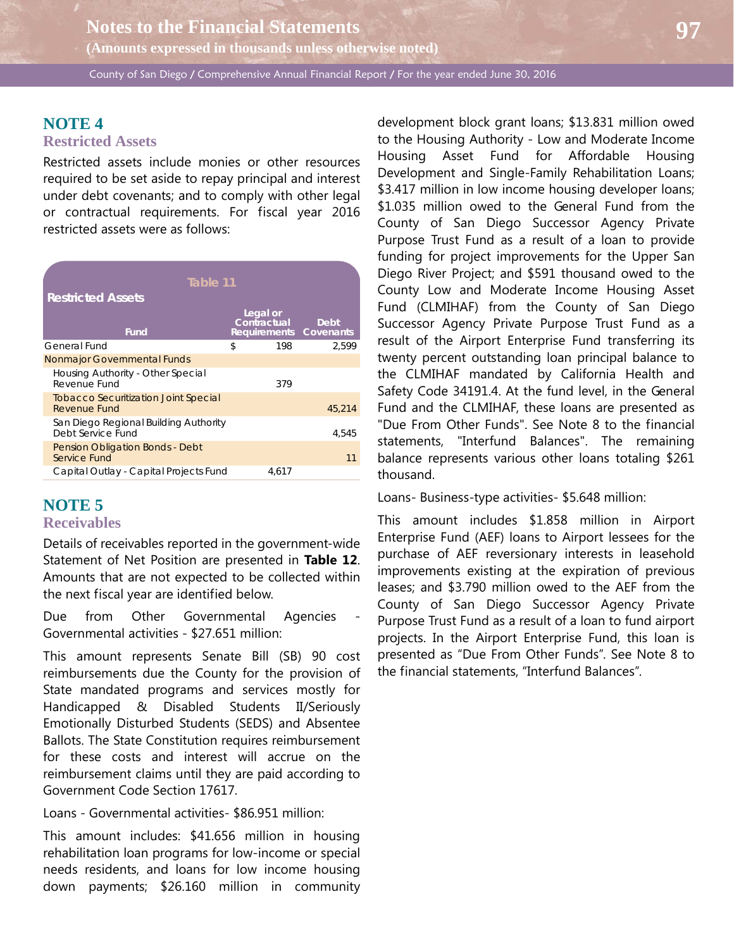**(Amounts expressed in thousands unless otherwise noted)**

County of San Diego / Comprehensive Annual Financial Report / For the year ended June 30, 2016

# **NOTE 4**

# **Restricted Assets**

Restricted assets include monies or other resources required to be set aside to repay principal and interest under debt covenants; and to comply with other legal or contractual requirements. For fiscal year 2016 restricted assets were as follows:

| Table 11<br><b>Restricted Assets</b>                        |                                              |        |
|-------------------------------------------------------------|----------------------------------------------|--------|
|                                                             | Legal or                                     |        |
| Fund                                                        | Contractual<br><b>Requirements Covenants</b> | Debt   |
| General Fund                                                | \$<br>198                                    | 2.599  |
| Nonmajor Governmental Funds                                 |                                              |        |
| Housing Authority - Other Special<br>Revenue Fund           | 379                                          |        |
| <b>Tobacco Securitization Joint Special</b><br>Revenue Fund |                                              | 45,214 |
| San Diego Regional Building Authority<br>Debt Service Fund  |                                              | 4.545  |
| Pension Obligation Bonds - Debt<br>Service Fund             |                                              | 11     |
| Capital Outlay - Capital Projects Fund                      | 4,617                                        |        |

# **NOTE 5**

## **Receivables**

Details of receivables reported in the government-wide Statement of Net Position are presented in **Table 12**. Amounts that are not expected to be collected within the next fiscal year are identified below.

Due from Other Governmental Agencies Governmental activities - \$27.651 million:

This amount represents Senate Bill (SB) 90 cost reimbursements due the County for the provision of State mandated programs and services mostly for Handicapped & Disabled Students II/Seriously Emotionally Disturbed Students (SEDS) and Absentee Ballots. The State Constitution requires reimbursement for these costs and interest will accrue on the reimbursement claims until they are paid according to Government Code Section 17617.

Loans - Governmental activities- \$86.951 million:

This amount includes: \$41.656 million in housing rehabilitation loan programs for low-income or special needs residents, and loans for low income housing down payments; \$26.160 million in community

development block grant loans; \$13.831 million owed to the Housing Authority - Low and Moderate Income Housing Asset Fund for Affordable Housing Development and Single-Family Rehabilitation Loans; \$3.417 million in low income housing developer loans; \$1.035 million owed to the General Fund from the County of San Diego Successor Agency Private Purpose Trust Fund as a result of a loan to provide funding for project improvements for the Upper San Diego River Project; and \$591 thousand owed to the County Low and Moderate Income Housing Asset Fund (CLMIHAF) from the County of San Diego Successor Agency Private Purpose Trust Fund as a result of the Airport Enterprise Fund transferring its twenty percent outstanding loan principal balance to the CLMIHAF mandated by California Health and Safety Code 34191.4. At the fund level, in the General Fund and the CLMIHAF, these loans are presented as "Due From Other Funds". See Note 8 to the financial statements, "Interfund Balances". The remaining balance represents various other loans totaling \$261 thousand.

Loans- Business-type activities- \$5.648 million:

This amount includes \$1.858 million in Airport Enterprise Fund (AEF) loans to Airport lessees for the purchase of AEF reversionary interests in leasehold improvements existing at the expiration of previous leases; and \$3.790 million owed to the AEF from the County of San Diego Successor Agency Private Purpose Trust Fund as a result of a loan to fund airport projects. In the Airport Enterprise Fund, this loan is presented as "Due From Other Funds". See Note 8 to the financial statements, "Interfund Balances".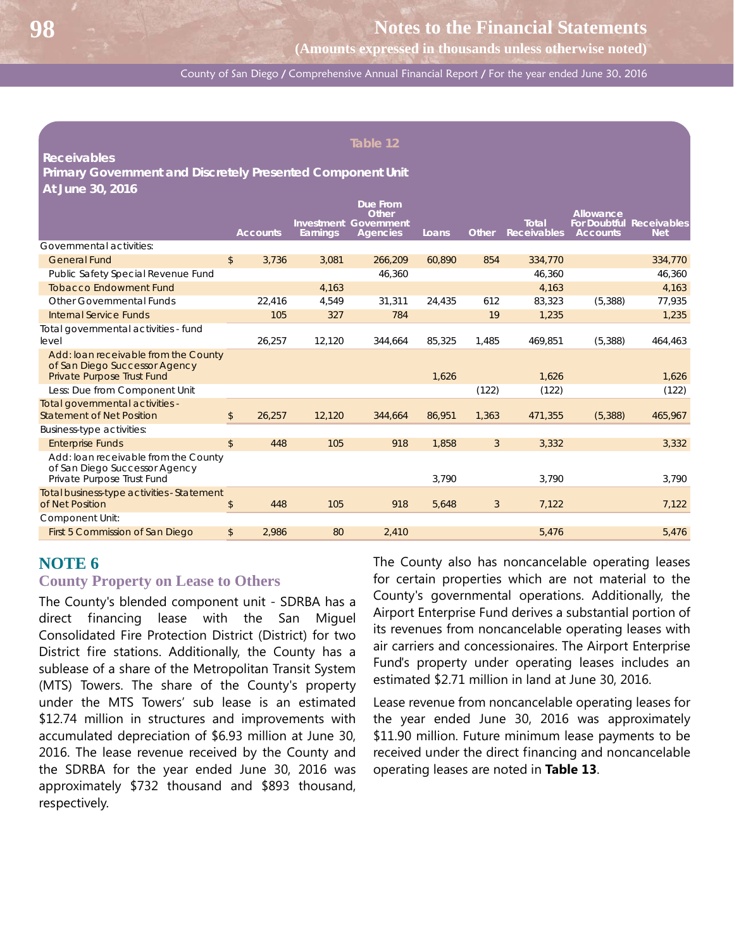**(Amounts expressed in thousands unless otherwise noted)**

County of San Diego / Comprehensive Annual Financial Report / For the year ended June 30, 2016

**Table 12**

|  | Receivables |
|--|-------------|
|  |             |
|  |             |

**Primary Government and Discretely Presented Component Unit At June 30, 2016**

|                                                                                                     |                |                 |                        | <b>Due From</b><br>Other      |        |       |                                    | Allowance       |                                               |
|-----------------------------------------------------------------------------------------------------|----------------|-----------------|------------------------|-------------------------------|--------|-------|------------------------------------|-----------------|-----------------------------------------------|
|                                                                                                     |                | <b>Accounts</b> | Investment<br>Earnings | Government<br><b>Agencies</b> | Loans  | Other | <b>Total</b><br><b>Receivables</b> | <b>Accounts</b> | <b>For Doubtful Receivables</b><br><b>Net</b> |
| Governmental activities:                                                                            |                |                 |                        |                               |        |       |                                    |                 |                                               |
| <b>General Fund</b>                                                                                 | $\mathfrak{D}$ | 3.736           | 3.081                  | 266,209                       | 60,890 | 854   | 334,770                            |                 | 334,770                                       |
| Public Safety Special Revenue Fund                                                                  |                |                 |                        | 46,360                        |        |       | 46.360                             |                 | 46,360                                        |
| <b>Tobacco Endowment Fund</b>                                                                       |                |                 | 4,163                  |                               |        |       | 4,163                              |                 | 4,163                                         |
| <b>Other Governmental Funds</b>                                                                     |                | 22.416          | 4.549                  | 31,311                        | 24.435 | 612   | 83.323                             | (5, 388)        | 77,935                                        |
| <b>Internal Service Funds</b>                                                                       |                | 105             | 327                    | 784                           |        | 19    | 1,235                              |                 | 1,235                                         |
| Total governmental activities - fund<br>level                                                       |                | 26,257          | 12,120                 | 344.664                       | 85,325 | 1.485 | 469,851                            | (5,388)         | 464,463                                       |
| Add: Ioan receivable from the County<br>of San Diego Successor Agency<br>Private Purpose Trust Fund |                |                 |                        |                               | 1,626  |       | 1.626                              |                 | 1,626                                         |
| Less: Due from Component Unit                                                                       |                |                 |                        |                               |        | (122) | (122)                              |                 | (122)                                         |
| Total governmental activities -<br><b>Statement of Net Position</b>                                 | \$             | 26,257          | 12.120                 | 344,664                       | 86,951 | 1.363 | 471,355                            | (5,388)         | 465,967                                       |
| Business-type activities:                                                                           |                |                 |                        |                               |        |       |                                    |                 |                                               |
| <b>Enterprise Funds</b>                                                                             | $\mathfrak{S}$ | 448             | 105                    | 918                           | 1.858  | 3     | 3.332                              |                 | 3,332                                         |
| Add: Ioan receivable from the County<br>of San Diego Successor Agency<br>Private Purpose Trust Fund |                |                 |                        |                               | 3,790  |       | 3,790                              |                 | 3,790                                         |
| Total business-type activities - Statement<br>of Net Position                                       | \$             | 448             | 105                    | 918                           | 5,648  | 3     | 7,122                              |                 | 7,122                                         |
| Component Unit:                                                                                     |                |                 |                        |                               |        |       |                                    |                 |                                               |
| First 5 Commission of San Diego                                                                     | \$             | 2,986           | 80                     | 2,410                         |        |       | 5,476                              |                 | 5,476                                         |

# **NOTE 6**

#### **County Property on Lease to Others**

The County's blended component unit - SDRBA has a direct financing lease with the San Miguel Consolidated Fire Protection District (District) for two District fire stations. Additionally, the County has a sublease of a share of the Metropolitan Transit System (MTS) Towers. The share of the County's property under the MTS Towers' sub lease is an estimated \$12.74 million in structures and improvements with accumulated depreciation of \$6.93 million at June 30, 2016. The lease revenue received by the County and the SDRBA for the year ended June 30, 2016 was approximately \$732 thousand and \$893 thousand, respectively.

The County also has noncancelable operating leases for certain properties which are not material to the County's governmental operations. Additionally, the Airport Enterprise Fund derives a substantial portion of its revenues from noncancelable operating leases with air carriers and concessionaires. The Airport Enterprise Fund's property under operating leases includes an estimated \$2.71 million in land at June 30, 2016.

Lease revenue from noncancelable operating leases for the year ended June 30, 2016 was approximately \$11.90 million. Future minimum lease payments to be received under the direct financing and noncancelable operating leases are noted in **Table 13**.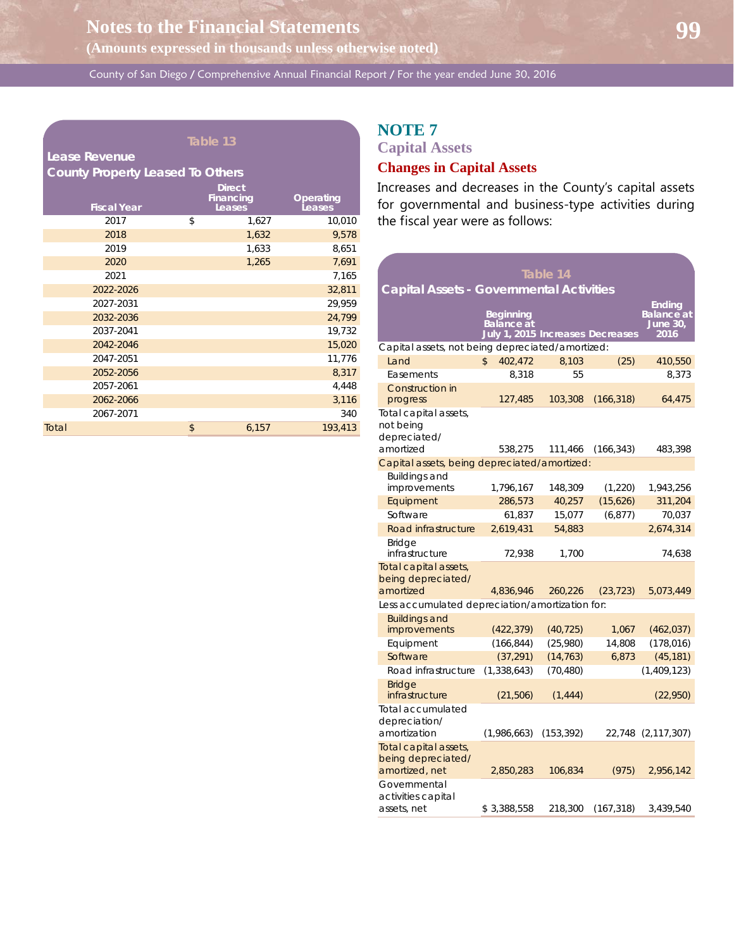**(Amounts expressed in thousands unless otherwise noted)**

County of San Diego / Comprehensive Annual Financial Report / For the year ended June 30, 2016

|                                         | Table 13 |                                             |                     |  |  |  |  |  |  |
|-----------------------------------------|----------|---------------------------------------------|---------------------|--|--|--|--|--|--|
| Lease Revenue                           |          |                                             |                     |  |  |  |  |  |  |
| <b>County Property Leased To Others</b> |          |                                             |                     |  |  |  |  |  |  |
| <b>Fiscal Year</b>                      |          | <b>Direct</b><br>Financing<br><b>Leases</b> | Operating<br>Leases |  |  |  |  |  |  |
| 2017                                    | \$       | 1,627                                       | 10,010              |  |  |  |  |  |  |
| 2018                                    |          | 1,632                                       | 9,578               |  |  |  |  |  |  |
| 2019                                    |          | 1,633                                       | 8,651               |  |  |  |  |  |  |
| 2020                                    |          | 1,265                                       | 7,691               |  |  |  |  |  |  |
| 2021                                    |          |                                             | 7,165               |  |  |  |  |  |  |
| 2022-2026                               |          |                                             | 32,811              |  |  |  |  |  |  |
| 2027-2031                               |          |                                             | 29,959              |  |  |  |  |  |  |
| 2032-2036                               |          |                                             | 24,799              |  |  |  |  |  |  |
| 2037-2041                               |          |                                             | 19,732              |  |  |  |  |  |  |
| 2042-2046                               |          |                                             | 15,020              |  |  |  |  |  |  |
| 2047-2051                               |          |                                             | 11,776              |  |  |  |  |  |  |
| 2052-2056                               |          |                                             | 8,317               |  |  |  |  |  |  |
| 2057-2061                               |          |                                             | 4,448               |  |  |  |  |  |  |
| 2062-2066                               |          |                                             | 3,116               |  |  |  |  |  |  |
| 2067-2071                               |          |                                             | 340                 |  |  |  |  |  |  |
| Total                                   | \$       | 6,157                                       | 193,413             |  |  |  |  |  |  |

# **NOTE 7**

**Capital Assets**

# **Changes in Capital Assets**

Increases and decreases in the County's capital assets for governmental and business-type activities during the fiscal year were as follows:

|                                                                 |                                                                    | Table 14   |            |                                                              |
|-----------------------------------------------------------------|--------------------------------------------------------------------|------------|------------|--------------------------------------------------------------|
|                                                                 |                                                                    |            |            |                                                              |
| <b>Capital Assets - Governmental Activities</b>                 |                                                                    |            |            |                                                              |
|                                                                 | <b>Beginning</b><br>Balance at<br>July 1, 2015 Increases Decreases |            |            | <b>Ending</b><br>Balance at<br>June 30,<br>$\overline{2016}$ |
| Capital assets, not being depreciated/amortized:                |                                                                    |            |            |                                                              |
| Land                                                            | $\mathbf{\hat{z}}$<br>402,472                                      | 8,103      | (25)       | 410,550                                                      |
| Easements                                                       | 8,318                                                              | 55         |            | 8,373                                                        |
| Construction in<br>progress                                     | 127,485                                                            | 103,308    | (166, 318) | 64,475                                                       |
| Total capital assets,<br>not being<br>depreciated/<br>amortized | 538.275                                                            | 111,466    | (166, 343) | 483,398                                                      |
| Capital assets, being depreciated/amortized:                    |                                                                    |            |            |                                                              |
| <b>Buildings and</b>                                            |                                                                    |            |            |                                                              |
| improvements                                                    | 1,796,167                                                          | 148,309    | (1,220)    | 1,943,256                                                    |
| Equipment                                                       | 286,573                                                            | 40,257     | (15,626)   | 311,204                                                      |
| Software                                                        | 61,837                                                             | 15,077     | (6, 877)   | 70,037                                                       |
| Road infrastructure                                             | 2,619,431                                                          | 54,883     |            | 2,674,314                                                    |
| <b>Bridge</b><br>infrastructure                                 | 72,938                                                             | 1,700      |            | 74,638                                                       |
| Total capital assets,<br>being depreciated/<br>amortized        | 4,836,946                                                          | 260,226    | (23, 723)  | 5,073,449                                                    |
| Less accumulated depreciation/amortization for:                 |                                                                    |            |            |                                                              |
| <b>Buildings and</b><br>improvements                            | (422, 379)                                                         | (40, 725)  | 1,067      | (462, 037)                                                   |
| Equipment                                                       | (166, 844)                                                         | (25,980)   | 14,808     | (178, 016)                                                   |
| Software                                                        | (37, 291)                                                          | (14, 763)  | 6,873      | (45, 181)                                                    |
| Road infrastructure                                             | (1, 338, 643)                                                      | (70, 480)  |            | (1,409,123)                                                  |
| <b>Bridge</b><br>infrastructure                                 | (21, 506)                                                          | (1, 444)   |            | (22,950)                                                     |
| Total accumulated<br>depreciation/<br>amortization              | (1,986,663)                                                        | (153, 392) | 22,748     | (2, 117, 307)                                                |
| Total capital assets,                                           |                                                                    |            |            |                                                              |
| being depreciated/<br>amortized, net                            | 2,850,283                                                          | 106,834    | (975)      | 2,956,142                                                    |
| Governmental<br>activities capital<br>assets, net               | \$3,388,558                                                        | 218,300    | (167, 318) | 3,439,540                                                    |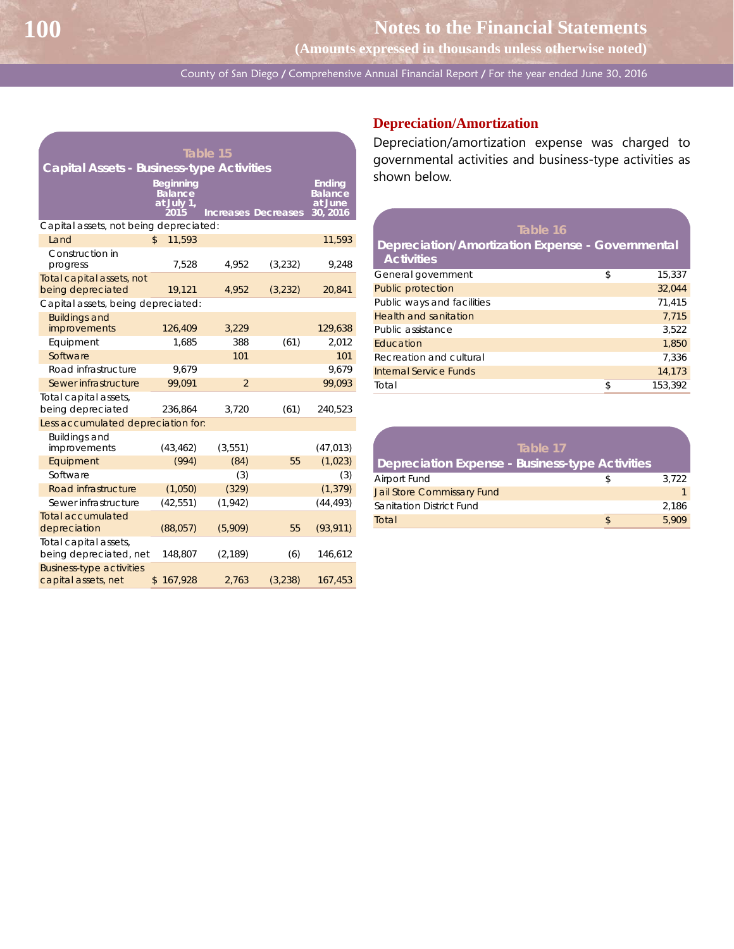County of San Diego / Comprehensive Annual Financial Report / For the year ended June 30, 2016

| Table 15                                               |                                        |                                                          |                |                            |                                                 |  |  |  |  |  |
|--------------------------------------------------------|----------------------------------------|----------------------------------------------------------|----------------|----------------------------|-------------------------------------------------|--|--|--|--|--|
| <b>Capital Assets - Business-type Activities</b>       |                                        |                                                          |                |                            |                                                 |  |  |  |  |  |
|                                                        |                                        | <b>Beginning</b><br><b>Balance</b><br>at July 1,<br>2015 |                | <b>Increases Decreases</b> | <b>Ending</b><br>Balance<br>at June<br>30, 2016 |  |  |  |  |  |
|                                                        | Capital assets, not being depreciated: |                                                          |                |                            |                                                 |  |  |  |  |  |
| Land                                                   | \$                                     | 11,593                                                   |                |                            | 11,593                                          |  |  |  |  |  |
| Construction in<br>progress                            |                                        | 7,528                                                    | 4,952          | (3, 232)                   | 9,248                                           |  |  |  |  |  |
| Total capital assets, not<br>being depreciated         |                                        | 19,121                                                   | 4,952          | (3, 232)                   | 20,841                                          |  |  |  |  |  |
| Capital assets, being depreciated:                     |                                        |                                                          |                |                            |                                                 |  |  |  |  |  |
| <b>Buildings and</b><br>improvements                   |                                        | 126,409                                                  | 3,229          |                            | 129,638                                         |  |  |  |  |  |
| Equipment                                              |                                        | 1.685                                                    | 388            | (61)                       | 2,012                                           |  |  |  |  |  |
| Software                                               |                                        |                                                          | 101            |                            | 101                                             |  |  |  |  |  |
| Road infrastructure                                    |                                        | 9,679                                                    |                |                            | 9,679                                           |  |  |  |  |  |
| Sewer infrastructure                                   |                                        | 99,091                                                   | $\overline{2}$ |                            | 99,093                                          |  |  |  |  |  |
| Total capital assets,<br>being depreciated             |                                        | 236,864                                                  | 3,720          | (61)                       | 240,523                                         |  |  |  |  |  |
| Less accumulated depreciation for:                     |                                        |                                                          |                |                            |                                                 |  |  |  |  |  |
| <b>Buildings and</b><br>improvements                   |                                        | (43, 462)                                                | (3, 551)       |                            | (47, 013)                                       |  |  |  |  |  |
| Equipment                                              |                                        | (994)                                                    | (84)           | 55                         | (1,023)                                         |  |  |  |  |  |
| Software                                               |                                        |                                                          | (3)            |                            | (3)                                             |  |  |  |  |  |
| <b>Road infrastructure</b>                             |                                        | (1,050)                                                  | (329)          |                            | (1, 379)                                        |  |  |  |  |  |
| Sewer infrastructure                                   |                                        | (42, 551)                                                | (1, 942)       |                            | (44, 493)                                       |  |  |  |  |  |
| <b>Total accumulated</b><br>depreciation               |                                        | (88,057)                                                 | (5,909)        | 55                         | (93, 911)                                       |  |  |  |  |  |
| Total capital assets,<br>being depreciated, net        |                                        | 148,807                                                  | (2, 189)       | (6)                        | 146,612                                         |  |  |  |  |  |
| <b>Business-type activities</b><br>capital assets, net | \$                                     | 167,928                                                  | 2,763          | (3, 238)                   | 167,453                                         |  |  |  |  |  |

# **Depreciation/Amortization**

Depreciation/amortization expense was charged to governmental activities and business-type activities as shown below.

| Table 16                                                                     |              |
|------------------------------------------------------------------------------|--------------|
| <b>Depreciation/Amortization Expense - Governmental</b><br><b>Activities</b> |              |
| General government                                                           | \$<br>15,337 |
| <b>Public protection</b>                                                     | 32.044       |
| Public ways and facilities                                                   | 71.415       |
| <b>Health and sanitation</b>                                                 | 7,715        |
| Public assistance                                                            | 3.522        |
| Education                                                                    | 1,850        |
| Recreation and cultural                                                      | 7.336        |
| Internal Service Funds                                                       | 14.173       |
| Total                                                                        | 153.392      |

| Table 17<br>Depreciation Expense - Business-type Activities |       |
|-------------------------------------------------------------|-------|
| Airport Fund                                                | 3.722 |
| <b>Jail Store Commissary Fund</b>                           |       |
| Sanitation District Fund                                    | 2.186 |
| Total                                                       | 5.909 |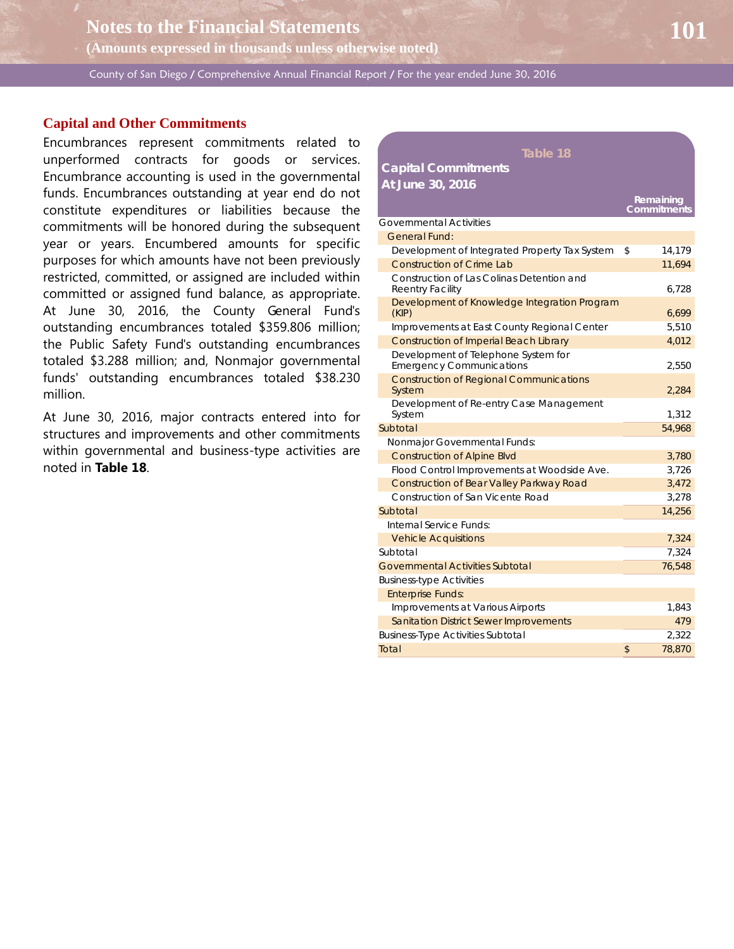**(Amounts expressed in thousands unless otherwise noted)**

County of San Diego / Comprehensive Annual Financial Report / For the year ended June 30, 2016

#### **Capital and Other Commitments**

Encumbrances represent commitments related to unperformed contracts for goods or services. Encumbrance accounting is used in the governmental funds. Encumbrances outstanding at year end do not constitute expenditures or liabilities because the commitments will be honored during the subsequent year or years. Encumbered amounts for specific purposes for which amounts have not been previously restricted, committed, or assigned are included within committed or assigned fund balance, as appropriate. At June 30, 2016, the County General Fund's outstanding encumbrances totaled \$359.806 million; the Public Safety Fund's outstanding encumbrances totaled \$3.288 million; and, Nonmajor governmental funds' outstanding encumbrances totaled \$38.230 million.

At June 30, 2016, major contracts entered into for structures and improvements and other commitments within governmental and business-type activities are noted in **Table 18**.

| Table 18                                                               |              |
|------------------------------------------------------------------------|--------------|
| <b>Capital Commitments</b>                                             |              |
| At June 30, 2016                                                       |              |
|                                                                        | Remaining    |
|                                                                        | Commitments  |
| <b>Governmental Activities</b>                                         |              |
| General Fund:                                                          |              |
| Development of Integrated Property Tax System                          | \$<br>14,179 |
| <b>Construction of Crime Lab</b>                                       | 11,694       |
| Construction of Las Colinas Detention and<br>Reentry Facility          | 6,728        |
| Development of Knowledge Integration Program<br>(KIP)                  | 6,699        |
| Improvements at East County Regional Center                            | 5,510        |
| <b>Construction of Imperial Beach Library</b>                          | 4,012        |
| Development of Telephone System for<br><b>Emergency Communications</b> | 2,550        |
| <b>Construction of Regional Communications</b><br>System               | 2,284        |
| Development of Re-entry Case Management<br>System                      | 1.312        |
| Subtotal                                                               | 54,968       |
| Nonmajor Governmental Funds:                                           |              |
| <b>Construction of Alpine Blvd</b>                                     | 3,780        |
| Flood Control Improvements at Woodside Ave.                            | 3,726        |
| Construction of Bear Valley Parkway Road                               | 3,472        |
| Construction of San Vicente Road                                       | 3,278        |
| Subtotal                                                               | 14,256       |
| Internal Service Funds:                                                |              |
| <b>Vehicle Acquisitions</b>                                            | 7,324        |
| Subtotal                                                               | 7,324        |
| <b>Governmental Activities Subtotal</b>                                | 76,548       |
| <b>Business-type Activities</b>                                        |              |
| <b>Enterprise Funds:</b>                                               |              |
| Improvements at Various Airports                                       | 1.843        |
| <b>Sanitation District Sewer Improvements</b>                          | 479          |
| <b>Business-Type Activities Subtotal</b>                               | 2,322        |
| Total                                                                  | \$<br>78,870 |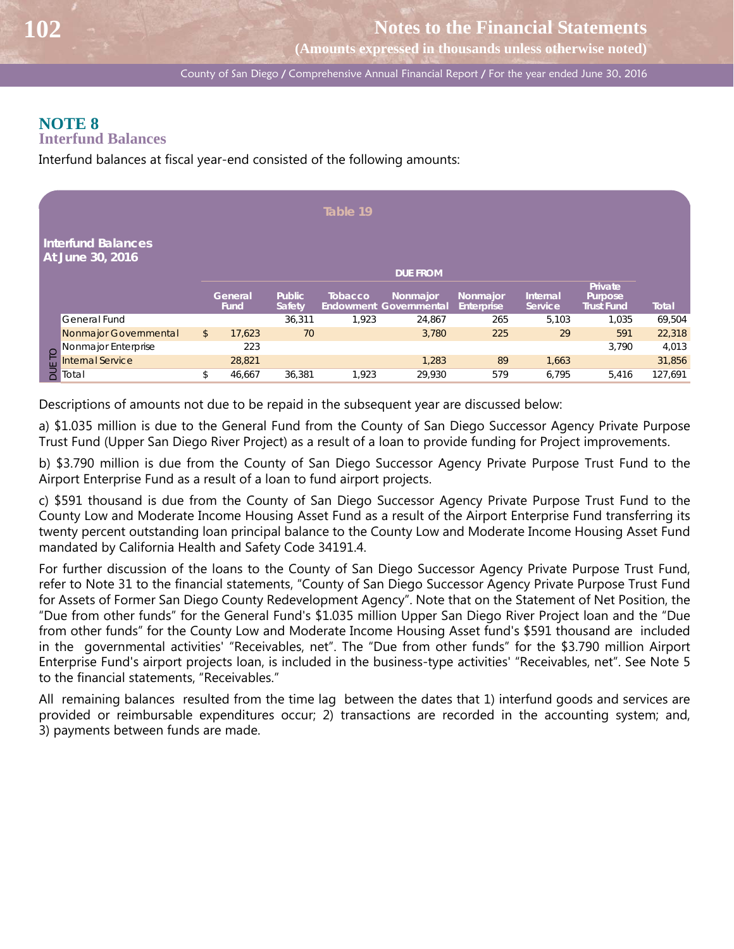County of San Diego / Comprehensive Annual Financial Report / For the year ended June 30, 2016

### **NOTE 8 Interfund Balances**

Interfund balances at fiscal year-end consisted of the following amounts:

|            | <b>Interfund Balances</b><br>At June 30, 2016 |               |                 |                                | Table 19 | <b>DUE FROM</b>                           |                               |                     |                                         |              |
|------------|-----------------------------------------------|---------------|-----------------|--------------------------------|----------|-------------------------------------------|-------------------------------|---------------------|-----------------------------------------|--------------|
|            |                                               |               | General<br>Fund | <b>Public</b><br><b>Safety</b> | Tobacco  | Nonmajor<br><b>Endowment Governmental</b> | Nonmajor<br><b>Enterprise</b> | Internal<br>Service | Private<br>Purpose<br><b>Trust Fund</b> | <b>Total</b> |
|            | General Fund                                  |               |                 | 36.311                         | 1.923    | 24.867                                    | 265                           | 5,103               | 1,035                                   | 69,504       |
|            | Nonmajor Governmental                         | $\mathcal{S}$ | 17.623          | 70                             |          | 3.780                                     | 225                           | 29                  | 591                                     | 22,318       |
|            | Nonmajor Enterprise                           |               | 223             |                                |          |                                           |                               |                     | 3.790                                   | 4,013        |
|            | <b>Internal Service</b>                       |               | 28,821          |                                |          | 1.283                                     | 89                            | 1,663               |                                         | 31,856       |
| <b>JUE</b> | Total                                         | \$            | 46,667          | 36,381                         | 1,923    | 29,930                                    | 579                           | 6.795               | 5,416                                   | 127,691      |

Descriptions of amounts not due to be repaid in the subsequent year are discussed below:

a) \$1.035 million is due to the General Fund from the County of San Diego Successor Agency Private Purpose Trust Fund (Upper San Diego River Project) as a result of a loan to provide funding for Project improvements.

b) \$3.790 million is due from the County of San Diego Successor Agency Private Purpose Trust Fund to the Airport Enterprise Fund as a result of a loan to fund airport projects.

c) \$591 thousand is due from the County of San Diego Successor Agency Private Purpose Trust Fund to the County Low and Moderate Income Housing Asset Fund as a result of the Airport Enterprise Fund transferring its twenty percent outstanding loan principal balance to the County Low and Moderate Income Housing Asset Fund mandated by California Health and Safety Code 34191.4.

For further discussion of the loans to the County of San Diego Successor Agency Private Purpose Trust Fund, refer to Note 31 to the financial statements, "County of San Diego Successor Agency Private Purpose Trust Fund for Assets of Former San Diego County Redevelopment Agency". Note that on the Statement of Net Position, the "Due from other funds" for the General Fund's \$1.035 million Upper San Diego River Project loan and the "Due from other funds" for the County Low and Moderate Income Housing Asset fund's \$591 thousand are included in the governmental activities' "Receivables, net". The "Due from other funds" for the \$3.790 million Airport Enterprise Fund's airport projects loan, is included in the business-type activities' "Receivables, net". See Note 5 to the financial statements, "Receivables."

All remaining balances resulted from the time lag between the dates that 1) interfund goods and services are provided or reimbursable expenditures occur; 2) transactions are recorded in the accounting system; and, 3) payments between funds are made.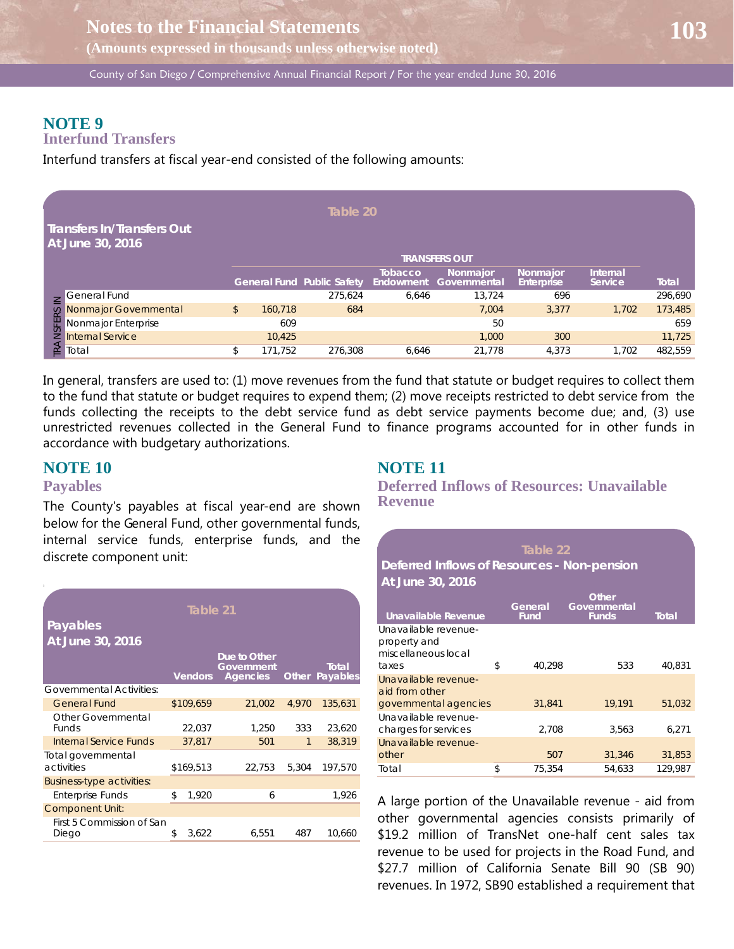County of San Diego / Comprehensive Annual Financial Report / For the year ended June 30, 2016 **(Amounts expressed in thousands unless otherwise noted)**

#### **NOTE 9 Interfund Transfers**

Interfund transfers at fiscal year-end consisted of the following amounts:

|                  | Table 20<br>Transfers In/Transfers Out |    |                      |                                   |                      |                          |                                      |                     |              |
|------------------|----------------------------------------|----|----------------------|-----------------------------------|----------------------|--------------------------|--------------------------------------|---------------------|--------------|
| At June 30, 2016 |                                        |    | <b>TRANSFERS OUT</b> |                                   |                      |                          |                                      |                     |              |
|                  |                                        |    |                      | <b>General Fund Public Safety</b> | Tobacco<br>Endowment | Nonmajor<br>Governmental | <b>Nonmaior</b><br><b>Enterprise</b> | Internal<br>Service | <b>Total</b> |
| $\overline{z}$   | General Fund                           |    |                      | 275.624                           | 6.646                | 13.724                   | 696                                  |                     | 296,690      |
| RS               | Nonmajor Governmental                  | \$ | 160,718              | 684                               |                      | 7.004                    | 3.377                                | 1.702               | 173,485      |
| <b>NSFE</b>      | Nonmajor Enterprise                    |    | 609                  |                                   |                      | 50                       |                                      |                     | 659          |
|                  | <b>Internal Service</b>                |    | 10.425               |                                   |                      | 1.000                    | 300                                  |                     | 11,725       |
| 匞                | Total                                  |    | 171.752              | 276.308                           | 6.646                | 21.778                   | 4.373                                | 1.702               | 482,559      |

In general, transfers are used to: (1) move revenues from the fund that statute or budget requires to collect them to the fund that statute or budget requires to expend them; (2) move receipts restricted to debt service from the funds collecting the receipts to the debt service fund as debt service payments become due; and, (3) use unrestricted revenues collected in the General Fund to finance programs accounted for in other funds in accordance with budgetary authorizations.

# **NOTE 10**

#### **Payables**

The County's payables at fiscal year-end are shown below for the General Fund, other governmental funds, internal service funds, enterprise funds, and the discrete component unit:

|                                    | Table 21       |                                               |       |                   |
|------------------------------------|----------------|-----------------------------------------------|-------|-------------------|
| Payables                           |                |                                               |       |                   |
| At June 30, 2016                   |                |                                               |       |                   |
|                                    | <b>Vendors</b> | Due to Other<br>Government<br><b>Agencies</b> | Other | Total<br>Payables |
| Governmental Activities:           |                |                                               |       |                   |
| <b>General Fund</b>                | \$109,659      | 21,002                                        | 4,970 | 135.631           |
| Other Governmental<br><b>Funds</b> | 22,037         | 1,250                                         | 333   | 23,620            |
| Internal Service Funds             | 37,817         | 501                                           | 1     | 38,319            |
| Total governmental<br>activities   | \$169,513      | 22.753                                        | 5.304 | 197.570           |
| <b>Business-type activities:</b>   |                |                                               |       |                   |
| Enterprise Funds                   | \$<br>1,920    | 6                                             |       | 1,926             |
| <b>Component Unit:</b>             |                |                                               |       |                   |
| First 5 Commission of San<br>Diego | \$<br>3,622    | 6,551                                         | 487   | 10,660            |
|                                    |                |                                               |       |                   |

# **NOTE 11**

# **Deferred Inflows of Resources: Unavailable Revenue**

| Table 22<br>Deferred Inflows of Resources - Non-pension              |    |                 |                                       |         |  |  |  |  |
|----------------------------------------------------------------------|----|-----------------|---------------------------------------|---------|--|--|--|--|
| At June 30, 2016                                                     |    |                 |                                       |         |  |  |  |  |
| Unavailable Revenue                                                  |    | General<br>Fund | Other<br>Governmental<br><b>Funds</b> | Total   |  |  |  |  |
| Unavailable revenue-<br>property and<br>miscellaneous local<br>taxes | \$ | 40.298          | 533                                   | 40,831  |  |  |  |  |
| Unavailable revenue-<br>aid from other<br>governmental agencies      |    | 31,841          | 19,191                                | 51,032  |  |  |  |  |
| Unavailable revenue-<br>charges for services                         |    | 2.708           | 3.563                                 | 6.271   |  |  |  |  |
| Unavailable revenue-<br>other                                        |    | 507             | 31,346                                | 31,853  |  |  |  |  |
| Total                                                                | \$ | 75,354          | 54.633                                | 129.987 |  |  |  |  |

A large portion of the Unavailable revenue - aid from other governmental agencies consists primarily of \$19.2 million of TransNet one-half cent sales tax revenue to be used for projects in the Road Fund, and \$27.7 million of California Senate Bill 90 (SB 90) revenues. In 1972, SB90 established a requirement that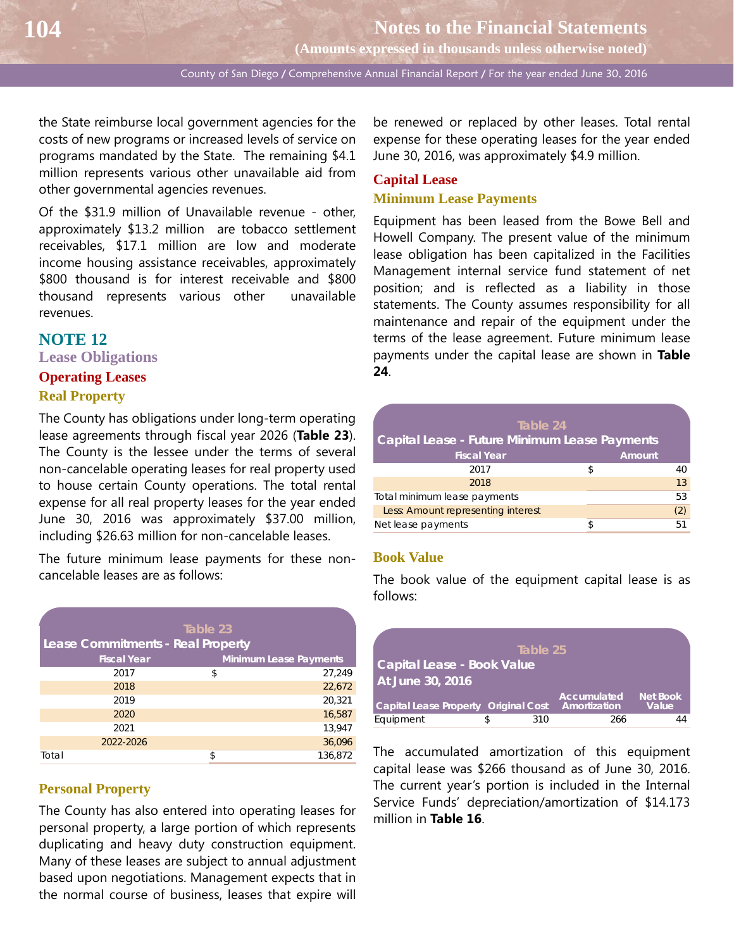County of San Diego / Comprehensive Annual Financial Report / For the year ended June 30, 2016

the State reimburse local government agencies for the costs of new programs or increased levels of service on programs mandated by the State. The remaining \$4.1 million represents various other unavailable aid from other governmental agencies revenues.

Of the \$31.9 million of Unavailable revenue - other, approximately \$13.2 million are tobacco settlement receivables, \$17.1 million are low and moderate income housing assistance receivables, approximately \$800 thousand is for interest receivable and \$800 thousand represents various other unavailable revenues.

# **NOTE 12 Lease Obligations**

# **Operating Leases Real Property**

The County has obligations under long-term operating lease agreements through fiscal year 2026 (**Table 23**). The County is the lessee under the terms of several non-cancelable operating leases for real property used to house certain County operations. The total rental expense for all real property leases for the year ended June 30, 2016 was approximately \$37.00 million, including \$26.63 million for non-cancelable leases.

The future minimum lease payments for these noncancelable leases are as follows:

| Table 23           |                                   |                               |  |  |  |  |  |  |
|--------------------|-----------------------------------|-------------------------------|--|--|--|--|--|--|
|                    | Lease Commitments - Real Property |                               |  |  |  |  |  |  |
| <b>Fiscal Year</b> |                                   | <b>Minimum Lease Payments</b> |  |  |  |  |  |  |
| 2017               | \$                                | 27.249                        |  |  |  |  |  |  |
| 2018               |                                   | 22,672                        |  |  |  |  |  |  |
| 2019               |                                   | 20,321                        |  |  |  |  |  |  |
| 2020               |                                   | 16,587                        |  |  |  |  |  |  |
| 2021               |                                   | 13,947                        |  |  |  |  |  |  |
| 2022-2026          |                                   | 36,096                        |  |  |  |  |  |  |
| Total              | ፍ                                 | 136,872                       |  |  |  |  |  |  |

### **Personal Property**

The County has also entered into operating leases for personal property, a large portion of which represents duplicating and heavy duty construction equipment. Many of these leases are subject to annual adjustment based upon negotiations. Management expects that in the normal course of business, leases that expire will

be renewed or replaced by other leases. Total rental expense for these operating leases for the year ended June 30, 2016, was approximately \$4.9 million.

# **Capital Lease Minimum Lease Payments**

Equipment has been leased from the Bowe Bell and Howell Company. The present value of the minimum lease obligation has been capitalized in the Facilities Management internal service fund statement of net position; and is reflected as a liability in those statements. The County assumes responsibility for all maintenance and repair of the equipment under the terms of the lease agreement. Future minimum lease payments under the capital lease are shown in **Table 24**.

| Table 24                                                            |        |     |
|---------------------------------------------------------------------|--------|-----|
| Capital Lease - Future Minimum Lease Payments<br><b>Fiscal Year</b> | Amount |     |
| 2017                                                                | \$     | 40  |
| 2018                                                                |        | 13  |
| Total minimum lease payments                                        |        | 53  |
| Less: Amount representing interest                                  |        | (2) |
| Net lease payments                                                  |        | 51  |

### **Book Value**

The book value of the equipment capital lease is as follows:

|                                                       |  | Table 25 |                             |                          |  |  |  |
|-------------------------------------------------------|--|----------|-----------------------------|--------------------------|--|--|--|
| <b>Capital Lease - Book Value</b><br>At June 30, 2016 |  |          |                             |                          |  |  |  |
| Capital Lease Property Original Cost                  |  |          | Accumulated<br>Amortization | <b>Net Book</b><br>Value |  |  |  |
| Equipment                                             |  | 310      | 266                         | 44                       |  |  |  |

The accumulated amortization of this equipment capital lease was \$266 thousand as of June 30, 2016. The current year's portion is included in the Internal Service Funds' depreciation/amortization of \$14.173 million in **Table 16**.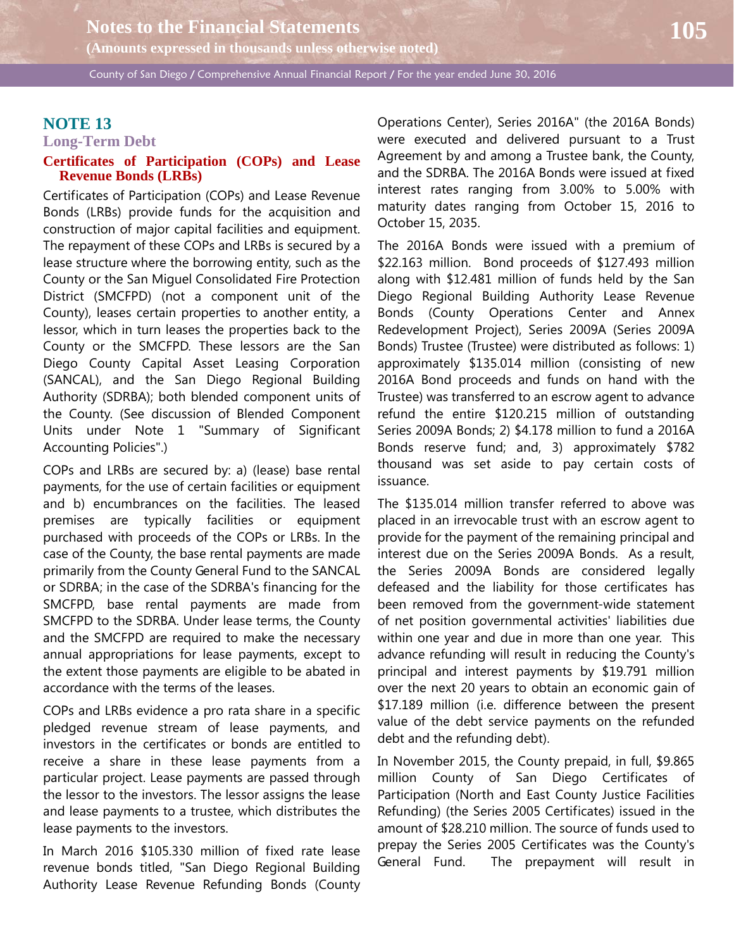**(Amounts expressed in thousands unless otherwise noted)**

County of San Diego / Comprehensive Annual Financial Report / For the year ended June 30, 2016

# **NOTE 13**

## **Long-Term Debt**

#### **Certificates of Participation (COPs) and Lease Revenue Bonds (LRBs)**

Certificates of Participation (COPs) and Lease Revenue Bonds (LRBs) provide funds for the acquisition and construction of major capital facilities and equipment. The repayment of these COPs and LRBs is secured by a lease structure where the borrowing entity, such as the County or the San Miguel Consolidated Fire Protection District (SMCFPD) (not a component unit of the County), leases certain properties to another entity, a lessor, which in turn leases the properties back to the County or the SMCFPD. These lessors are the San Diego County Capital Asset Leasing Corporation (SANCAL), and the San Diego Regional Building Authority (SDRBA); both blended component units of the County. (See discussion of Blended Component Units under Note 1 "Summary of Significant Accounting Policies".)

COPs and LRBs are secured by: a) (lease) base rental payments, for the use of certain facilities or equipment and b) encumbrances on the facilities. The leased premises are typically facilities or equipment purchased with proceeds of the COPs or LRBs. In the case of the County, the base rental payments are made primarily from the County General Fund to the SANCAL or SDRBA; in the case of the SDRBA's financing for the SMCFPD, base rental payments are made from SMCFPD to the SDRBA. Under lease terms, the County and the SMCFPD are required to make the necessary annual appropriations for lease payments, except to the extent those payments are eligible to be abated in accordance with the terms of the leases.

COPs and LRBs evidence a pro rata share in a specific pledged revenue stream of lease payments, and investors in the certificates or bonds are entitled to receive a share in these lease payments from a particular project. Lease payments are passed through the lessor to the investors. The lessor assigns the lease and lease payments to a trustee, which distributes the lease payments to the investors.

In March 2016 \$105.330 million of fixed rate lease revenue bonds titled, "San Diego Regional Building Authority Lease Revenue Refunding Bonds (County Operations Center), Series 2016A" (the 2016A Bonds) were executed and delivered pursuant to a Trust Agreement by and among a Trustee bank, the County, and the SDRBA. The 2016A Bonds were issued at fixed interest rates ranging from 3.00% to 5.00% with maturity dates ranging from October 15, 2016 to October 15, 2035.

The 2016A Bonds were issued with a premium of \$22.163 million. Bond proceeds of \$127.493 million along with \$12.481 million of funds held by the San Diego Regional Building Authority Lease Revenue Bonds (County Operations Center and Annex Redevelopment Project), Series 2009A (Series 2009A Bonds) Trustee (Trustee) were distributed as follows: 1) approximately \$135.014 million (consisting of new 2016A Bond proceeds and funds on hand with the Trustee) was transferred to an escrow agent to advance refund the entire \$120.215 million of outstanding Series 2009A Bonds; 2) \$4.178 million to fund a 2016A Bonds reserve fund; and, 3) approximately \$782 thousand was set aside to pay certain costs of issuance.

The \$135.014 million transfer referred to above was placed in an irrevocable trust with an escrow agent to provide for the payment of the remaining principal and interest due on the Series 2009A Bonds. As a result, the Series 2009A Bonds are considered legally defeased and the liability for those certificates has been removed from the government-wide statement of net position governmental activities' liabilities due within one year and due in more than one year. This advance refunding will result in reducing the County's principal and interest payments by \$19.791 million over the next 20 years to obtain an economic gain of \$17.189 million (i.e. difference between the present value of the debt service payments on the refunded debt and the refunding debt).

In November 2015, the County prepaid, in full, \$9.865 million County of San Diego Certificates of Participation (North and East County Justice Facilities Refunding) (the Series 2005 Certificates) issued in the amount of \$28.210 million. The source of funds used to prepay the Series 2005 Certificates was the County's General Fund. The prepayment will result in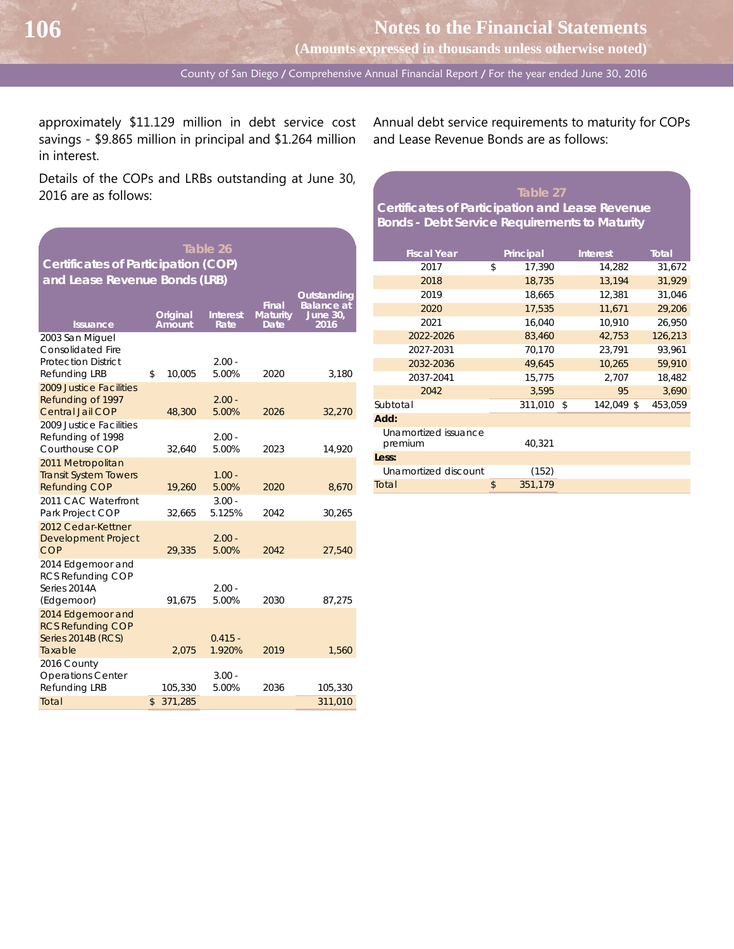approximately \$11.129 million in debt service cost savings - \$9.865 million in principal and \$1.264 million in interest.

Details of the COPs and LRBs outstanding at June 30, 2016 are as follows:

### **Table 26 Certificates of Participation (COP) and Lease Revenue Bonds (LRB)**

| <b>Issuance</b>                                                                                   | Original<br>Amount | <b>Interest</b><br>Rate | <b>Final</b><br><b>Maturity</b><br>Date | Outstanding<br><b>Balance</b> at<br><b>June 30,</b><br>2016 |
|---------------------------------------------------------------------------------------------------|--------------------|-------------------------|-----------------------------------------|-------------------------------------------------------------|
| 2003 San Miguel<br><b>Consolidated Fire</b><br><b>Protection District</b><br><b>Refunding LRB</b> | \$<br>10,005       | $2.00 -$<br>5.00%       | 2020                                    | 3,180                                                       |
| 2009 Justice Facilities<br>Refunding of 1997<br>Central Jail COP                                  | 48,300             | $2.00 -$<br>5.00%       | 2026                                    | 32,270                                                      |
| 2009 Justice Facilities<br>Refunding of 1998<br>Courthouse COP                                    | 32,640             | $2.00 -$<br>5.00%       | 2023                                    | 14,920                                                      |
| 2011 Metropolitan<br><b>Transit System Towers</b><br><b>Refunding COP</b>                         | 19,260             | $1.00 -$<br>5.00%       | 2020                                    | 8,670                                                       |
| 2011 CAC Waterfront<br>Park Project COP                                                           | 32,665             | $3.00 -$<br>5.125%      | 2042                                    | 30,265                                                      |
| 2012 Cedar-Kettner<br><b>Development Project</b><br>COP                                           | 29,335             | $2.00 -$<br>5.00%       | 2042                                    | 27,540                                                      |
| 2014 Edgemoor and<br><b>RCS Refunding COP</b><br>Series 2014A<br>(Edgemoor)                       | 91.675             | $2.00 -$<br>5.00%       | 2030                                    | 87,275                                                      |
| 2014 Edgemoor and<br><b>RCS Refunding COP</b><br>Series 2014B (RCS)<br>Taxable                    | 2,075              | $0.415 -$<br>1.920%     | 2019                                    | 1,560                                                       |
| 2016 County<br><b>Operations Center</b><br><b>Refunding LRB</b>                                   | 105,330            | $3.00 -$<br>5.00%       | 2036                                    | 105,330                                                     |
| Total                                                                                             | \$<br>371.285      |                         |                                         | 311,010                                                     |

Annual debt service requirements to maturity for COPs and Lease Revenue Bonds are as follows:

# **Table 27 Certificates of Participation and Lease Revenue Bonds - Debt Service Requirements to Maturity**

| <b>Fiscal Year</b>              | Principal     | <b>Interest</b>  | <b>Total</b> |
|---------------------------------|---------------|------------------|--------------|
| 2017                            | \$<br>17,390  | 14,282           | 31,672       |
| 2018                            | 18,735        | 13,194           | 31,929       |
| 2019                            | 18.665        | 12,381           | 31,046       |
| 2020                            | 17,535        | 11,671           | 29,206       |
| 2021                            | 16,040        | 10,910           | 26,950       |
| 2022-2026                       | 83,460        | 42,753           | 126,213      |
| 2027-2031                       | 70,170        | 23,791           | 93,961       |
| 2032-2036                       | 49,645        | 10,265           | 59,910       |
| 2037-2041                       | 15,775        | 2,707            | 18,482       |
| 2042                            | 3,595         | 95               | 3,690        |
| Subtotal                        | 311,010       | \$<br>142,049 \$ | 453,059      |
| Add:                            |               |                  |              |
| Unamortized issuance<br>premium | 40.321        |                  |              |
| Less:                           |               |                  |              |
| Unamortized discount            | (152)         |                  |              |
| Total                           | \$<br>351,179 |                  |              |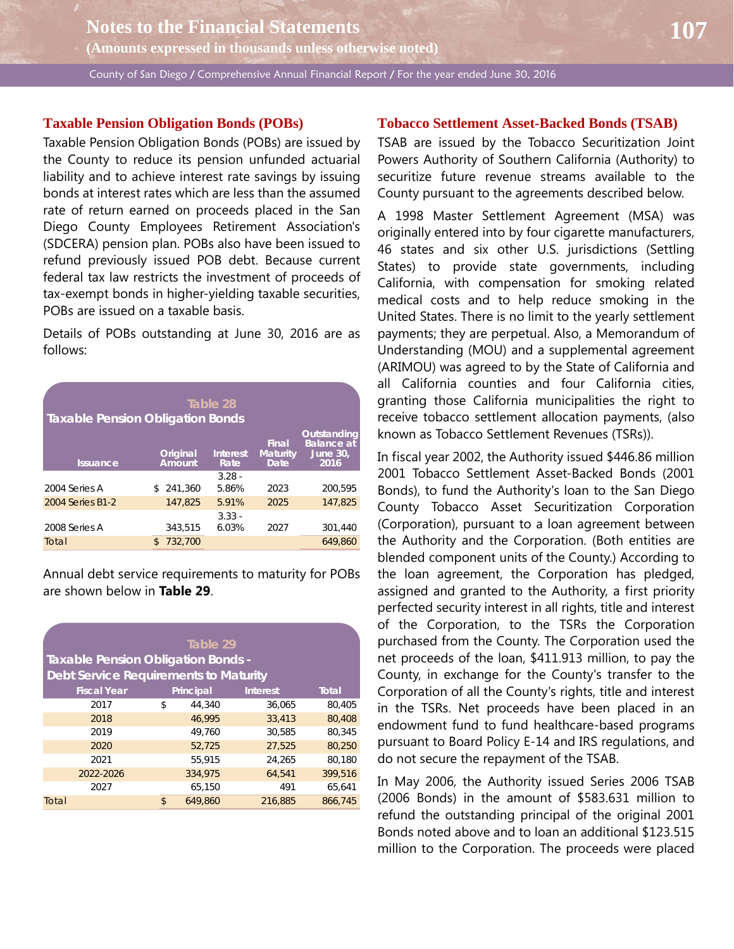### **Taxable Pension Obligation Bonds (POBs)**

Taxable Pension Obligation Bonds (POBs) are issued by the County to reduce its pension unfunded actuarial liability and to achieve interest rate savings by issuing bonds at interest rates which are less than the assumed rate of return earned on proceeds placed in the San Diego County Employees Retirement Association's (SDCERA) pension plan. POBs also have been issued to refund previously issued POB debt. Because current federal tax law restricts the investment of proceeds of tax-exempt bonds in higher-yielding taxable securities, POBs are issued on a taxable basis.

Details of POBs outstanding at June 30, 2016 are as follows:

| Table 28<br><b>Taxable Pension Obligation Bonds</b> |                    |                  |                                         |                                                             |  |  |  |  |  |
|-----------------------------------------------------|--------------------|------------------|-----------------------------------------|-------------------------------------------------------------|--|--|--|--|--|
| <b>Issuance</b>                                     | Original<br>Amount | Interest<br>Rate | <b>Final</b><br><b>Maturity</b><br>Date | Outstanding<br><b>Balance</b> at<br><b>June 30,</b><br>2016 |  |  |  |  |  |
|                                                     |                    | $3.28 -$         |                                         |                                                             |  |  |  |  |  |
| 2004 Series A                                       | 241.360<br>\$.     | 5.86%            | 2023                                    | 200.595                                                     |  |  |  |  |  |
| 2004 Series B1-2                                    | 147.825            | 5.91%            | 2025                                    | 147.825                                                     |  |  |  |  |  |
|                                                     |                    | $3.33 -$         |                                         |                                                             |  |  |  |  |  |
| 2008 Series A                                       | 343.515            | 6.03%            | 2027                                    | 301.440                                                     |  |  |  |  |  |
| Total                                               | 732,700<br>\$      |                  |                                         | 649.860                                                     |  |  |  |  |  |

Annual debt service requirements to maturity for POBs are shown below in **Table 29**.

| Table 29                                  |    |           |                 |              |  |  |  |  |
|-------------------------------------------|----|-----------|-----------------|--------------|--|--|--|--|
| <b>Taxable Pension Obligation Bonds -</b> |    |           |                 |              |  |  |  |  |
| Debt Service Requirements to Maturity     |    |           |                 |              |  |  |  |  |
| <b>Fiscal Year</b>                        |    | Principal | <b>Interest</b> | <b>Total</b> |  |  |  |  |
| 2017                                      | \$ | 44.340    | 36,065          | 80,405       |  |  |  |  |
| 2018                                      |    | 46,995    | 33,413          | 80,408       |  |  |  |  |
| 2019                                      |    | 49,760    | 30,585          | 80.345       |  |  |  |  |
| 2020                                      |    | 52,725    | 27.525          | 80,250       |  |  |  |  |
| 2021                                      |    | 55.915    | 24,265          | 80,180       |  |  |  |  |
| 2022-2026                                 |    | 334,975   | 64,541          | 399,516      |  |  |  |  |
| 2027                                      |    | 65.150    | 491             | 65,641       |  |  |  |  |
| Total                                     | \$ | 649.860   | 216.885         | 866.745      |  |  |  |  |

#### **Tobacco Settlement Asset-Backed Bonds (TSAB)**

TSAB are issued by the Tobacco Securitization Joint Powers Authority of Southern California (Authority) to securitize future revenue streams available to the County pursuant to the agreements described below.

A 1998 Master Settlement Agreement (MSA) was originally entered into by four cigarette manufacturers, 46 states and six other U.S. jurisdictions (Settling States) to provide state governments, including California, with compensation for smoking related medical costs and to help reduce smoking in the United States. There is no limit to the yearly settlement payments; they are perpetual. Also, a Memorandum of Understanding (MOU) and a supplemental agreement (ARIMOU) was agreed to by the State of California and all California counties and four California cities, granting those California municipalities the right to receive tobacco settlement allocation payments, (also known as Tobacco Settlement Revenues (TSRs)).

In fiscal year 2002, the Authority issued \$446.86 million 2001 Tobacco Settlement Asset-Backed Bonds (2001 Bonds), to fund the Authority's loan to the San Diego County Tobacco Asset Securitization Corporation (Corporation), pursuant to a loan agreement between the Authority and the Corporation. (Both entities are blended component units of the County.) According to the loan agreement, the Corporation has pledged, assigned and granted to the Authority, a first priority perfected security interest in all rights, title and interest of the Corporation, to the TSRs the Corporation purchased from the County. The Corporation used the net proceeds of the loan, \$411.913 million, to pay the County, in exchange for the County's transfer to the Corporation of all the County's rights, title and interest in the TSRs. Net proceeds have been placed in an endowment fund to fund healthcare-based programs pursuant to Board Policy E-14 and IRS regulations, and do not secure the repayment of the TSAB.

In May 2006, the Authority issued Series 2006 TSAB (2006 Bonds) in the amount of \$583.631 million to refund the outstanding principal of the original 2001 Bonds noted above and to loan an additional \$123.515 million to the Corporation. The proceeds were placed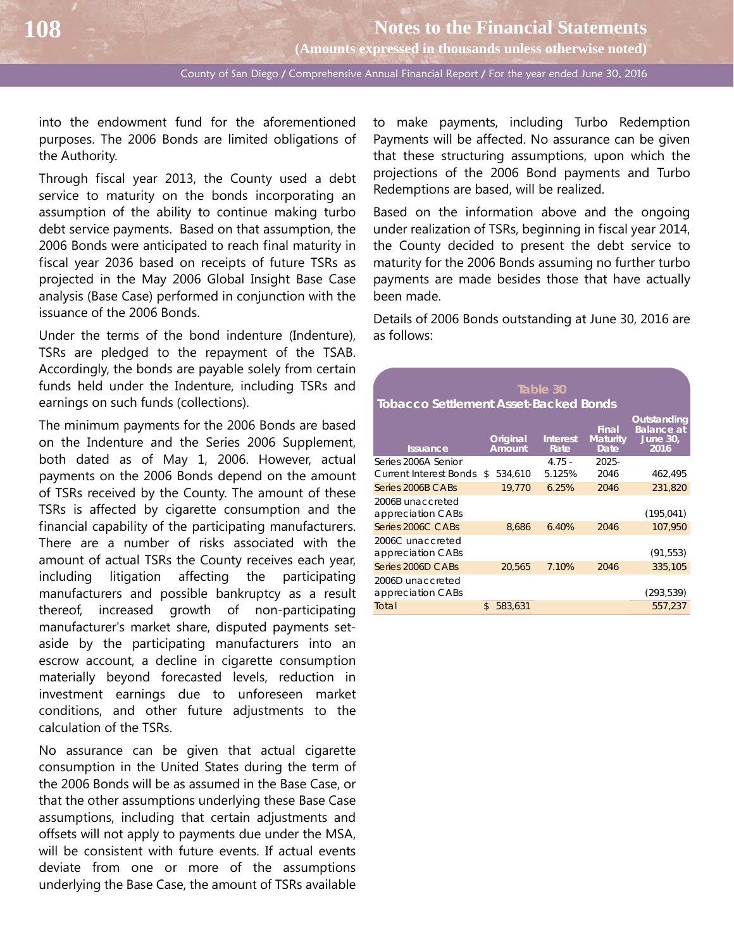County of San Diego / Comprehensive Annual Financial Report / For the year ended June 30, 2016

into the endowment fund for the aforementioned purposes. The 2006 Bonds are limited obligations of the Authority.

Through fiscal year 2013, the County used a debt service to maturity on the bonds incorporating an assumption of the ability to continue making turbo debt service payments. Based on that assumption, the 2006 Bonds were anticipated to reach final maturity in fiscal year 2036 based on receipts of future TSRs as projected in the May 2006 Global Insight Base Case analysis (Base Case) performed in conjunction with the issuance of the 2006 Bonds.

Under the terms of the bond indenture (Indenture), TSRs are pledged to the repayment of the TSAB. Accordingly, the bonds are payable solely from certain funds held under the Indenture, including TSRs and earnings on such funds (collections).

The minimum payments for the 2006 Bonds are based on the Indenture and the Series 2006 Supplement, both dated as of May 1, 2006. However, actual payments on the 2006 Bonds depend on the amount of TSRs received by the County. The amount of these TSRs is affected by cigarette consumption and the financial capability of the participating manufacturers. There are a number of risks associated with the amount of actual TSRs the County receives each year, including litigation affecting the participating manufacturers and possible bankruptcy as a result thereof, increased growth of non-participating manufacturer's market share, disputed payments setaside by the participating manufacturers into an escrow account, a decline in cigarette consumption materially beyond forecasted levels, reduction in investment earnings due to unforeseen market conditions, and other future adjustments to the calculation of the TSRs.

No assurance can be given that actual cigarette consumption in the United States during the term of the 2006 Bonds will be as assumed in the Base Case, or that the other assumptions underlying these Base Case assumptions, including that certain adjustments and offsets will not apply to payments due under the MSA, will be consistent with future events. If actual events deviate from one or more of the assumptions underlying the Base Case, the amount of TSRs available to make payments, including Turbo Redemption Payments will be affected. No assurance can be given that these structuring assumptions, upon which the projections of the 2006 Bond payments and Turbo Redemptions are based, will be realized.

Based on the information above and the ongoing under realization of TSRs, beginning in fiscal year 2014, the County decided to present the debt service to maturity for the 2006 Bonds assuming no further turbo payments are made besides those that have actually been made.

Details of 2006 Bonds outstanding at June 30, 2016 are as follows:

| Table 30<br><b>Tobacco Settlement Asset-Backed Bonds</b> |    |                    |                    |                                         |                                                      |  |  |  |  |
|----------------------------------------------------------|----|--------------------|--------------------|-----------------------------------------|------------------------------------------------------|--|--|--|--|
| <b>Issuance</b>                                          |    | Original<br>Amount | Interest<br>Rate   | <b>Final</b><br><b>Maturity</b><br>Date | Outstanding<br>Balance at<br><b>June 30,</b><br>2016 |  |  |  |  |
| Series 2006A Senior<br>Current Interest Bonds            | \$ | 534,610            | $4.75 -$<br>5.125% | $2025 -$<br>2046                        | 462,495                                              |  |  |  |  |
| Series 2006B CABs                                        |    | 19,770             | 6.25%              | 2046                                    | 231,820                                              |  |  |  |  |
| 2006B unaccreted<br>appreciation CABs                    |    |                    |                    |                                         | (195, 041)                                           |  |  |  |  |
| Series 2006C CABs                                        |    | 8.686              | 6.40%              | 2046                                    | 107,950                                              |  |  |  |  |
| 2006C unaccreted<br>appreciation CABs                    |    |                    |                    |                                         | (91, 553)                                            |  |  |  |  |
| Series 2006D CABs                                        |    | 20.565             | 7.10%              | 2046                                    | 335,105                                              |  |  |  |  |
| 2006D unaccreted<br>appreciation CABs                    |    |                    |                    |                                         | (293, 539)                                           |  |  |  |  |
| Total                                                    | \$ | 583,631            |                    |                                         | 557,237                                              |  |  |  |  |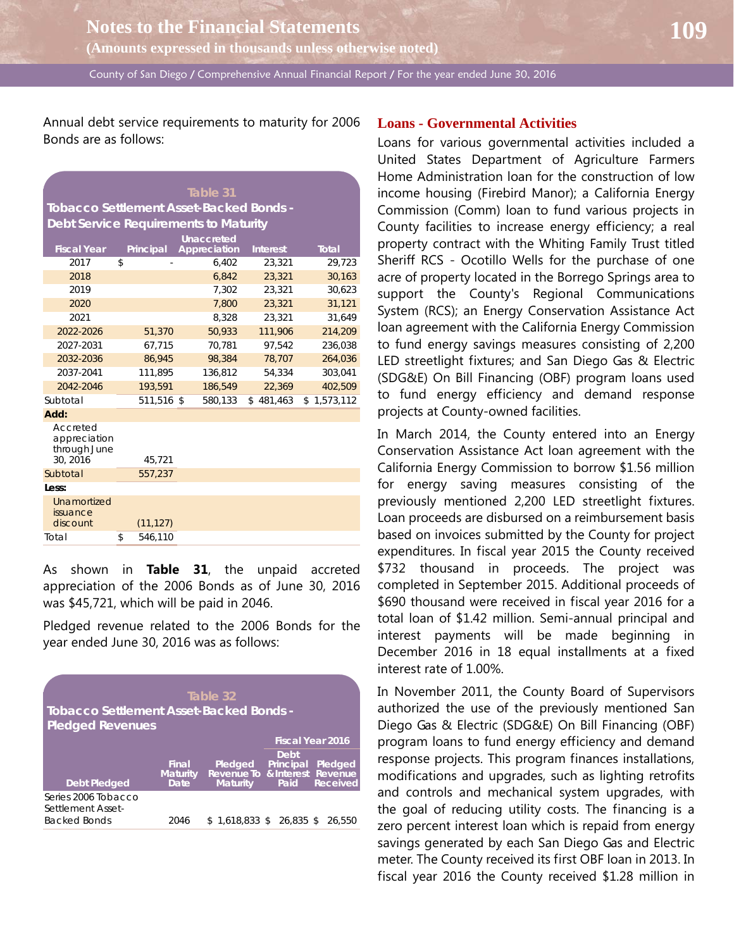Annual debt service requirements to maturity for 2006

Bonds are as follows:

|                                                      |                                       | Table 31     |                 |                 |  |  |  |  |  |  |
|------------------------------------------------------|---------------------------------------|--------------|-----------------|-----------------|--|--|--|--|--|--|
| <b>Tobacco Settlement Asset-Backed Bonds -</b>       |                                       |              |                 |                 |  |  |  |  |  |  |
|                                                      | Debt Service Requirements to Maturity |              |                 |                 |  |  |  |  |  |  |
| <b>Unaccreted</b>                                    |                                       |              |                 |                 |  |  |  |  |  |  |
| <b>Fiscal Year</b>                                   | Principal                             | Appreciation | <b>Interest</b> | <b>Total</b>    |  |  |  |  |  |  |
| 2017                                                 | \$                                    | 6.402        | 23,321          | 29,723          |  |  |  |  |  |  |
| 2018                                                 |                                       | 6,842        | 23,321          | 30,163          |  |  |  |  |  |  |
| 2019                                                 |                                       | 7.302        | 23.321          | 30.623          |  |  |  |  |  |  |
| 2020                                                 |                                       | 7,800        | 23,321          | 31,121          |  |  |  |  |  |  |
| 2021                                                 |                                       | 8.328        | 23.321          | 31.649          |  |  |  |  |  |  |
| 2022-2026                                            | 51,370                                | 50,933       | 111,906         | 214,209         |  |  |  |  |  |  |
| 2027-2031                                            | 67,715                                | 70,781       | 97,542          | 236,038         |  |  |  |  |  |  |
| 2032-2036                                            | 86.945                                | 98.384       | 78.707          | 264,036         |  |  |  |  |  |  |
| 2037-2041                                            | 111,895                               | 136,812      | 54,334          | 303,041         |  |  |  |  |  |  |
| 2042-2046                                            | 193.591                               | 186.549      | 22.369          | 402.509         |  |  |  |  |  |  |
| Subtotal                                             | 511,516 \$                            | 580,133      | \$481,463       | \$<br>1,573,112 |  |  |  |  |  |  |
| Add:                                                 |                                       |              |                 |                 |  |  |  |  |  |  |
| Accreted<br>appreciation<br>through June<br>30, 2016 | 45,721                                |              |                 |                 |  |  |  |  |  |  |
| Subtotal                                             | 557.237                               |              |                 |                 |  |  |  |  |  |  |
| Less:                                                |                                       |              |                 |                 |  |  |  |  |  |  |
| Unamortized<br>issuance<br>discount                  | (11, 127)                             |              |                 |                 |  |  |  |  |  |  |
| Total                                                | \$<br>546,110                         |              |                 |                 |  |  |  |  |  |  |

As shown in **Table 31**, the unpaid accreted appreciation of the 2006 Bonds as of June 30, 2016 was \$45,721, which will be paid in 2046.

Pledged revenue related to the 2006 Bonds for the year ended June 30, 2016 was as follows:

| <b>Tobacco Settlement Asset-Backed Bonds -</b><br><b>Pledged Revenues</b> |                                  | Table 32                                            |                           |                                       |
|---------------------------------------------------------------------------|----------------------------------|-----------------------------------------------------|---------------------------|---------------------------------------|
|                                                                           |                                  |                                                     |                           | <b>Fiscal Year 2016</b>               |
| <b>Debt Pledged</b>                                                       | Final<br><b>Maturity</b><br>Date | Pledged<br>Revenue To & Interest<br><b>Maturity</b> | Debt<br>Principal<br>Paid | Pledged<br>Revenue<br><b>Received</b> |
| Series 2006 Tobacco<br>Settlement Asset-<br>Backed Bonds                  | 2046                             | \$1.618.833\$                                       | 26.835 \$                 | 26.550                                |

### **Loans - Governmental Activities**

Loans for various governmental activities included a United States Department of Agriculture Farmers Home Administration loan for the construction of low income housing (Firebird Manor); a California Energy Commission (Comm) loan to fund various projects in County facilities to increase energy efficiency; a real property contract with the Whiting Family Trust titled Sheriff RCS - Ocotillo Wells for the purchase of one acre of property located in the Borrego Springs area to support the County's Regional Communications System (RCS); an Energy Conservation Assistance Act loan agreement with the California Energy Commission to fund energy savings measures consisting of 2,200 LED streetlight fixtures; and San Diego Gas & Electric (SDG&E) On Bill Financing (OBF) program loans used to fund energy efficiency and demand response projects at County-owned facilities.

In March 2014, the County entered into an Energy Conservation Assistance Act loan agreement with the California Energy Commission to borrow \$1.56 million for energy saving measures consisting of the previously mentioned 2,200 LED streetlight fixtures. Loan proceeds are disbursed on a reimbursement basis based on invoices submitted by the County for project expenditures. In fiscal year 2015 the County received \$732 thousand in proceeds. The project was completed in September 2015. Additional proceeds of \$690 thousand were received in fiscal year 2016 for a total loan of \$1.42 million. Semi-annual principal and interest payments will be made beginning in December 2016 in 18 equal installments at a fixed interest rate of 1.00%.

In November 2011, the County Board of Supervisors authorized the use of the previously mentioned San Diego Gas & Electric (SDG&E) On Bill Financing (OBF) program loans to fund energy efficiency and demand response projects. This program finances installations, modifications and upgrades, such as lighting retrofits and controls and mechanical system upgrades, with the goal of reducing utility costs. The financing is a zero percent interest loan which is repaid from energy savings generated by each San Diego Gas and Electric meter. The County received its first OBF loan in 2013. In fiscal year 2016 the County received \$1.28 million in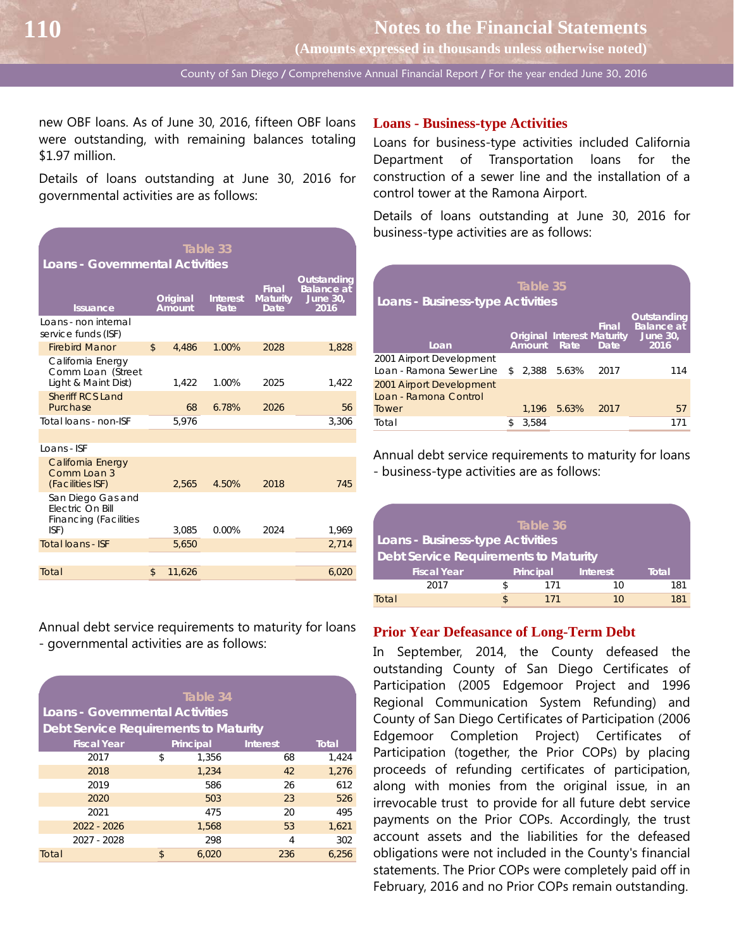County of San Diego / Comprehensive Annual Financial Report / For the year ended June 30, 2016

new OBF loans. As of June 30, 2016, fifteen OBF loans were outstanding, with remaining balances totaling \$1.97 million.

Details of loans outstanding at June 30, 2016 for governmental activities are as follows:

| Table 33<br><b>Loans - Governmental Activities</b> |        |                                                             |                                     |                                                 |  |
|----------------------------------------------------|--------|-------------------------------------------------------------|-------------------------------------|-------------------------------------------------|--|
|                                                    |        | Outstanding<br><b>Balance</b> at<br><b>June 30,</b><br>2016 |                                     |                                                 |  |
|                                                    |        |                                                             |                                     |                                                 |  |
| $\mathfrak{L}$                                     | 4,486  | 1.00%                                                       | 2028                                | 1,828                                           |  |
|                                                    | 1,422  | 1.00%                                                       | 2025                                | 1,422                                           |  |
|                                                    | 68     | 6.78%                                                       | 2026                                | 56                                              |  |
|                                                    | 5.976  |                                                             |                                     | 3,306                                           |  |
|                                                    |        |                                                             |                                     |                                                 |  |
|                                                    |        |                                                             |                                     |                                                 |  |
|                                                    | 2.565  | 4.50%                                                       | 2018                                | 745                                             |  |
|                                                    |        |                                                             |                                     |                                                 |  |
|                                                    |        |                                                             |                                     | 1.969                                           |  |
|                                                    | 5,650  |                                                             |                                     | 2,714                                           |  |
|                                                    |        |                                                             |                                     |                                                 |  |
| \$                                                 | 11.626 |                                                             |                                     | 6,020                                           |  |
|                                                    |        | Original<br>Amount<br>3.085                                 | <b>Interest</b><br>Rate<br>$0.00\%$ | <b>Final</b><br><b>Maturity</b><br>Date<br>2024 |  |

Annual debt service requirements to maturity for loans - governmental activities are as follows:

| Table 34                               |                |           |                 |              |  |  |  |  |
|----------------------------------------|----------------|-----------|-----------------|--------------|--|--|--|--|
| <b>Loans - Governmental Activities</b> |                |           |                 |              |  |  |  |  |
| Debt Service Requirements to Maturity  |                |           |                 |              |  |  |  |  |
| <b>Fiscal Year</b>                     |                | Principal | <b>Interest</b> | <b>Total</b> |  |  |  |  |
| 2017                                   | \$             | 1.356     | 68              | 1,424        |  |  |  |  |
| 2018                                   |                | 1,234     | 42              | 1,276        |  |  |  |  |
| 2019                                   |                | 586       | 26              | 612          |  |  |  |  |
| 2020                                   |                | 503       | 23              | 526          |  |  |  |  |
| 2021                                   |                | 475       | 20              | 495          |  |  |  |  |
| $2022 - 2026$                          |                | 1,568     | 53              | 1,621        |  |  |  |  |
| 2027 - 2028                            |                | 298       | 4               | 302          |  |  |  |  |
| Total                                  | $\mathfrak{F}$ | 6,020     | 236             | 6,256        |  |  |  |  |

#### **Loans - Business-type Activities**

Loans for business-type activities included California Department of Transportation loans for the construction of a sewer line and the installation of a control tower at the Ramona Airport.

Details of loans outstanding at June 30, 2016 for business-type activities are as follows:

| Loans - Business-type Activities                           |     | Table 35      |       |                                                           |                                                             |
|------------------------------------------------------------|-----|---------------|-------|-----------------------------------------------------------|-------------------------------------------------------------|
| Loan                                                       |     | <b>Amount</b> | Rate  | <b>Final</b><br><b>Original Interest Maturity</b><br>Date | Outstanding<br><b>Balance</b> at<br><b>June 30,</b><br>2016 |
| 2001 Airport Development<br>Loan - Ramona Sewer Line       | \$. | 2.388         | 5.63% | 2017                                                      | 114                                                         |
| 2001 Airport Development<br>Loan - Ramona Control<br>Tower |     | 1.196         | 5.63% | 2017                                                      | 57                                                          |
| Total                                                      | \$  | 3.584         |       |                                                           | 171                                                         |

Annual debt service requirements to maturity for loans - business-type activities are as follows:

|       |                                       | Table 36  |                 |       |
|-------|---------------------------------------|-----------|-----------------|-------|
|       | Loans - Business-type Activities      |           |                 |       |
|       | Debt Service Requirements to Maturity |           |                 |       |
|       | <b>Fiscal Year</b>                    | Principal | <b>Interest</b> | Total |
|       | 2017                                  | 171       | 10              | 181   |
| Total |                                       | 171       | 10              | 181   |

### **Prior Year Defeasance of Long-Term Debt**

In September, 2014, the County defeased the outstanding County of San Diego Certificates of Participation (2005 Edgemoor Project and 1996 Regional Communication System Refunding) and County of San Diego Certificates of Participation (2006 Edgemoor Completion Project) Certificates of Participation (together, the Prior COPs) by placing proceeds of refunding certificates of participation, along with monies from the original issue, in an irrevocable trust to provide for all future debt service payments on the Prior COPs. Accordingly, the trust account assets and the liabilities for the defeased obligations were not included in the County's financial statements. The Prior COPs were completely paid off in February, 2016 and no Prior COPs remain outstanding.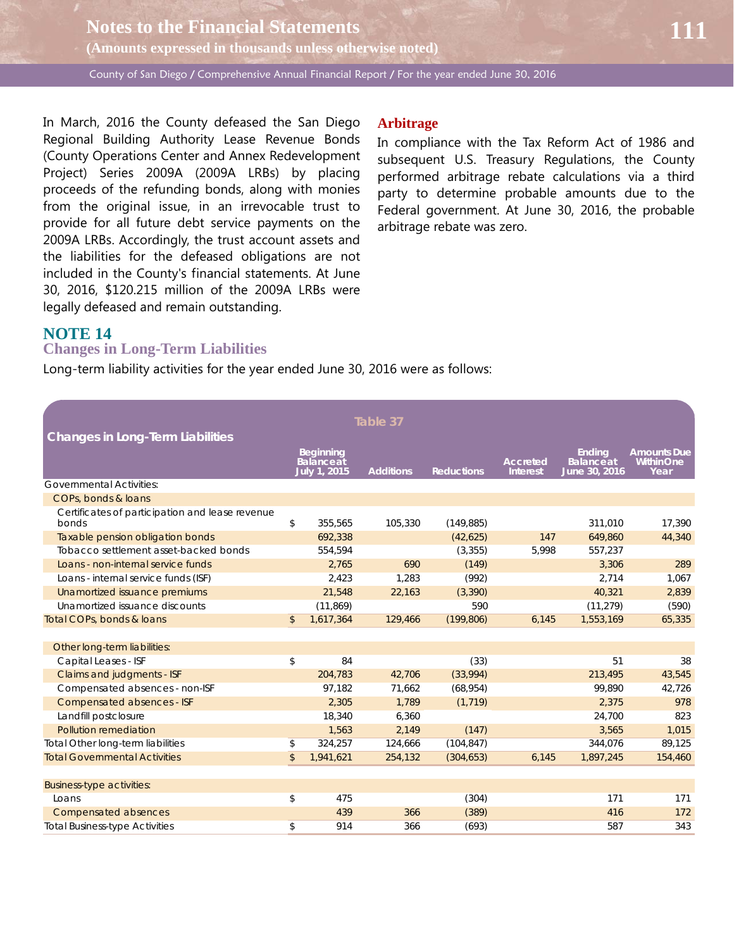County of San Diego / Comprehensive Annual Financial Report / For the year ended June 30, 2016

In March, 2016 the County defeased the San Diego Regional Building Authority Lease Revenue Bonds (County Operations Center and Annex Redevelopment Project) Series 2009A (2009A LRBs) by placing proceeds of the refunding bonds, along with monies from the original issue, in an irrevocable trust to provide for all future debt service payments on the 2009A LRBs. Accordingly, the trust account assets and the liabilities for the defeased obligations are not included in the County's financial statements. At June 30, 2016, \$120.215 million of the 2009A LRBs were legally defeased and remain outstanding.

#### **Arbitrage**

In compliance with the Tax Reform Act of 1986 and subsequent U.S. Treasury Regulations, the County performed arbitrage rebate calculations via a third party to determine probable amounts due to the Federal government. At June 30, 2016, the probable arbitrage rebate was zero.

### **NOTE 14**

### **Changes in Long-Term Liabilities**

Long-term liability activities for the year ended June 30, 2016 were as follows:

| <b>Changes in Long-Term Liabilities</b>                  |                |                                   | Table 37         |                   |                                    |                                    |                          |
|----------------------------------------------------------|----------------|-----------------------------------|------------------|-------------------|------------------------------------|------------------------------------|--------------------------|
|                                                          |                | <b>Beginning</b>                  |                  |                   |                                    | <b>Ending</b>                      | <b>Amounts Due</b>       |
|                                                          |                | <b>Balance</b> at<br>July 1, 2015 | <b>Additions</b> | <b>Reductions</b> | <b>Accreted</b><br><b>Interest</b> | <b>Balance</b> at<br>June 30, 2016 | <b>WithinOne</b><br>Year |
| <b>Governmental Activities:</b>                          |                |                                   |                  |                   |                                    |                                    |                          |
| COPs, bonds & loans                                      |                |                                   |                  |                   |                                    |                                    |                          |
| Certificates of participation and lease revenue<br>bonds | \$             | 355,565                           | 105,330          | (149, 885)        |                                    | 311,010                            | 17,390                   |
| Taxable pension obligation bonds                         |                | 692,338                           |                  | (42, 625)         | 147                                | 649,860                            | 44,340                   |
| Tobacco settlement asset-backed bonds                    |                | 554,594                           |                  | (3, 355)          | 5,998                              | 557,237                            |                          |
| Loans - non-internal service funds                       |                | 2,765                             | 690              | (149)             |                                    | 3,306                              | 289                      |
| Loans - internal service funds (ISF)                     |                | 2,423                             | 1,283            | (992)             |                                    | 2,714                              | 1,067                    |
| Unamortized issuance premiums                            |                | 21,548                            | 22,163           | (3,390)           |                                    | 40,321                             | 2,839                    |
| Unamortized issuance discounts                           |                | (11, 869)                         |                  | 590               |                                    | (11, 279)                          | (590)                    |
| Total COPs, bonds & loans                                | $\mathfrak{L}$ | 1,617,364                         | 129,466          | (199, 806)        | 6,145                              | 1,553,169                          | 65,335                   |
|                                                          |                |                                   |                  |                   |                                    |                                    |                          |
| Other long-term liabilities:                             |                |                                   |                  |                   |                                    |                                    |                          |
| Capital Leases - ISF                                     | \$             | 84                                |                  | (33)              |                                    | 51                                 | 38                       |
| Claims and judgments - ISF                               |                | 204,783                           | 42,706           | (33,994)          |                                    | 213,495                            | 43,545                   |
| Compensated absences - non-ISF                           |                | 97.182                            | 71,662           | (68, 954)         |                                    | 99,890                             | 42,726                   |
| Compensated absences - ISF                               |                | 2,305                             | 1,789            | (1, 719)          |                                    | 2,375                              | 978                      |
| Landfill postclosure                                     |                | 18,340                            | 6,360            |                   |                                    | 24,700                             | 823                      |
| Pollution remediation                                    |                | 1,563                             | 2,149            | (147)             |                                    | 3,565                              | 1,015                    |
| Total Other long-term liabilities                        | \$             | 324.257                           | 124,666          | (104, 847)        |                                    | 344,076                            | 89,125                   |
| <b>Total Governmental Activities</b>                     | $\mathsf{\$}$  | 1,941,621                         | 254,132          | (304, 653)        | 6,145                              | 1,897,245                          | 154,460                  |
|                                                          |                |                                   |                  |                   |                                    |                                    |                          |
| <b>Business-type activities:</b>                         |                |                                   |                  |                   |                                    |                                    |                          |
| Loans                                                    | \$             | 475                               |                  | (304)             |                                    | 171                                | 171                      |
| <b>Compensated absences</b>                              |                | 439                               | 366              | (389)             |                                    | 416                                | 172                      |
| <b>Total Business-type Activities</b>                    | \$             | 914                               | 366              | (693)             |                                    | 587                                | 343                      |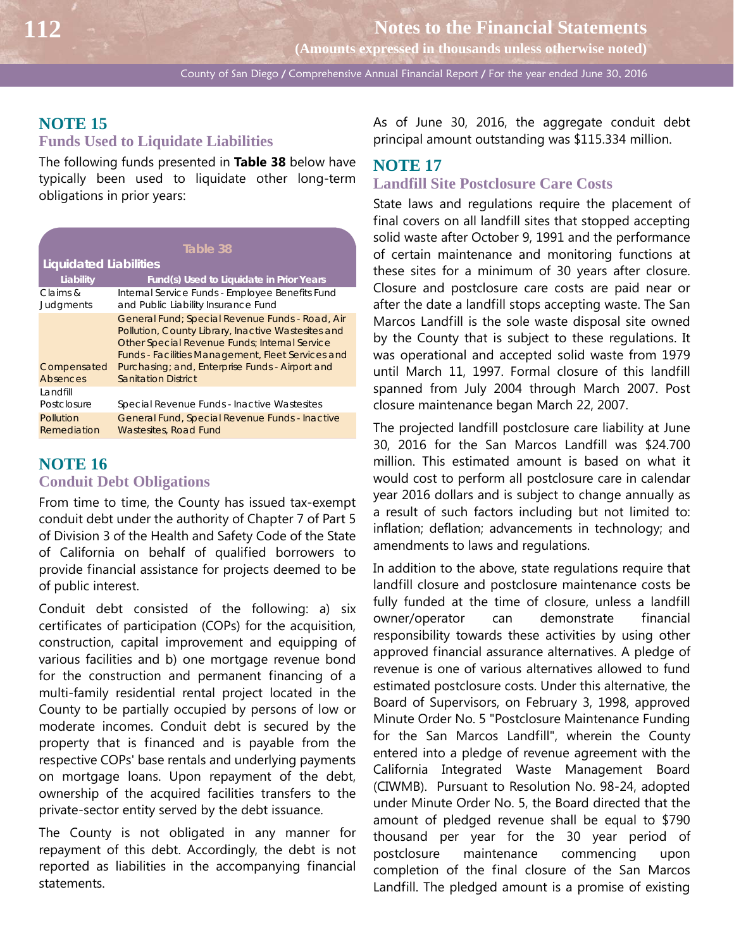County of San Diego / Comprehensive Annual Financial Report / For the year ended June 30, 2016

# **NOTE 15**

# **Funds Used to Liquidate Liabilities**

The following funds presented in **Table 38** below have typically been used to liquidate other long-term obligations in prior years:

|                               | Table 38                                                                                                                                                                                                                                                                                                   |
|-------------------------------|------------------------------------------------------------------------------------------------------------------------------------------------------------------------------------------------------------------------------------------------------------------------------------------------------------|
| <b>Liquidated Liabilities</b> |                                                                                                                                                                                                                                                                                                            |
| Liability                     | Fund(s) Used to Liquidate in Prior Years                                                                                                                                                                                                                                                                   |
| Claims &<br>Judgments         | Internal Service Funds - Employee Benefits Fund<br>and Public Liability Insurance Fund                                                                                                                                                                                                                     |
| Compensated<br>Absences       | General Fund; Special Revenue Funds - Road, Air<br>Pollution, County Library, Inactive Wastesites and<br><b>Other Special Revenue Funds: Internal Service</b><br><b>Funds - Facilities Management, Fleet Services and</b><br>Purchasing; and, Enterprise Funds - Airport and<br><b>Sanitation District</b> |
| Landfill<br>Postclosure       | Special Revenue Funds - Inactive Wastesites                                                                                                                                                                                                                                                                |
| Pollution<br>Remediation      | General Fund, Special Revenue Funds - Inactive<br>Wastesites, Road Fund                                                                                                                                                                                                                                    |

# **NOTE 16 Conduit Debt Obligations**

From time to time, the County has issued tax-exempt conduit debt under the authority of Chapter 7 of Part 5 of Division 3 of the Health and Safety Code of the State of California on behalf of qualified borrowers to provide financial assistance for projects deemed to be of public interest.

Conduit debt consisted of the following: a) six certificates of participation (COPs) for the acquisition, construction, capital improvement and equipping of various facilities and b) one mortgage revenue bond for the construction and permanent financing of a multi-family residential rental project located in the County to be partially occupied by persons of low or moderate incomes. Conduit debt is secured by the property that is financed and is payable from the respective COPs' base rentals and underlying payments on mortgage loans. Upon repayment of the debt, ownership of the acquired facilities transfers to the private-sector entity served by the debt issuance.

The County is not obligated in any manner for repayment of this debt. Accordingly, the debt is not reported as liabilities in the accompanying financial statements.

As of June 30, 2016, the aggregate conduit debt principal amount outstanding was \$115.334 million.

# **NOTE 17 Landfill Site Postclosure Care Costs**

State laws and regulations require the placement of final covers on all landfill sites that stopped accepting solid waste after October 9, 1991 and the performance of certain maintenance and monitoring functions at these sites for a minimum of 30 years after closure. Closure and postclosure care costs are paid near or after the date a landfill stops accepting waste. The San Marcos Landfill is the sole waste disposal site owned by the County that is subject to these regulations. It was operational and accepted solid waste from 1979 until March 11, 1997. Formal closure of this landfill spanned from July 2004 through March 2007. Post closure maintenance began March 22, 2007.

The projected landfill postclosure care liability at June 30, 2016 for the San Marcos Landfill was \$24.700 million. This estimated amount is based on what it would cost to perform all postclosure care in calendar year 2016 dollars and is subject to change annually as a result of such factors including but not limited to: inflation; deflation; advancements in technology; and amendments to laws and regulations.

In addition to the above, state regulations require that landfill closure and postclosure maintenance costs be fully funded at the time of closure, unless a landfill owner/operator can demonstrate financial responsibility towards these activities by using other approved financial assurance alternatives. A pledge of revenue is one of various alternatives allowed to fund estimated postclosure costs. Under this alternative, the Board of Supervisors, on February 3, 1998, approved Minute Order No. 5 "Postclosure Maintenance Funding for the San Marcos Landfill", wherein the County entered into a pledge of revenue agreement with the California Integrated Waste Management Board (CIWMB). Pursuant to Resolution No. 98-24, adopted under Minute Order No. 5, the Board directed that the amount of pledged revenue shall be equal to \$790 thousand per year for the 30 year period of postclosure maintenance commencing upon completion of the final closure of the San Marcos Landfill. The pledged amount is a promise of existing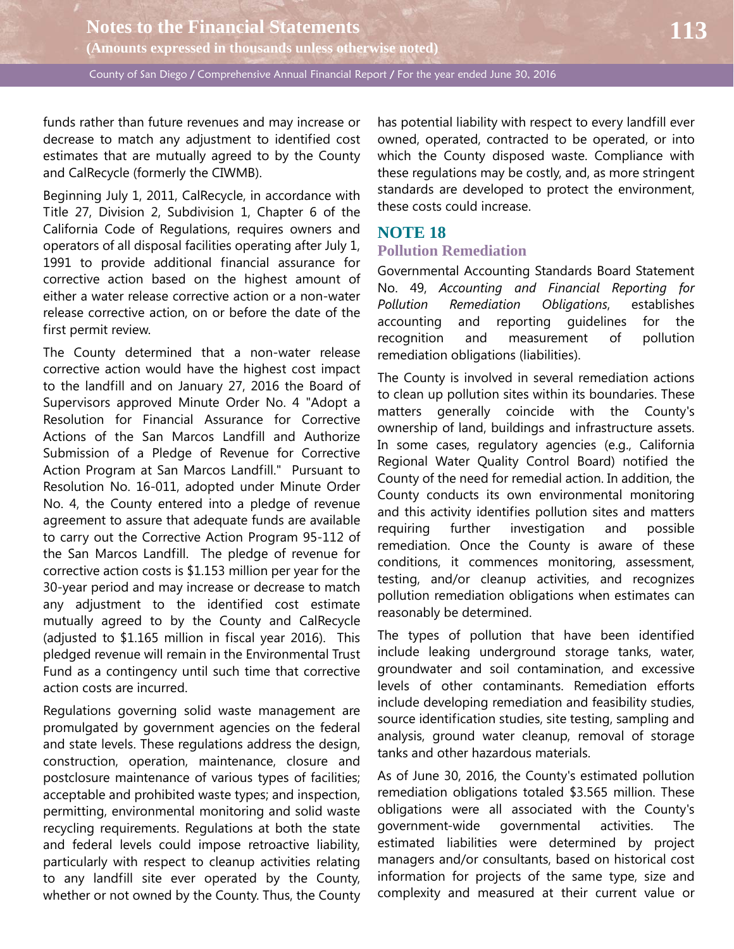funds rather than future revenues and may increase or decrease to match any adjustment to identified cost estimates that are mutually agreed to by the County and CalRecycle (formerly the CIWMB).

Beginning July 1, 2011, CalRecycle, in accordance with Title 27, Division 2, Subdivision 1, Chapter 6 of the California Code of Regulations, requires owners and operators of all disposal facilities operating after July 1, 1991 to provide additional financial assurance for corrective action based on the highest amount of either a water release corrective action or a non-water release corrective action, on or before the date of the first permit review.

The County determined that a non-water release corrective action would have the highest cost impact to the landfill and on January 27, 2016 the Board of Supervisors approved Minute Order No. 4 "Adopt a Resolution for Financial Assurance for Corrective Actions of the San Marcos Landfill and Authorize Submission of a Pledge of Revenue for Corrective Action Program at San Marcos Landfill." Pursuant to Resolution No. 16-011, adopted under Minute Order No. 4, the County entered into a pledge of revenue agreement to assure that adequate funds are available to carry out the Corrective Action Program 95-112 of the San Marcos Landfill. The pledge of revenue for corrective action costs is \$1.153 million per year for the 30-year period and may increase or decrease to match any adjustment to the identified cost estimate mutually agreed to by the County and CalRecycle (adjusted to \$1.165 million in fiscal year 2016). This pledged revenue will remain in the Environmental Trust Fund as a contingency until such time that corrective action costs are incurred.

Regulations governing solid waste management are promulgated by government agencies on the federal and state levels. These regulations address the design, construction, operation, maintenance, closure and postclosure maintenance of various types of facilities; acceptable and prohibited waste types; and inspection, permitting, environmental monitoring and solid waste recycling requirements. Regulations at both the state and federal levels could impose retroactive liability, particularly with respect to cleanup activities relating to any landfill site ever operated by the County, whether or not owned by the County. Thus, the County has potential liability with respect to every landfill ever owned, operated, contracted to be operated, or into which the County disposed waste. Compliance with these regulations may be costly, and, as more stringent standards are developed to protect the environment, these costs could increase.

## **NOTE 18**

### **Pollution Remediation**

Governmental Accounting Standards Board Statement No. 49, *Accounting and Financial Reporting for Pollution Remediation Obligations*, establishes accounting and reporting guidelines for the recognition and measurement of pollution remediation obligations (liabilities).

The County is involved in several remediation actions to clean up pollution sites within its boundaries. These matters generally coincide with the County's ownership of land, buildings and infrastructure assets. In some cases, regulatory agencies (e.g., California Regional Water Quality Control Board) notified the County of the need for remedial action. In addition, the County conducts its own environmental monitoring and this activity identifies pollution sites and matters requiring further investigation and possible remediation. Once the County is aware of these conditions, it commences monitoring, assessment, testing, and/or cleanup activities, and recognizes pollution remediation obligations when estimates can reasonably be determined.

The types of pollution that have been identified include leaking underground storage tanks, water, groundwater and soil contamination, and excessive levels of other contaminants. Remediation efforts include developing remediation and feasibility studies, source identification studies, site testing, sampling and analysis, ground water cleanup, removal of storage tanks and other hazardous materials.

As of June 30, 2016, the County's estimated pollution remediation obligations totaled \$3.565 million. These obligations were all associated with the County's government-wide governmental activities. The estimated liabilities were determined by project managers and/or consultants, based on historical cost information for projects of the same type, size and complexity and measured at their current value or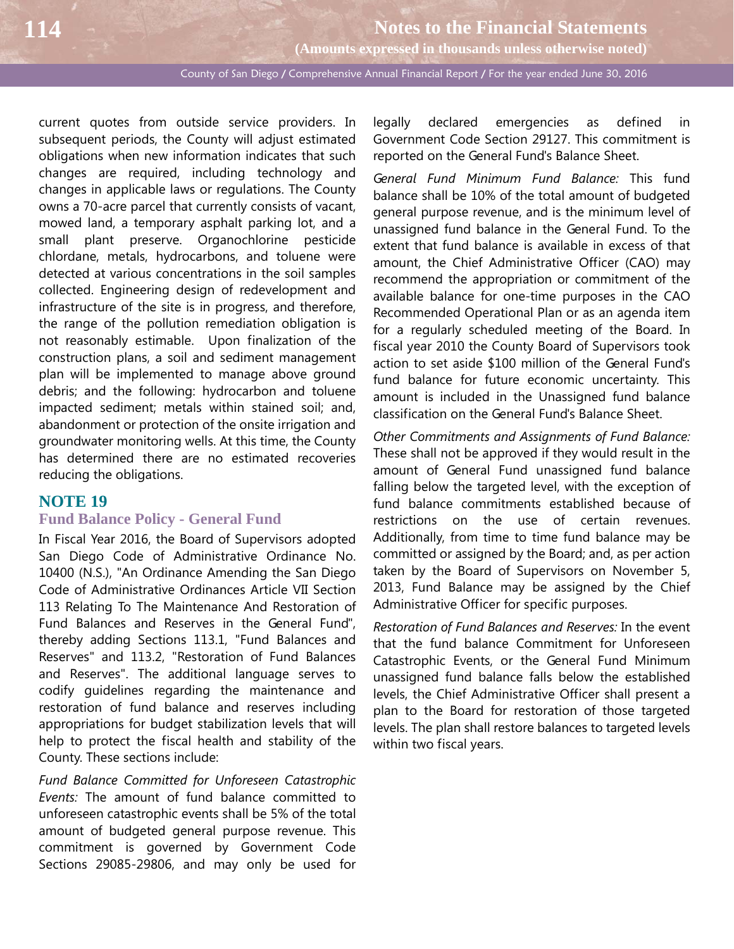County of San Diego / Comprehensive Annual Financial Report / For the year ended June 30, 2016

current quotes from outside service providers. In subsequent periods, the County will adjust estimated obligations when new information indicates that such changes are required, including technology and changes in applicable laws or regulations. The County owns a 70-acre parcel that currently consists of vacant, mowed land, a temporary asphalt parking lot, and a small plant preserve. Organochlorine pesticide chlordane, metals, hydrocarbons, and toluene were detected at various concentrations in the soil samples collected. Engineering design of redevelopment and infrastructure of the site is in progress, and therefore, the range of the pollution remediation obligation is not reasonably estimable. Upon finalization of the construction plans, a soil and sediment management plan will be implemented to manage above ground debris; and the following: hydrocarbon and toluene impacted sediment; metals within stained soil; and, abandonment or protection of the onsite irrigation and groundwater monitoring wells. At this time, the County has determined there are no estimated recoveries reducing the obligations.

# **NOTE 19**

## **Fund Balance Policy - General Fund**

In Fiscal Year 2016, the Board of Supervisors adopted San Diego Code of Administrative Ordinance No. 10400 (N.S.), "An Ordinance Amending the San Diego Code of Administrative Ordinances Article VII Section 113 Relating To The Maintenance And Restoration of Fund Balances and Reserves in the General Fund", thereby adding Sections 113.1, "Fund Balances and Reserves" and 113.2, "Restoration of Fund Balances and Reserves". The additional language serves to codify guidelines regarding the maintenance and restoration of fund balance and reserves including appropriations for budget stabilization levels that will help to protect the fiscal health and stability of the County. These sections include:

*Fund Balance Committed for Unforeseen Catastrophic Events:* The amount of fund balance committed to unforeseen catastrophic events shall be 5% of the total amount of budgeted general purpose revenue. This commitment is governed by Government Code Sections 29085-29806, and may only be used for legally declared emergencies as defined in Government Code Section 29127. This commitment is reported on the General Fund's Balance Sheet.

*General Fund Minimum Fund Balance:* This fund balance shall be 10% of the total amount of budgeted general purpose revenue, and is the minimum level of unassigned fund balance in the General Fund. To the extent that fund balance is available in excess of that amount, the Chief Administrative Officer (CAO) may recommend the appropriation or commitment of the available balance for one-time purposes in the CAO Recommended Operational Plan or as an agenda item for a regularly scheduled meeting of the Board. In fiscal year 2010 the County Board of Supervisors took action to set aside \$100 million of the General Fund's fund balance for future economic uncertainty. This amount is included in the Unassigned fund balance classification on the General Fund's Balance Sheet.

*Other Commitments and Assignments of Fund Balance:* These shall not be approved if they would result in the amount of General Fund unassigned fund balance falling below the targeted level, with the exception of fund balance commitments established because of restrictions on the use of certain revenues. Additionally, from time to time fund balance may be committed or assigned by the Board; and, as per action taken by the Board of Supervisors on November 5, 2013, Fund Balance may be assigned by the Chief Administrative Officer for specific purposes.

*Restoration of Fund Balances and Reserves:* In the event that the fund balance Commitment for Unforeseen Catastrophic Events, or the General Fund Minimum unassigned fund balance falls below the established levels, the Chief Administrative Officer shall present a plan to the Board for restoration of those targeted levels. The plan shall restore balances to targeted levels within two fiscal years.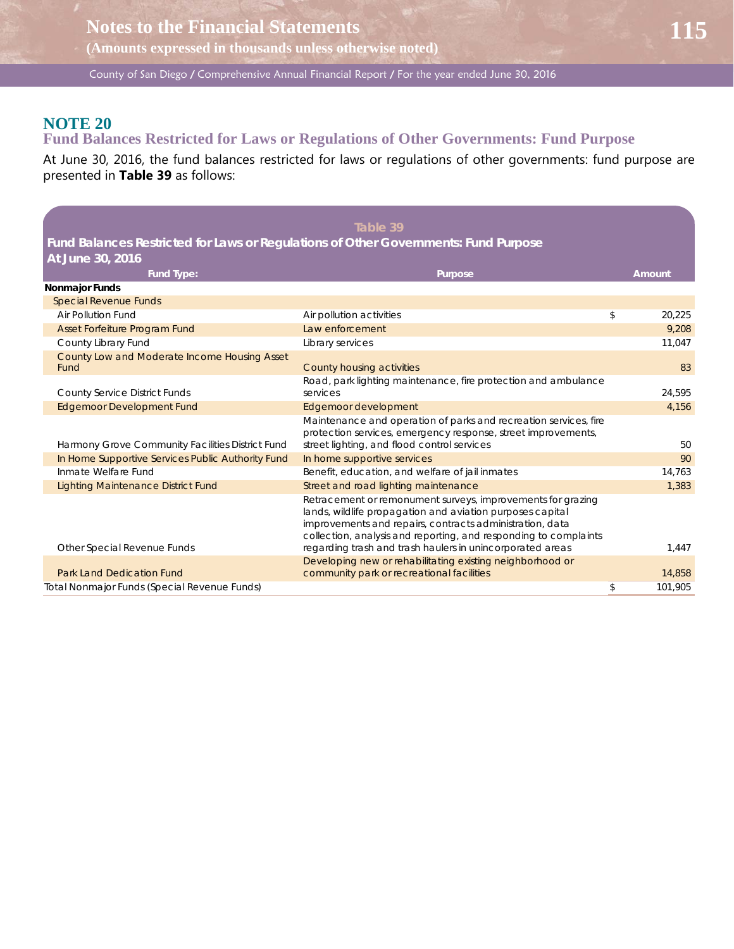**115**

**(Amounts expressed in thousands unless otherwise noted)**

County of San Diego / Comprehensive Annual Financial Report / For the year ended June 30, 2016

# **NOTE 20**

# **Fund Balances Restricted for Laws or Regulations of Other Governments: Fund Purpose**

At June 30, 2016, the fund balances restricted for laws or regulations of other governments: fund purpose are presented in **Table 39** as follows:

|                                                                                     | Table 39                                                                                                                                                                                                                                                 |               |
|-------------------------------------------------------------------------------------|----------------------------------------------------------------------------------------------------------------------------------------------------------------------------------------------------------------------------------------------------------|---------------|
| Fund Balances Restricted for Laws or Regulations of Other Governments: Fund Purpose |                                                                                                                                                                                                                                                          |               |
| At June 30, 2016                                                                    |                                                                                                                                                                                                                                                          |               |
| <b>Fund Type:</b>                                                                   | Purpose                                                                                                                                                                                                                                                  | Amount        |
| Nonmajor Funds                                                                      |                                                                                                                                                                                                                                                          |               |
| <b>Special Revenue Funds</b>                                                        |                                                                                                                                                                                                                                                          |               |
| Air Pollution Fund                                                                  | Air pollution activities                                                                                                                                                                                                                                 | \$<br>20,225  |
| Asset Forfeiture Program Fund                                                       | Law enforcement                                                                                                                                                                                                                                          | 9,208         |
| County Library Fund                                                                 | Library services                                                                                                                                                                                                                                         | 11,047        |
| County Low and Moderate Income Housing Asset<br>Fund                                | County housing activities                                                                                                                                                                                                                                | 83            |
| <b>County Service District Funds</b>                                                | Road, park lighting maintenance, fire protection and ambulance<br>services                                                                                                                                                                               | 24,595        |
| <b>Edgemoor Development Fund</b>                                                    | Edgemoor development                                                                                                                                                                                                                                     | 4,156         |
| Harmony Grove Community Facilities District Fund                                    | Maintenance and operation of parks and recreation services, fire<br>protection services, emergency response, street improvements,<br>street lighting, and flood control services                                                                         | 50            |
| In Home Supportive Services Public Authority Fund                                   | In home supportive services                                                                                                                                                                                                                              | 90            |
| Inmate Welfare Fund                                                                 | Benefit, education, and welfare of jail inmates                                                                                                                                                                                                          | 14,763        |
| <b>Lighting Maintenance District Fund</b>                                           | Street and road lighting maintenance                                                                                                                                                                                                                     | 1,383         |
| Other Special Revenue Funds                                                         | Retracement or remonument surveys, improvements for grazing<br>lands, wildlife propagation and aviation purposes capital<br>improvements and repairs, contracts administration, data<br>collection, analysis and reporting, and responding to complaints | 1,447         |
|                                                                                     | regarding trash and trash haulers in unincorporated areas<br>Developing new or rehabilitating existing neighborhood or                                                                                                                                   |               |
| <b>Park Land Dedication Fund</b>                                                    | community park or recreational facilities                                                                                                                                                                                                                | 14,858        |
| Total Nonmajor Funds (Special Revenue Funds)                                        |                                                                                                                                                                                                                                                          | \$<br>101.905 |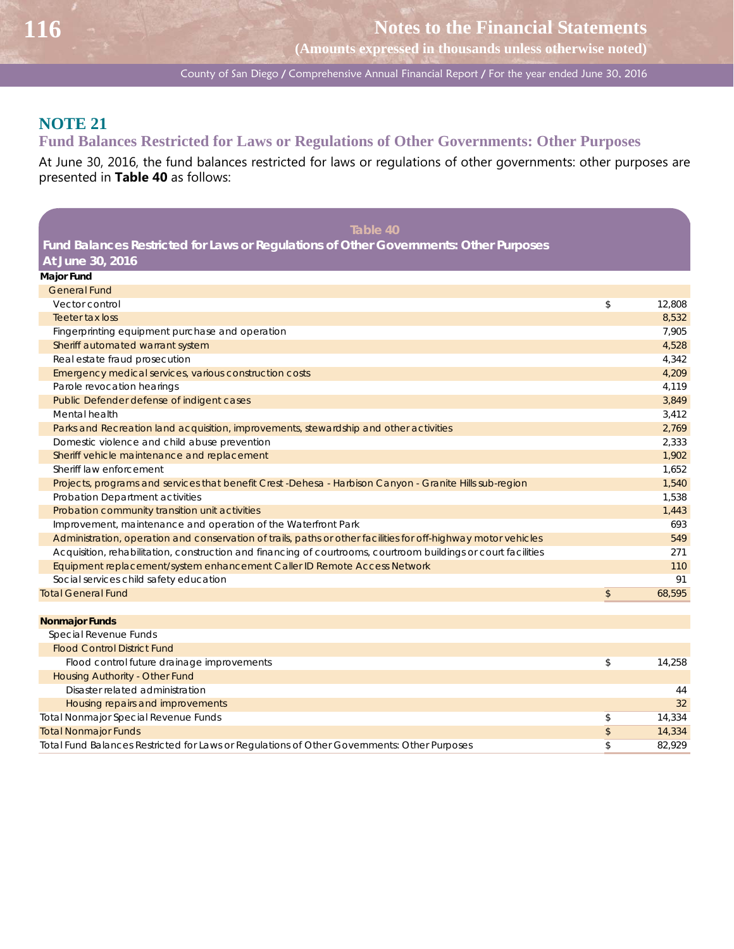**(Amounts expressed in thousands unless otherwise noted)**

County of San Diego / Comprehensive Annual Financial Report / For the year ended June 30, 2016

# **NOTE 21**

**Major Fund**

# **Fund Balances Restricted for Laws or Regulations of Other Governments: Other Purposes**

At June 30, 2016, the fund balances restricted for laws or regulations of other governments: other purposes are presented in **Table 40** as follows:

#### **Table 40**

### **Fund Balances Restricted for Laws or Regulations of Other Governments: Other Purposes At June 30, 2016**

| <b>Majurrunu</b>                                                                                               |            |        |
|----------------------------------------------------------------------------------------------------------------|------------|--------|
| <b>General Fund</b>                                                                                            |            |        |
| Vector control                                                                                                 | \$         | 12,808 |
| Teeter tax loss                                                                                                |            | 8,532  |
| Fingerprinting equipment purchase and operation                                                                |            | 7,905  |
| Sheriff automated warrant system                                                                               |            | 4,528  |
| Real estate fraud prosecution                                                                                  |            | 4,342  |
| Emergency medical services, various construction costs                                                         |            | 4,209  |
| Parole revocation hearings                                                                                     |            | 4,119  |
| Public Defender defense of indigent cases                                                                      |            | 3,849  |
| Mental health                                                                                                  |            | 3,412  |
| Parks and Recreation land acquisition, improvements, stewardship and other activities                          |            | 2,769  |
| Domestic violence and child abuse prevention                                                                   |            | 2,333  |
| Sheriff vehicle maintenance and replacement                                                                    |            | 1,902  |
| Sheriff law enforcement                                                                                        |            | 1.652  |
| Projects, programs and services that benefit Crest -Dehesa - Harbison Canyon - Granite Hills sub-region        |            | 1,540  |
| Probation Department activities                                                                                |            | 1,538  |
| Probation community transition unit activities                                                                 |            | 1,443  |
| Improvement, maintenance and operation of the Waterfront Park                                                  |            | 693    |
| Administration, operation and conservation of trails, paths or other facilities for off-highway motor vehicles |            | 549    |
| Acquisition, rehabilitation, construction and financing of courtrooms, courtroom buildings or court facilities |            | 271    |
| Equipment replacement/system enhancement Caller ID Remote Access Network                                       |            | 110    |
| Social services child safety education                                                                         |            | 91     |
| <b>Total General Fund</b>                                                                                      | $\sqrt{2}$ | 68,595 |
|                                                                                                                |            |        |
| <b>Nonmajor Funds</b>                                                                                          |            |        |
| Special Revenue Funds                                                                                          |            |        |
| <b>Flood Control District Fund</b>                                                                             |            |        |
| Flood control future drainage improvements                                                                     | \$         | 14.258 |

| Tibod control ruture dramage improvements                                                   | 14.ZJU          |
|---------------------------------------------------------------------------------------------|-----------------|
| Housing Authority - Other Fund                                                              |                 |
| Disaster related administration                                                             | 44              |
| Housing repairs and improvements                                                            | 32 <sup>2</sup> |
| <b>Total Nonmajor Special Revenue Funds</b>                                                 | 14.334          |
| <b>Total Nonmajor Funds</b>                                                                 | 14,334          |
| Total Fund Balances Restricted for Laws or Regulations of Other Governments: Other Purposes | 82.929          |
|                                                                                             |                 |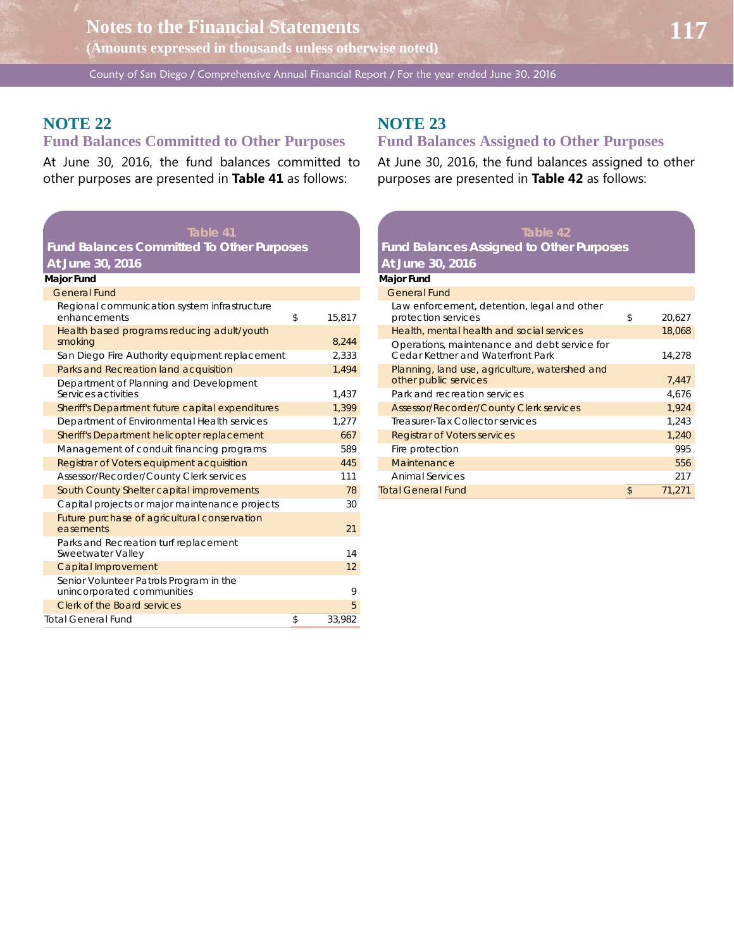**(Amounts expressed in thousands unless otherwise noted)**

County of San Diego / Comprehensive Annual Financial Report / For the year ended June 30, 2016

# **NOTE 22**

# **Fund Balances Committed to Other Purposes**

At June 30, 2016, the fund balances committed to other purposes are presented in **Table 41** as follows:

**Table 41**

## **Fund Balances Committed To Other Purposes At June 30, 2016**

| <b>Major Fund</b>                                                     |              |
|-----------------------------------------------------------------------|--------------|
| <b>General Fund</b>                                                   |              |
| Regional communication system infrastructure<br>enhancements          | \$<br>15,817 |
| Health based programs reducing adult/youth<br>smoking                 | 8,244        |
| San Diego Fire Authority equipment replacement                        | 2,333        |
| Parks and Recreation land acquisition                                 | 1,494        |
| Department of Planning and Development<br>Services activities         | 1,437        |
| Sheriff's Department future capital expenditures                      | 1,399        |
| Department of Environmental Health services                           | 1,277        |
| Sheriff's Department helicopter replacement                           | 667          |
| Management of conduit financing programs                              | 589          |
| Registrar of Voters equipment acquisition                             | 445          |
| Assessor/Recorder/County Clerk services                               | 111          |
| South County Shelter capital improvements                             | 78           |
| Capital projects or major maintenance projects                        | 30           |
| Future purchase of agricultural conservation<br>easements             | 21           |
| Parks and Recreation turf replacement<br>Sweetwater Valley            | 14           |
| Capital Improvement                                                   | 12           |
| Senior Volunteer Patrols Program in the<br>unincorporated communities | 9            |
| Clerk of the Board services                                           | 5            |
| <b>Total General Fund</b>                                             | \$<br>33.982 |

# **NOTE 23**

# **Fund Balances Assigned to Other Purposes**

At June 30, 2016, the fund balances assigned to other purposes are presented in **Table 42** as follows:

| Table 42                                        |
|-------------------------------------------------|
| <b>Fund Balances Assigned to Other Purposes</b> |
| At June 30, 2016                                |

| Major Fund                                                                        |              |
|-----------------------------------------------------------------------------------|--------------|
| <b>General Fund</b>                                                               |              |
| Law enforcement, detention, legal and other<br>protection services                | \$<br>20,627 |
| Health, mental health and social services                                         | 18,068       |
| Operations, maintenance and debt service for<br>Cedar Kettner and Waterfront Park | 14,278       |
| Planning, land use, agriculture, watershed and<br>other public services           | 7,447        |
| Park and recreation services                                                      | 4,676        |
| <b>Assessor/Recorder/County Clerk services</b>                                    | 1,924        |
| Treasurer-Tax Collector services                                                  | 1.243        |
| <b>Registrar of Voters services</b>                                               | 1,240        |
| Fire protection                                                                   | 995          |
| Maintenance                                                                       | 556          |
| Animal Services                                                                   | 217          |
| <b>Total General Fund</b>                                                         | \$<br>71,271 |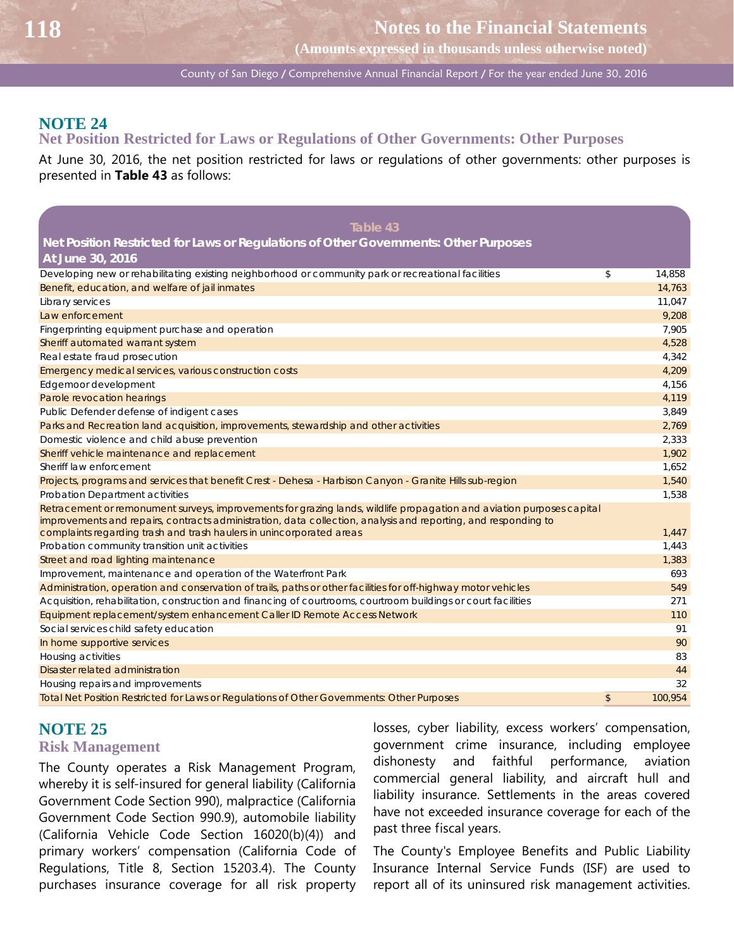**(Amounts expressed in thousands unless otherwise noted)**

County of San Diego / Comprehensive Annual Financial Report / For the year ended June 30, 2016

# **NOTE 24 Net Position Restricted for Laws or Regulations of Other Governments: Other Purposes**

At June 30, 2016, the net position restricted for laws or regulations of other governments: other purposes is presented in **Table 43** as follows:

| Table 43                                                                                                              |                        |
|-----------------------------------------------------------------------------------------------------------------------|------------------------|
|                                                                                                                       |                        |
| Net Position Restricted for Laws or Regulations of Other Governments: Other Purposes                                  |                        |
| At June 30, 2016                                                                                                      |                        |
| Developing new or rehabilitating existing neighborhood or community park or recreational facilities                   | \$<br>14,858<br>14.763 |
| Benefit, education, and welfare of jail inmates<br>Library services                                                   | 11,047                 |
| Law enforcement                                                                                                       | 9,208                  |
| Fingerprinting equipment purchase and operation                                                                       | 7.905                  |
| Sheriff automated warrant system                                                                                      | 4,528                  |
| Real estate fraud prosecution                                                                                         | 4,342                  |
| Emergency medical services, various construction costs                                                                | 4,209                  |
| Edgemoor development                                                                                                  | 4,156                  |
| Parole revocation hearings                                                                                            | 4,119                  |
| Public Defender defense of indigent cases                                                                             | 3.849                  |
| Parks and Recreation land acquisition, improvements, stewardship and other activities                                 | 2,769                  |
| Domestic violence and child abuse prevention                                                                          | 2,333                  |
| Sheriff vehicle maintenance and replacement                                                                           | 1,902                  |
| Sheriff law enforcement                                                                                               | 1,652                  |
| Projects, programs and services that benefit Crest - Dehesa - Harbison Canyon - Granite Hills sub-region              | 1,540                  |
| Probation Department activities                                                                                       | 1,538                  |
| Retracement or remonument surveys, improvements for grazing lands, wildlife propagation and aviation purposes capital |                        |
| improvements and repairs, contracts administration, data collection, analysis and reporting, and responding to        |                        |
| complaints regarding trash and trash haulers in unincorporated areas                                                  | 1,447                  |
| Probation community transition unit activities                                                                        | 1,443<br>1,383         |
| Street and road lighting maintenance<br>Improvement, maintenance and operation of the Waterfront Park                 | 693                    |
| Administration, operation and conservation of trails, paths or other facilities for off-highway motor vehicles        | 549                    |
| Acquisition, rehabilitation, construction and financing of courtrooms, courtroom buildings or court facilities        | 271                    |
| Equipment replacement/system enhancement Caller ID Remote Access Network                                              | 110                    |
| Social services child safety education                                                                                | 91                     |
| In home supportive services                                                                                           | 90                     |
| Housing activities                                                                                                    | 83                     |
| Disaster related administration                                                                                       | 44                     |
| Housing repairs and improvements                                                                                      | 32                     |
| Total Net Position Restricted for Laws or Regulations of Other Governments: Other Purposes                            | \$<br>100,954          |
|                                                                                                                       |                        |

# **NOTE 25**

### **Risk Management**

The County operates a Risk Management Program, whereby it is self-insured for general liability (California Government Code Section 990), malpractice (California Government Code Section 990.9), automobile liability (California Vehicle Code Section 16020(b)(4)) and primary workers' compensation (California Code of Regulations, Title 8, Section 15203.4). The County purchases insurance coverage for all risk property

losses, cyber liability, excess workers' compensation, government crime insurance, including employee dishonesty and faithful performance, aviation commercial general liability, and aircraft hull and liability insurance. Settlements in the areas covered have not exceeded insurance coverage for each of the past three fiscal years.

The County's Employee Benefits and Public Liability Insurance Internal Service Funds (ISF) are used to report all of its uninsured risk management activities.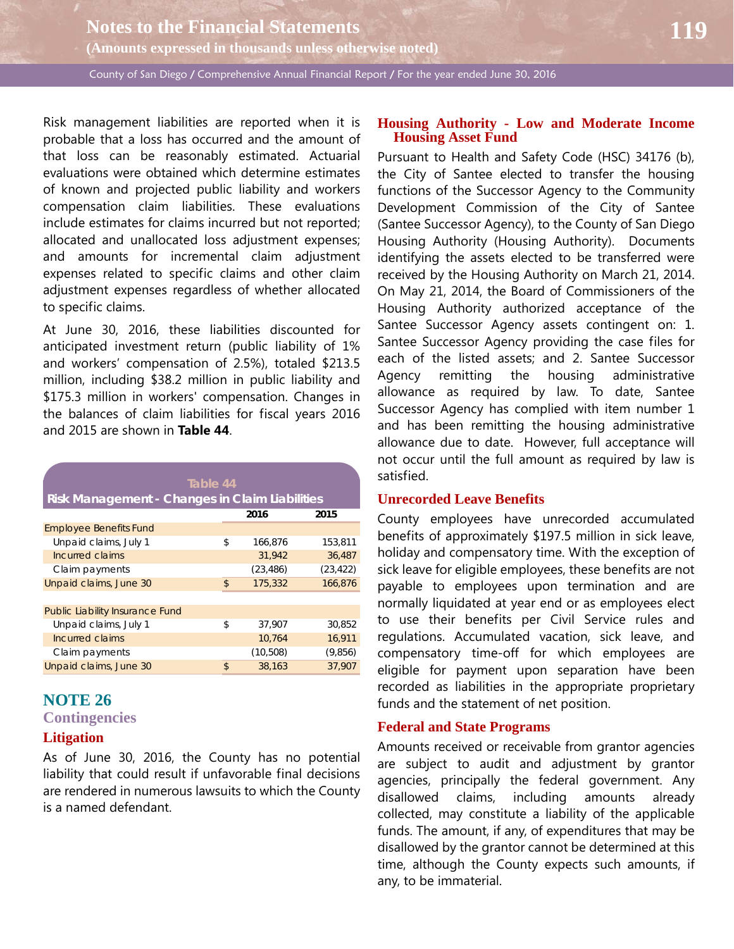Risk management liabilities are reported when it is probable that a loss has occurred and the amount of that loss can be reasonably estimated. Actuarial evaluations were obtained which determine estimates of known and projected public liability and workers compensation claim liabilities. These evaluations include estimates for claims incurred but not reported; allocated and unallocated loss adjustment expenses; and amounts for incremental claim adjustment expenses related to specific claims and other claim adjustment expenses regardless of whether allocated to specific claims.

At June 30, 2016, these liabilities discounted for anticipated investment return (public liability of 1% and workers' compensation of 2.5%), totaled \$213.5 million, including \$38.2 million in public liability and \$175.3 million in workers' compensation. Changes in the balances of claim liabilities for fiscal years 2016 and 2015 are shown in **Table 44**.

|                                                | Table 44 |           |           |
|------------------------------------------------|----------|-----------|-----------|
| Risk Management - Changes in Claim Liabilities |          |           |           |
|                                                |          | 2016      | 2015      |
| <b>Employee Benefits Fund</b>                  |          |           |           |
| Unpaid claims, July 1                          | \$       | 166,876   | 153,811   |
| Incurred claims                                |          | 31,942    | 36,487    |
| Claim payments                                 |          | (23, 486) | (23, 422) |
| Unpaid claims, June 30                         | \$       | 175,332   | 166,876   |
|                                                |          |           |           |
| <b>Public Liability Insurance Fund</b>         |          |           |           |
| Unpaid claims, July 1                          | \$       | 37,907    | 30,852    |
| Incurred claims                                |          | 10,764    | 16,911    |
| Claim payments                                 |          | (10, 508) | (9,856)   |
| Unpaid claims, June 30                         | \$       | 38,163    | 37,907    |
|                                                |          |           |           |

# **NOTE 26**

**Contingencies**

### **Litigation**

As of June 30, 2016, the County has no potential liability that could result if unfavorable final decisions are rendered in numerous lawsuits to which the County is a named defendant.

#### **Housing Authority - Low and Moderate Income Housing Asset Fund**

Pursuant to Health and Safety Code (HSC) 34176 (b), the City of Santee elected to transfer the housing functions of the Successor Agency to the Community Development Commission of the City of Santee (Santee Successor Agency), to the County of San Diego Housing Authority (Housing Authority). Documents identifying the assets elected to be transferred were received by the Housing Authority on March 21, 2014. On May 21, 2014, the Board of Commissioners of the Housing Authority authorized acceptance of the Santee Successor Agency assets contingent on: 1. Santee Successor Agency providing the case files for each of the listed assets; and 2. Santee Successor Agency remitting the housing administrative allowance as required by law. To date, Santee Successor Agency has complied with item number 1 and has been remitting the housing administrative allowance due to date. However, full acceptance will not occur until the full amount as required by law is satisfied.

#### **Unrecorded Leave Benefits**

County employees have unrecorded accumulated benefits of approximately \$197.5 million in sick leave, holiday and compensatory time. With the exception of sick leave for eligible employees, these benefits are not payable to employees upon termination and are normally liquidated at year end or as employees elect to use their benefits per Civil Service rules and regulations. Accumulated vacation, sick leave, and compensatory time-off for which employees are eligible for payment upon separation have been recorded as liabilities in the appropriate proprietary funds and the statement of net position.

#### **Federal and State Programs**

Amounts received or receivable from grantor agencies are subject to audit and adjustment by grantor agencies, principally the federal government. Any disallowed claims, including amounts already collected, may constitute a liability of the applicable funds. The amount, if any, of expenditures that may be disallowed by the grantor cannot be determined at this time, although the County expects such amounts, if any, to be immaterial.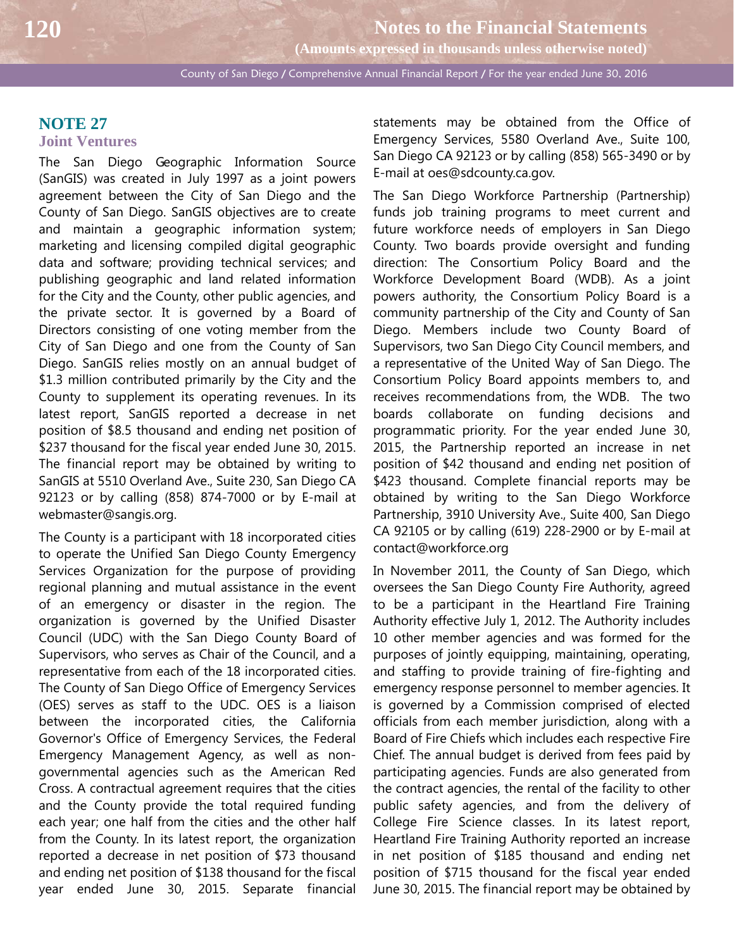County of San Diego / Comprehensive Annual Financial Report / For the year ended June 30, 2016

# **NOTE 27**

#### **Joint Ventures**

The San Diego Geographic Information Source (SanGIS) was created in July 1997 as a joint powers agreement between the City of San Diego and the County of San Diego. SanGIS objectives are to create and maintain a geographic information system; marketing and licensing compiled digital geographic data and software; providing technical services; and publishing geographic and land related information for the City and the County, other public agencies, and the private sector. It is governed by a Board of Directors consisting of one voting member from the City of San Diego and one from the County of San Diego. SanGIS relies mostly on an annual budget of \$1.3 million contributed primarily by the City and the County to supplement its operating revenues. In its latest report, SanGIS reported a decrease in net position of \$8.5 thousand and ending net position of \$237 thousand for the fiscal year ended June 30, 2015. The financial report may be obtained by writing to SanGIS at 5510 Overland Ave., Suite 230, San Diego CA 92123 or by calling (858) 874-7000 or by E-mail at webmaster@sangis.org.

The County is a participant with 18 incorporated cities to operate the Unified San Diego County Emergency Services Organization for the purpose of providing regional planning and mutual assistance in the event of an emergency or disaster in the region. The organization is governed by the Unified Disaster Council (UDC) with the San Diego County Board of Supervisors, who serves as Chair of the Council, and a representative from each of the 18 incorporated cities. The County of San Diego Office of Emergency Services (OES) serves as staff to the UDC. OES is a liaison between the incorporated cities, the California Governor's Office of Emergency Services, the Federal Emergency Management Agency, as well as nongovernmental agencies such as the American Red Cross. A contractual agreement requires that the cities and the County provide the total required funding each year; one half from the cities and the other half from the County. In its latest report, the organization reported a decrease in net position of \$73 thousand and ending net position of \$138 thousand for the fiscal year ended June 30, 2015. Separate financial

statements may be obtained from the Office of Emergency Services, 5580 Overland Ave., Suite 100, San Diego CA 92123 or by calling (858) 565-3490 or by E-mail at oes@sdcounty.ca.gov.

The San Diego Workforce Partnership (Partnership) funds job training programs to meet current and future workforce needs of employers in San Diego County. Two boards provide oversight and funding direction: The Consortium Policy Board and the Workforce Development Board (WDB). As a joint powers authority, the Consortium Policy Board is a community partnership of the City and County of San Diego. Members include two County Board of Supervisors, two San Diego City Council members, and a representative of the United Way of San Diego. The Consortium Policy Board appoints members to, and receives recommendations from, the WDB. The two boards collaborate on funding decisions and programmatic priority. For the year ended June 30, 2015, the Partnership reported an increase in net position of \$42 thousand and ending net position of \$423 thousand. Complete financial reports may be obtained by writing to the San Diego Workforce Partnership, 3910 University Ave., Suite 400, San Diego CA 92105 or by calling (619) 228-2900 or by E-mail at contact@workforce.org

In November 2011, the County of San Diego, which oversees the San Diego County Fire Authority, agreed to be a participant in the Heartland Fire Training Authority effective July 1, 2012. The Authority includes 10 other member agencies and was formed for the purposes of jointly equipping, maintaining, operating, and staffing to provide training of fire-fighting and emergency response personnel to member agencies. It is governed by a Commission comprised of elected officials from each member jurisdiction, along with a Board of Fire Chiefs which includes each respective Fire Chief. The annual budget is derived from fees paid by participating agencies. Funds are also generated from the contract agencies, the rental of the facility to other public safety agencies, and from the delivery of College Fire Science classes. In its latest report, Heartland Fire Training Authority reported an increase in net position of \$185 thousand and ending net position of \$715 thousand for the fiscal year ended June 30, 2015. The financial report may be obtained by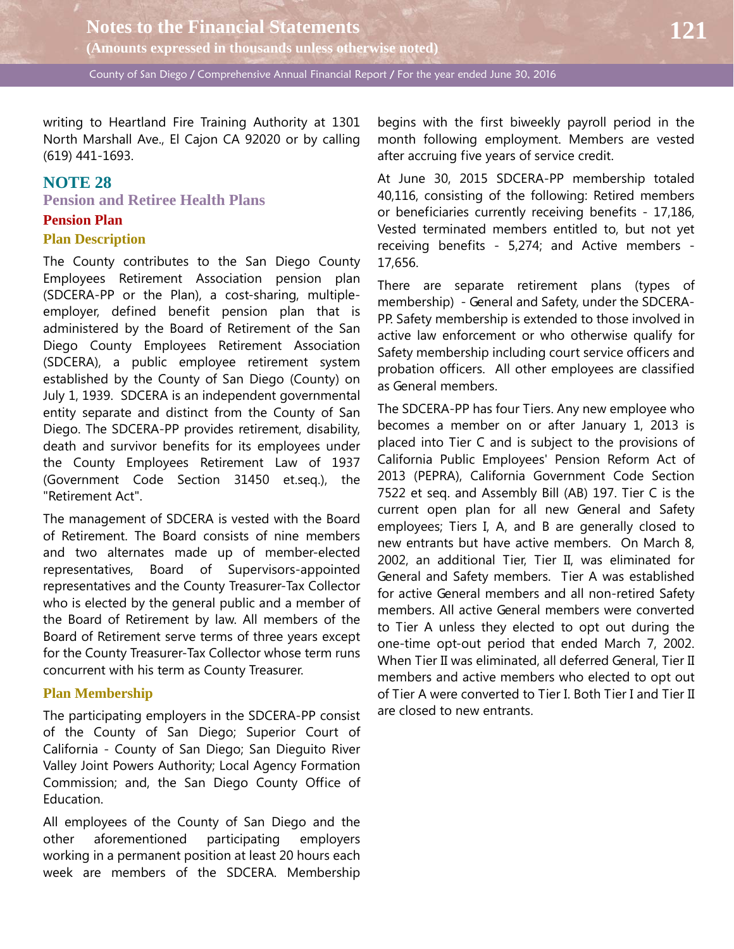writing to Heartland Fire Training Authority at 1301 North Marshall Ave., El Cajon CA 92020 or by calling

### **NOTE 28**

(619) 441-1693.

**Pension and Retiree Health Plans** 

#### **Pension Plan**

#### **Plan Description**

The County contributes to the San Diego County Employees Retirement Association pension plan (SDCERA-PP or the Plan), a cost-sharing, multipleemployer, defined benefit pension plan that is administered by the Board of Retirement of the San Diego County Employees Retirement Association (SDCERA), a public employee retirement system established by the County of San Diego (County) on July 1, 1939. SDCERA is an independent governmental entity separate and distinct from the County of San Diego. The SDCERA-PP provides retirement, disability, death and survivor benefits for its employees under the County Employees Retirement Law of 1937 (Government Code Section 31450 et.seq.), the "Retirement Act".

The management of SDCERA is vested with the Board of Retirement. The Board consists of nine members and two alternates made up of member-elected representatives, Board of Supervisors-appointed representatives and the County Treasurer-Tax Collector who is elected by the general public and a member of the Board of Retirement by law. All members of the Board of Retirement serve terms of three years except for the County Treasurer-Tax Collector whose term runs concurrent with his term as County Treasurer.

#### **Plan Membership**

The participating employers in the SDCERA-PP consist of the County of San Diego; Superior Court of California - County of San Diego; San Dieguito River Valley Joint Powers Authority; Local Agency Formation Commission; and, the San Diego County Office of Education.

All employees of the County of San Diego and the other aforementioned participating employers working in a permanent position at least 20 hours each week are members of the SDCERA. Membership begins with the first biweekly payroll period in the month following employment. Members are vested after accruing five years of service credit.

At June 30, 2015 SDCERA-PP membership totaled 40,116, consisting of the following: Retired members or beneficiaries currently receiving benefits - 17,186, Vested terminated members entitled to, but not yet receiving benefits - 5,274; and Active members - 17,656.

There are separate retirement plans (types of membership) - General and Safety, under the SDCERA-PP. Safety membership is extended to those involved in active law enforcement or who otherwise qualify for Safety membership including court service officers and probation officers. All other employees are classified as General members.

The SDCERA-PP has four Tiers. Any new employee who becomes a member on or after January 1, 2013 is placed into Tier C and is subject to the provisions of California Public Employees' Pension Reform Act of 2013 (PEPRA), California Government Code Section 7522 et seq. and Assembly Bill (AB) 197. Tier C is the current open plan for all new General and Safety employees; Tiers I, A, and B are generally closed to new entrants but have active members. On March 8, 2002, an additional Tier, Tier II, was eliminated for General and Safety members. Tier A was established for active General members and all non-retired Safety members. All active General members were converted to Tier A unless they elected to opt out during the one-time opt-out period that ended March 7, 2002. When Tier II was eliminated, all deferred General, Tier II members and active members who elected to opt out of Tier A were converted to Tier I. Both Tier I and Tier II are closed to new entrants.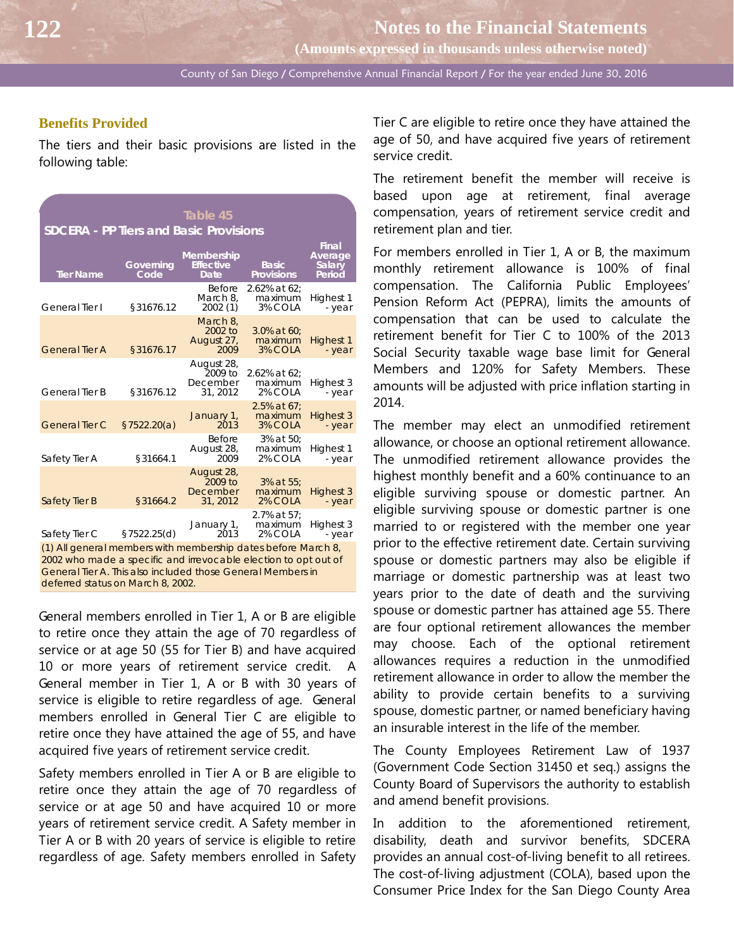County of San Diego / Comprehensive Annual Financial Report / For the year ended June 30, 2016

#### **Benefits Provided**

The tiers and their basic provisions are listed in the following table:

| Table 45                                                                                                                                                                                                                             |                   |                                                      |                                    |                                             |  |  |  |
|--------------------------------------------------------------------------------------------------------------------------------------------------------------------------------------------------------------------------------------|-------------------|------------------------------------------------------|------------------------------------|---------------------------------------------|--|--|--|
| <b>SDCERA - PP Tiers and Basic Provisions</b>                                                                                                                                                                                        |                   |                                                      |                                    |                                             |  |  |  |
| <b>Tier Name</b>                                                                                                                                                                                                                     | Governing<br>Code | <b>Membership</b><br><b>Effective</b><br><b>Date</b> | <b>Basic</b><br><b>Provisions</b>  | <b>Final</b><br>Average<br>Salary<br>Period |  |  |  |
| General Tier I                                                                                                                                                                                                                       | §31676.12         | Before<br>March 8,<br>2002(1)                        | 2.62% at 62:<br>maximum<br>3% COLA | Highest 1<br>- year                         |  |  |  |
| <b>General Tier A</b>                                                                                                                                                                                                                | §31676.17         | March 8.<br>2002 to<br>August 27,<br>2009            | 3.0% at 60;<br>maximum<br>3% COLA  | Highest 1<br>- year                         |  |  |  |
| <b>General Tier B</b>                                                                                                                                                                                                                | §31676.12         | August 28,<br>2009 to<br>December<br>31, 2012        | 2.62% at 62:<br>maximum<br>2% COLA | Highest 3<br>- year                         |  |  |  |
| <b>General Tier C</b>                                                                                                                                                                                                                | \$7522.20(a)      | January 1,<br>2013                                   | 2.5% at 67:<br>maximum<br>3% COLA  | Highest 3<br>- year                         |  |  |  |
| Safety Tier A                                                                                                                                                                                                                        | §31664.1          | <b>Before</b><br>August 28,<br>2009                  | 3% at 50;<br>maximum<br>2% COLA    | Highest 1<br>- year                         |  |  |  |
| Safety Tier B                                                                                                                                                                                                                        | §31664.2          | August 28,<br>2009 to<br>December<br>31, 2012        | 3% at 55:<br>maximum<br>2% COLA    | <b>Highest 3</b><br>- year                  |  |  |  |
| Safety Tier C                                                                                                                                                                                                                        | §7522.25(d)       | January 1,<br>2013                                   | 2.7% at 57:<br>maximum<br>2% COLA  | Highest 3<br>- year                         |  |  |  |
| (1) All general members with membership dates before March 8,<br>2002 who made a specific and irrevocable election to opt out of<br>General Tier A. This also included those General Members in<br>deferred status on March 8, 2002. |                   |                                                      |                                    |                                             |  |  |  |

General members enrolled in Tier 1, A or B are eligible to retire once they attain the age of 70 regardless of service or at age 50 (55 for Tier B) and have acquired 10 or more years of retirement service credit. A General member in Tier 1, A or B with 30 years of service is eligible to retire regardless of age. General members enrolled in General Tier C are eligible to retire once they have attained the age of 55, and have acquired five years of retirement service credit.

Safety members enrolled in Tier A or B are eligible to retire once they attain the age of 70 regardless of service or at age 50 and have acquired 10 or more years of retirement service credit. A Safety member in Tier A or B with 20 years of service is eligible to retire regardless of age. Safety members enrolled in Safety

Tier C are eligible to retire once they have attained the age of 50, and have acquired five years of retirement service credit.

The retirement benefit the member will receive is based upon age at retirement, final average compensation, years of retirement service credit and retirement plan and tier.

For members enrolled in Tier 1, A or B, the maximum monthly retirement allowance is 100% of final compensation. The California Public Employees' Pension Reform Act (PEPRA), limits the amounts of compensation that can be used to calculate the retirement benefit for Tier C to 100% of the 2013 Social Security taxable wage base limit for General Members and 120% for Safety Members. These amounts will be adjusted with price inflation starting in 2014.

The member may elect an unmodified retirement allowance, or choose an optional retirement allowance. The unmodified retirement allowance provides the highest monthly benefit and a 60% continuance to an eligible surviving spouse or domestic partner. An eligible surviving spouse or domestic partner is one married to or registered with the member one year prior to the effective retirement date. Certain surviving spouse or domestic partners may also be eligible if marriage or domestic partnership was at least two years prior to the date of death and the surviving spouse or domestic partner has attained age 55. There are four optional retirement allowances the member may choose. Each of the optional retirement allowances requires a reduction in the unmodified retirement allowance in order to allow the member the ability to provide certain benefits to a surviving spouse, domestic partner, or named beneficiary having an insurable interest in the life of the member.

The County Employees Retirement Law of 1937 (Government Code Section 31450 et seq.) assigns the County Board of Supervisors the authority to establish and amend benefit provisions.

In addition to the aforementioned retirement, disability, death and survivor benefits, SDCERA provides an annual cost-of-living benefit to all retirees. The cost-of-living adjustment (COLA), based upon the Consumer Price Index for the San Diego County Area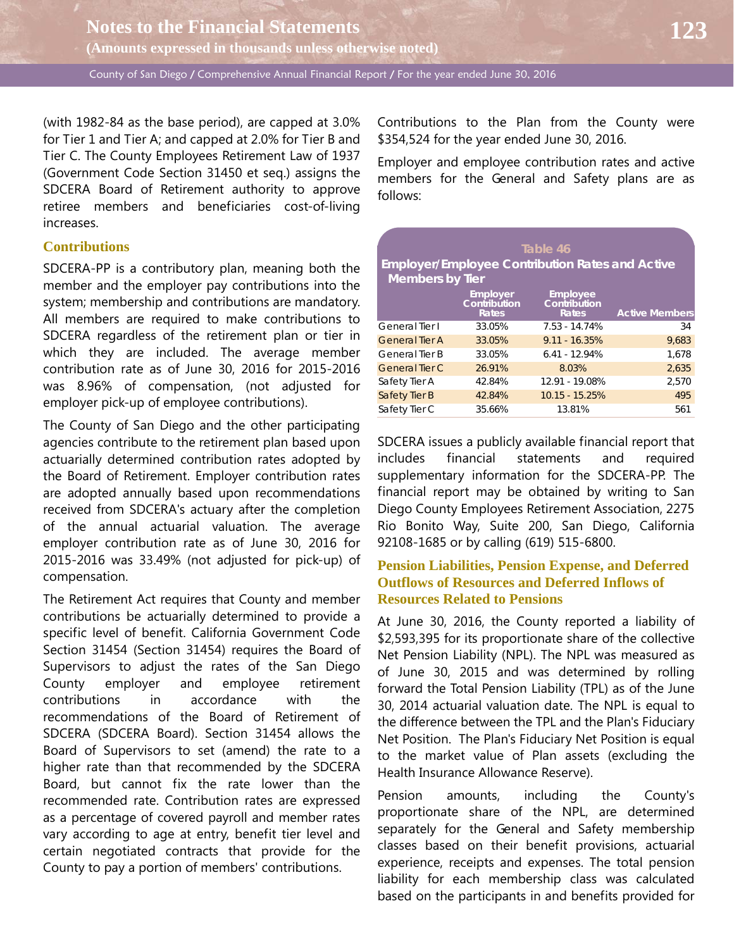(with 1982-84 as the base period), are capped at 3.0% for Tier 1 and Tier A; and capped at 2.0% for Tier B and Tier C. The County Employees Retirement Law of 1937 (Government Code Section 31450 et seq.) assigns the SDCERA Board of Retirement authority to approve retiree members and beneficiaries cost-of-living increases.

#### **Contributions**

SDCERA-PP is a contributory plan, meaning both the member and the employer pay contributions into the system; membership and contributions are mandatory. All members are required to make contributions to SDCERA regardless of the retirement plan or tier in which they are included. The average member contribution rate as of June 30, 2016 for 2015-2016 was 8.96% of compensation, (not adjusted for employer pick-up of employee contributions).

The County of San Diego and the other participating agencies contribute to the retirement plan based upon actuarially determined contribution rates adopted by the Board of Retirement. Employer contribution rates are adopted annually based upon recommendations received from SDCERA's actuary after the completion of the annual actuarial valuation. The average employer contribution rate as of June 30, 2016 for 2015-2016 was 33.49% (not adjusted for pick-up) of compensation.

The Retirement Act requires that County and member contributions be actuarially determined to provide a specific level of benefit. California Government Code Section 31454 (Section 31454) requires the Board of Supervisors to adjust the rates of the San Diego County employer and employee retirement contributions in accordance with the recommendations of the Board of Retirement of SDCERA (SDCERA Board). Section 31454 allows the Board of Supervisors to set (amend) the rate to a higher rate than that recommended by the SDCERA Board, but cannot fix the rate lower than the recommended rate. Contribution rates are expressed as a percentage of covered payroll and member rates vary according to age at entry, benefit tier level and certain negotiated contracts that provide for the County to pay a portion of members' contributions.

Contributions to the Plan from the County were \$354,524 for the year ended June 30, 2016.

Employer and employee contribution rates and active members for the General and Safety plans are as follows:

| Table 46<br><b>Employer/Employee Contribution Rates and Active</b><br><b>Members by Tier</b> |                                          |                                                 |                       |  |  |  |
|----------------------------------------------------------------------------------------------|------------------------------------------|-------------------------------------------------|-----------------------|--|--|--|
|                                                                                              | <b>Employer</b><br>Contribution<br>Rates | <b>Employee</b><br>Contribution<br><b>Rates</b> | <b>Active Members</b> |  |  |  |
| General Tier I                                                                               | 33.05%                                   | 7.53 - 14.74%                                   | 34                    |  |  |  |
| <b>General Tier A</b>                                                                        | 33.05%                                   | $9.11 - 16.35%$                                 | 9.683                 |  |  |  |
| <b>General Tier B</b>                                                                        | 33.05%                                   | $6.41 - 12.94%$                                 | 1.678                 |  |  |  |
| <b>General Tier C</b>                                                                        | 26.91%                                   | 8.03%                                           | 2.635                 |  |  |  |
| Safety Tier A                                                                                | 42.84%                                   | 12.91 - 19.08%                                  | 2.570                 |  |  |  |
| Safety Tier B                                                                                | 42.84%                                   | $10.15 - 15.25%$                                | 495                   |  |  |  |
| Safety Tier C                                                                                | 35.66%                                   | 13.81%                                          | 561                   |  |  |  |

SDCERA issues a publicly available financial report that includes financial statements and required supplementary information for the SDCERA-PP. The financial report may be obtained by writing to San Diego County Employees Retirement Association, 2275 Rio Bonito Way, Suite 200, San Diego, California 92108-1685 or by calling (619) 515-6800.

## **Pension Liabilities, Pension Expense, and Deferred Outflows of Resources and Deferred Inflows of Resources Related to Pensions**

At June 30, 2016, the County reported a liability of \$2,593,395 for its proportionate share of the collective Net Pension Liability (NPL). The NPL was measured as of June 30, 2015 and was determined by rolling forward the Total Pension Liability (TPL) as of the June 30, 2014 actuarial valuation date. The NPL is equal to the difference between the TPL and the Plan's Fiduciary Net Position. The Plan's Fiduciary Net Position is equal to the market value of Plan assets (excluding the Health Insurance Allowance Reserve).

Pension amounts, including the County's proportionate share of the NPL, are determined separately for the General and Safety membership classes based on their benefit provisions, actuarial experience, receipts and expenses. The total pension liability for each membership class was calculated based on the participants in and benefits provided for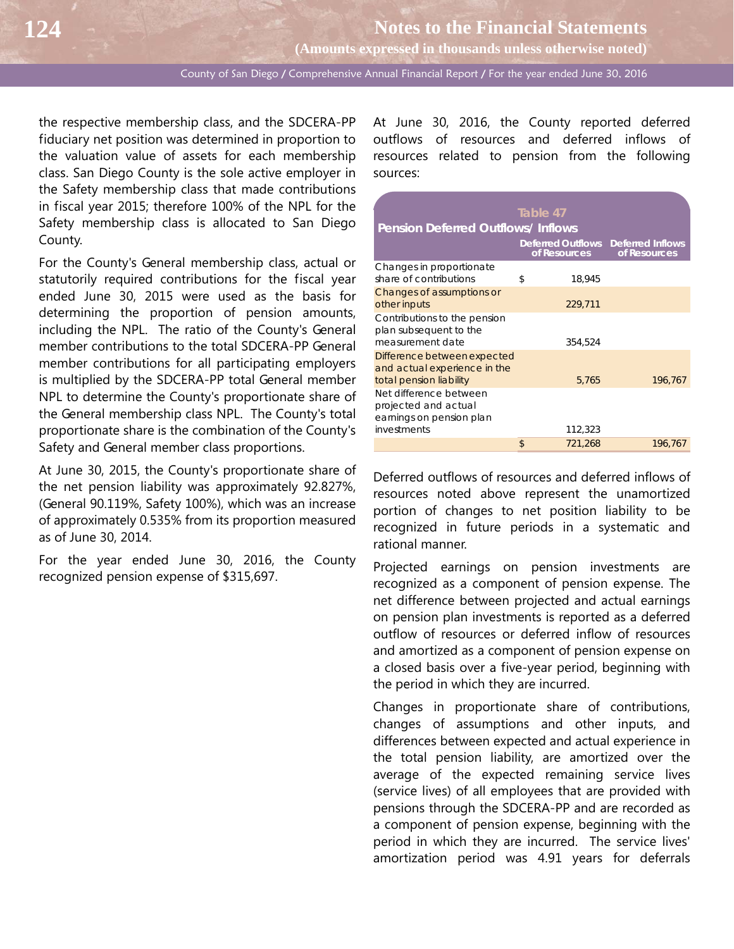the respective membership class, and the SDCERA-PP fiduciary net position was determined in proportion to the valuation value of assets for each membership class. San Diego County is the sole active employer in the Safety membership class that made contributions in fiscal year 2015; therefore 100% of the NPL for the Safety membership class is allocated to San Diego County.

For the County's General membership class, actual or statutorily required contributions for the fiscal year ended June 30, 2015 were used as the basis for determining the proportion of pension amounts, including the NPL. The ratio of the County's General member contributions to the total SDCERA-PP General member contributions for all participating employers is multiplied by the SDCERA-PP total General member NPL to determine the County's proportionate share of the General membership class NPL. The County's total proportionate share is the combination of the County's Safety and General member class proportions.

At June 30, 2015, the County's proportionate share of the net pension liability was approximately 92.827%, (General 90.119%, Safety 100%), which was an increase of approximately 0.535% from its proportion measured as of June 30, 2014.

For the year ended June 30, 2016, the County recognized pension expense of \$315,697.

At June 30, 2016, the County reported deferred outflows of resources and deferred inflows of resources related to pension from the following sources:

|                                                                                           | Table 47 |                                          |                                         |  |  |  |  |
|-------------------------------------------------------------------------------------------|----------|------------------------------------------|-----------------------------------------|--|--|--|--|
| <b>Pension Deferred Outflows/Inflows</b>                                                  |          |                                          |                                         |  |  |  |  |
|                                                                                           |          | <b>Deferred Outflows</b><br>of Resources | <b>Deferred Inflows</b><br>of Resources |  |  |  |  |
| Changes in proportionate<br>share of contributions                                        | \$       | 18,945                                   |                                         |  |  |  |  |
| Changes of assumptions or<br>other inputs                                                 |          | 229,711                                  |                                         |  |  |  |  |
| Contributions to the pension<br>plan subsequent to the<br>measurement date                |          | 354,524                                  |                                         |  |  |  |  |
| Difference between expected<br>and actual experience in the<br>total pension liability    |          | 5,765                                    | 196,767                                 |  |  |  |  |
| Net difference between<br>projected and actual<br>earnings on pension plan<br>investments |          | 112,323                                  |                                         |  |  |  |  |
|                                                                                           | \$       | 721.268                                  | 196,767                                 |  |  |  |  |

Deferred outflows of resources and deferred inflows of resources noted above represent the unamortized portion of changes to net position liability to be recognized in future periods in a systematic and rational manner.

Projected earnings on pension investments are recognized as a component of pension expense. The net difference between projected and actual earnings on pension plan investments is reported as a deferred outflow of resources or deferred inflow of resources and amortized as a component of pension expense on a closed basis over a five-year period, beginning with the period in which they are incurred.

Changes in proportionate share of contributions, changes of assumptions and other inputs, and differences between expected and actual experience in the total pension liability, are amortized over the average of the expected remaining service lives (service lives) of all employees that are provided with pensions through the SDCERA-PP and are recorded as a component of pension expense, beginning with the period in which they are incurred. The service lives' amortization period was 4.91 years for deferrals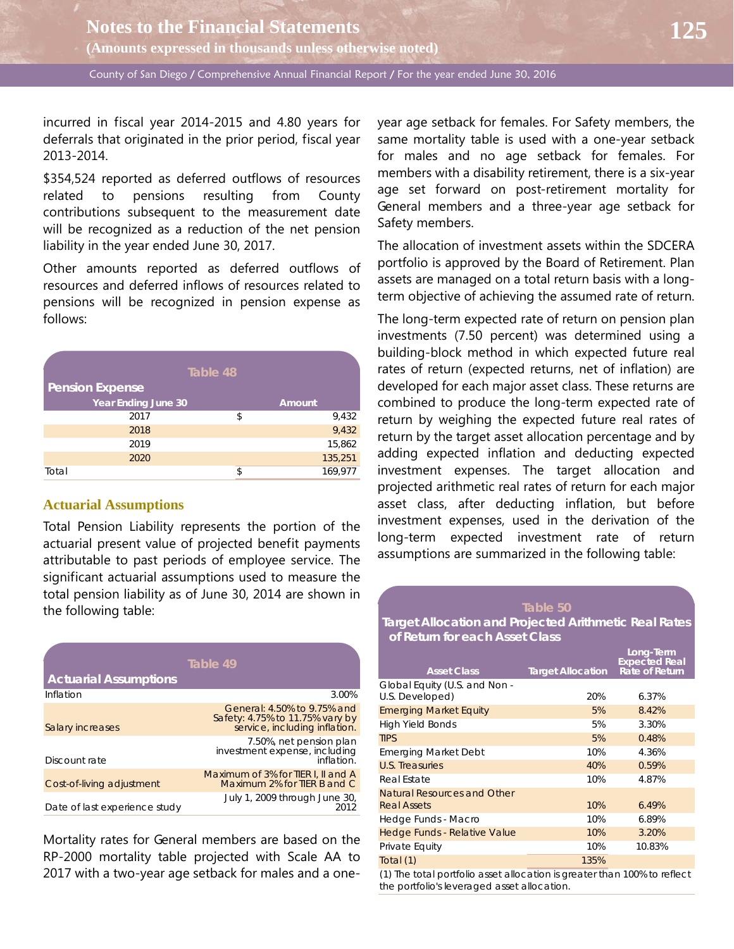incurred in fiscal year 2014-2015 and 4.80 years for deferrals that originated in the prior period, fiscal year 2013-2014.

\$354,524 reported as deferred outflows of resources related to pensions resulting from County contributions subsequent to the measurement date will be recognized as a reduction of the net pension liability in the year ended June 30, 2017.

Other amounts reported as deferred outflows of resources and deferred inflows of resources related to pensions will be recognized in pension expense as follows:

|                            | Table 48 |               |
|----------------------------|----------|---------------|
| <b>Pension Expense</b>     |          |               |
| <b>Year Ending June 30</b> |          | <b>Amount</b> |
| 2017                       | \$       | 9,432         |
| 2018                       |          | 9,432         |
| 2019                       |          | 15,862        |
| 2020                       |          | 135,251       |
| Total                      | \$       | 169,977       |

# **Actuarial Assumptions**

Total Pension Liability represents the portion of the actuarial present value of projected benefit payments attributable to past periods of employee service. The significant actuarial assumptions used to measure the total pension liability as of June 30, 2014 are shown in the following table:

| <b>Actuarial Assumptions</b>  | Table 49                                                                                        |
|-------------------------------|-------------------------------------------------------------------------------------------------|
| Inflation                     | 3.00%                                                                                           |
| Salary increases              | General: 4.50% to 9.75% and<br>Safety: 4.75% to 11.75% vary by<br>service, including inflation. |
| Discount rate                 | 7.50%, net pension plan<br>investment expense, including<br>inflation                           |
| Cost-of-living adjustment     | Maximum of 3% for TIER I, II and A<br>Maximum 2% for TIFR B and C                               |
| Date of last experience study | July 1, 2009 through June 30,<br>2012                                                           |

Mortality rates for General members are based on the RP-2000 mortality table projected with Scale AA to 2017 with a two-year age setback for males and a oneyear age setback for females. For Safety members, the same mortality table is used with a one-year setback for males and no age setback for females. For members with a disability retirement, there is a six-year age set forward on post-retirement mortality for General members and a three-year age setback for Safety members.

The allocation of investment assets within the SDCERA portfolio is approved by the Board of Retirement. Plan assets are managed on a total return basis with a longterm objective of achieving the assumed rate of return.

The long-term expected rate of return on pension plan investments (7.50 percent) was determined using a building-block method in which expected future real rates of return (expected returns, net of inflation) are developed for each major asset class. These returns are combined to produce the long-term expected rate of return by weighing the expected future real rates of return by the target asset allocation percentage and by adding expected inflation and deducting expected investment expenses. The target allocation and projected arithmetic real rates of return for each major asset class, after deducting inflation, but before investment expenses, used in the derivation of the long-term expected investment rate of return assumptions are summarized in the following table:

#### **Table 50**

**Target Allocation and Projected Arithmetic Real Rates of Return for each Asset Class**

|                               |                          | Long-Term<br><b>Expected Real</b><br>Rate of Return |
|-------------------------------|--------------------------|-----------------------------------------------------|
| <b>Asset Class</b>            | <b>Target Allocation</b> |                                                     |
| Global Equity (U.S. and Non - |                          |                                                     |
| U.S. Developed)               | 20%                      | 6.37%                                               |
| <b>Emerging Market Equity</b> | 5%                       | 8.42%                                               |
| <b>High Yield Bonds</b>       | 5%                       | 3.30%                                               |
| <b>TIPS</b>                   | 5%                       | 0.48%                                               |
| <b>Emerging Market Debt</b>   | 10%                      | 4.36%                                               |
| U.S. Treasuries               | 40%                      | 0.59%                                               |
| Real Estate                   | 10%                      | 4.87%                                               |
| Natural Resources and Other   |                          |                                                     |
| <b>Real Assets</b>            | 10%                      | 6.49%                                               |
| Hedge Funds - Macro           | 10%                      | 6.89%                                               |
| Hedge Funds - Relative Value  | 10%                      | 3.20%                                               |
| Private Equity                | 10%                      | 10.83%                                              |
| Total (1)                     | 135%                     |                                                     |

(1) The total portfolio asset allocation is greater than 100% to reflect the portfolio's leveraged asset allocation.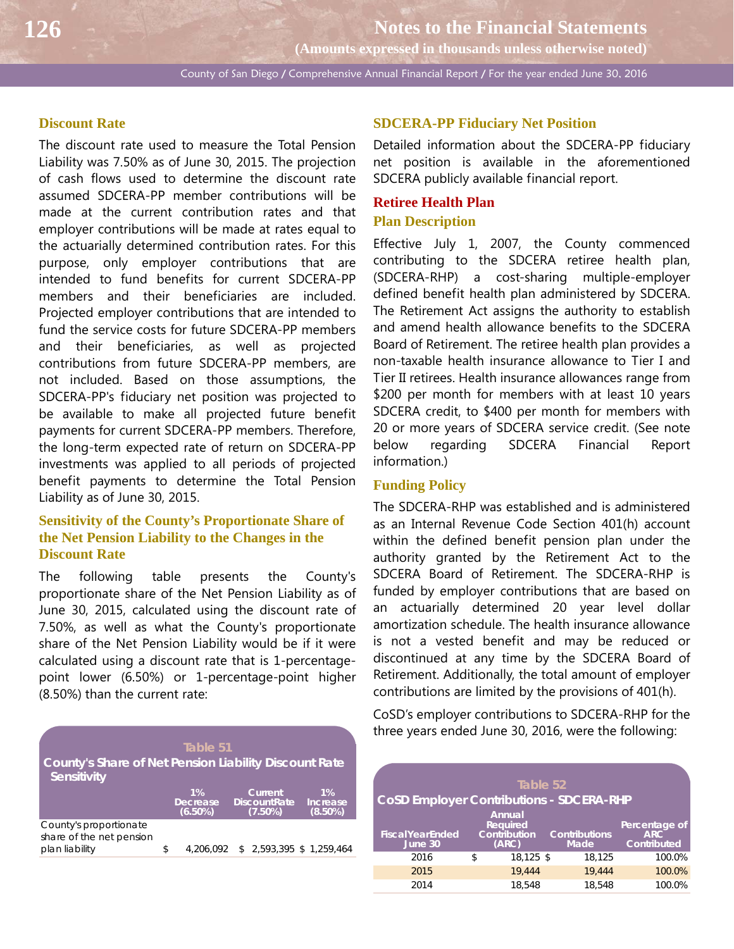County of San Diego / Comprehensive Annual Financial Report / For the year ended June 30, 2016

#### **Discount Rate**

The discount rate used to measure the Total Pension Liability was 7.50% as of June 30, 2015. The projection of cash flows used to determine the discount rate assumed SDCERA-PP member contributions will be made at the current contribution rates and that employer contributions will be made at rates equal to the actuarially determined contribution rates. For this purpose, only employer contributions that are intended to fund benefits for current SDCERA-PP members and their beneficiaries are included. Projected employer contributions that are intended to fund the service costs for future SDCERA-PP members and their beneficiaries, as well as projected contributions from future SDCERA-PP members, are not included. Based on those assumptions, the SDCERA-PP's fiduciary net position was projected to be available to make all projected future benefit payments for current SDCERA-PP members. Therefore, the long-term expected rate of return on SDCERA-PP investments was applied to all periods of projected benefit payments to determine the Total Pension Liability as of June 30, 2015.

# **Sensitivity of the County's Proportionate Share of the Net Pension Liability to the Changes in the Discount Rate**

The following table presents the County's proportionate share of the Net Pension Liability as of June 30, 2015, calculated using the discount rate of 7.50%, as well as what the County's proportionate share of the Net Pension Liability would be if it were calculated using a discount rate that is 1-percentagepoint lower (6.50%) or 1-percentage-point higher (8.50%) than the current rate:

| Table 51<br>County's Share of Net Pension Liability Discount Rate<br>Sensitivity |    |                                        |  |                                              |                                        |
|----------------------------------------------------------------------------------|----|----------------------------------------|--|----------------------------------------------|----------------------------------------|
|                                                                                  |    | $1\%$<br><b>Decrease</b><br>$(6.50\%)$ |  | Current<br><b>DiscountRate</b><br>$(7.50\%)$ | $1\%$<br><b>Increase</b><br>$(8.50\%)$ |
| County's proportionate<br>share of the net pension<br>plan liability             | \$ | 4.206.092                              |  |                                              | \$ 2.593.395 \$ 1.259.464              |

#### **SDCERA-PP Fiduciary Net Position**

Detailed information about the SDCERA-PP fiduciary net position is available in the aforementioned SDCERA publicly available financial report.

## **Retiree Health Plan**

#### **Plan Description**

Effective July 1, 2007, the County commenced contributing to the SDCERA retiree health plan, (SDCERA-RHP) a cost-sharing multiple-employer defined benefit health plan administered by SDCERA. The Retirement Act assigns the authority to establish and amend health allowance benefits to the SDCERA Board of Retirement. The retiree health plan provides a non-taxable health insurance allowance to Tier I and Tier II retirees. Health insurance allowances range from \$200 per month for members with at least 10 years SDCERA credit, to \$400 per month for members with 20 or more years of SDCERA service credit. (See note below regarding SDCERA Financial Report information.)

#### **Funding Policy**

The SDCERA-RHP was established and is administered as an Internal Revenue Code Section 401(h) account within the defined benefit pension plan under the authority granted by the Retirement Act to the SDCERA Board of Retirement. The SDCERA-RHP is funded by employer contributions that are based on an actuarially determined 20 year level dollar amortization schedule. The health insurance allowance is not a vested benefit and may be reduced or discontinued at any time by the SDCERA Board of Retirement. Additionally, the total amount of employer contributions are limited by the provisions of 401(h).

CoSD's employer contributions to SDCERA-RHP for the three years ended June 30, 2016, were the following:

| Table 52                                        |    |                                             |                              |                                            |  |  |  |
|-------------------------------------------------|----|---------------------------------------------|------------------------------|--------------------------------------------|--|--|--|
| <b>CoSD Employer Contributions - SDCERA-RHP</b> |    |                                             |                              |                                            |  |  |  |
| <b>Fiscal Year Ended</b><br>June 30             |    | Annual<br>Required<br>Contribution<br>(ARC) | <b>Contributions</b><br>Made | Percentage of<br><b>ARC</b><br>Contributed |  |  |  |
| 2016                                            | \$ | 18.125 \$                                   | 18,125                       | 100.0%                                     |  |  |  |
| 2015                                            |    | 19.444                                      | 19.444                       | 100.0%                                     |  |  |  |
| 2014                                            |    | 18.548                                      | 18.548                       | 100.0%                                     |  |  |  |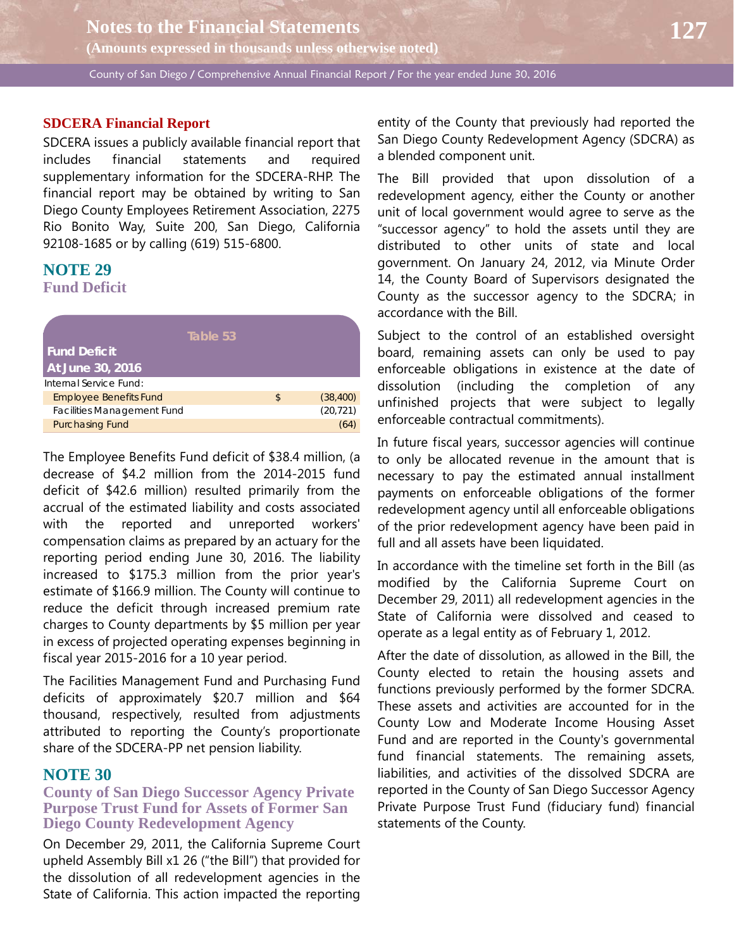#### **SDCERA Financial Report**

SDCERA issues a publicly available financial report that includes financial statements and required supplementary information for the SDCERA-RHP. The financial report may be obtained by writing to San Diego County Employees Retirement Association, 2275 Rio Bonito Way, Suite 200, San Diego, California 92108-1685 or by calling (619) 515-6800.

# **NOTE 29**

## **Fund Deficit**

| Table 53                      |                 |
|-------------------------------|-----------------|
| <b>Fund Deficit</b>           |                 |
| At June 30, 2016              |                 |
| Internal Service Fund:        |                 |
| <b>Employee Benefits Fund</b> | \$<br>(38, 400) |
| Facilities Management Fund    | (20, 721)       |
| <b>Purchasing Fund</b>        | (64             |

The Employee Benefits Fund deficit of \$38.4 million, (a decrease of \$4.2 million from the 2014-2015 fund deficit of \$42.6 million) resulted primarily from the accrual of the estimated liability and costs associated with the reported and unreported workers' compensation claims as prepared by an actuary for the reporting period ending June 30, 2016. The liability increased to \$175.3 million from the prior year's estimate of \$166.9 million. The County will continue to reduce the deficit through increased premium rate charges to County departments by \$5 million per year in excess of projected operating expenses beginning in fiscal year 2015-2016 for a 10 year period.

The Facilities Management Fund and Purchasing Fund deficits of approximately \$20.7 million and \$64 thousand, respectively, resulted from adjustments attributed to reporting the County's proportionate share of the SDCERA-PP net pension liability.

## **NOTE 30**

### **County of San Diego Successor Agency Private Purpose Trust Fund for Assets of Former San Diego County Redevelopment Agency**

On December 29, 2011, the California Supreme Court upheld Assembly Bill x1 26 ("the Bill") that provided for the dissolution of all redevelopment agencies in the State of California. This action impacted the reporting

entity of the County that previously had reported the San Diego County Redevelopment Agency (SDCRA) as a blended component unit.

The Bill provided that upon dissolution of a redevelopment agency, either the County or another unit of local government would agree to serve as the "successor agency" to hold the assets until they are distributed to other units of state and local government. On January 24, 2012, via Minute Order 14, the County Board of Supervisors designated the County as the successor agency to the SDCRA; in accordance with the Bill.

Subject to the control of an established oversight board, remaining assets can only be used to pay enforceable obligations in existence at the date of dissolution (including the completion of any unfinished projects that were subject to legally enforceable contractual commitments).

In future fiscal years, successor agencies will continue to only be allocated revenue in the amount that is necessary to pay the estimated annual installment payments on enforceable obligations of the former redevelopment agency until all enforceable obligations of the prior redevelopment agency have been paid in full and all assets have been liquidated.

In accordance with the timeline set forth in the Bill (as modified by the California Supreme Court on December 29, 2011) all redevelopment agencies in the State of California were dissolved and ceased to operate as a legal entity as of February 1, 2012.

After the date of dissolution, as allowed in the Bill, the County elected to retain the housing assets and functions previously performed by the former SDCRA. These assets and activities are accounted for in the County Low and Moderate Income Housing Asset Fund and are reported in the County's governmental fund financial statements. The remaining assets, liabilities, and activities of the dissolved SDCRA are reported in the County of San Diego Successor Agency Private Purpose Trust Fund (fiduciary fund) financial statements of the County.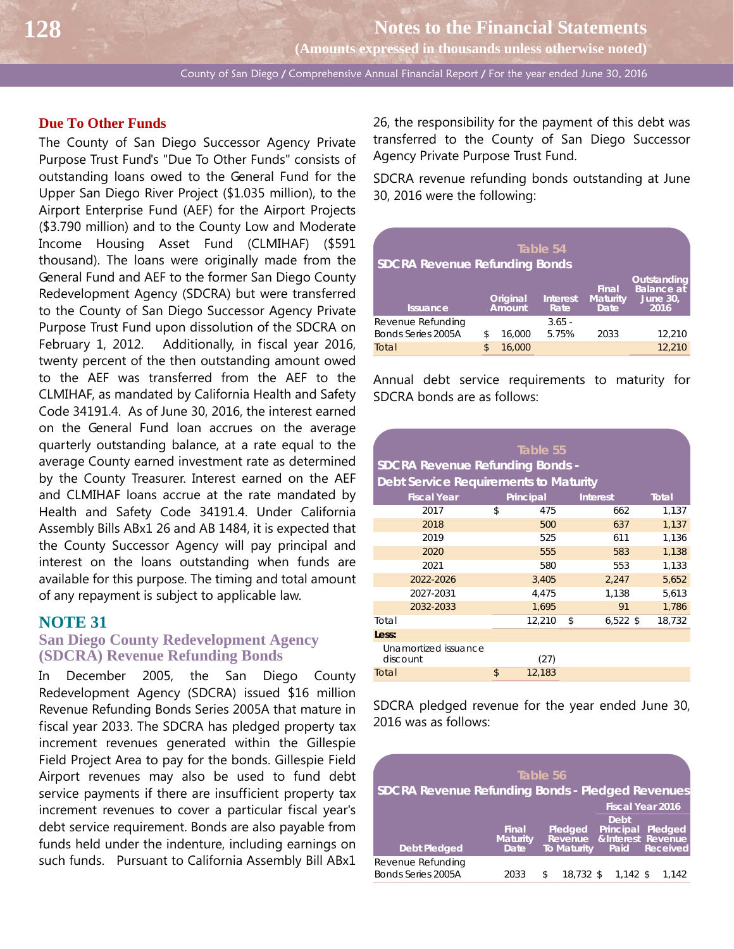County of San Diego / Comprehensive Annual Financial Report / For the year ended June 30, 2016

#### **Due To Other Funds**

The County of San Diego Successor Agency Private Purpose Trust Fund's "Due To Other Funds" consists of outstanding loans owed to the General Fund for the Upper San Diego River Project (\$1.035 million), to the Airport Enterprise Fund (AEF) for the Airport Projects (\$3.790 million) and to the County Low and Moderate Income Housing Asset Fund (CLMIHAF) (\$591 thousand). The loans were originally made from the General Fund and AEF to the former San Diego County Redevelopment Agency (SDCRA) but were transferred to the County of San Diego Successor Agency Private Purpose Trust Fund upon dissolution of the SDCRA on February 1, 2012. Additionally, in fiscal year 2016, twenty percent of the then outstanding amount owed to the AEF was transferred from the AEF to the CLMIHAF, as mandated by California Health and Safety Code 34191.4. As of June 30, 2016, the interest earned on the General Fund loan accrues on the average quarterly outstanding balance, at a rate equal to the average County earned investment rate as determined by the County Treasurer. Interest earned on the AEF and CLMIHAF loans accrue at the rate mandated by Health and Safety Code 34191.4. Under California Assembly Bills ABx1 26 and AB 1484, it is expected that the County Successor Agency will pay principal and interest on the loans outstanding when funds are available for this purpose. The timing and total amount of any repayment is subject to applicable law.

## **NOTE 31**

### **San Diego County Redevelopment Agency (SDCRA) Revenue Refunding Bonds**

In December 2005, the San Diego County Redevelopment Agency (SDCRA) issued \$16 million Revenue Refunding Bonds Series 2005A that mature in fiscal year 2033. The SDCRA has pledged property tax increment revenues generated within the Gillespie Field Project Area to pay for the bonds. Gillespie Field Airport revenues may also be used to fund debt service payments if there are insufficient property tax increment revenues to cover a particular fiscal year's debt service requirement. Bonds are also payable from funds held under the indenture, including earnings on such funds. Pursuant to California Assembly Bill ABx1

26, the responsibility for the payment of this debt was transferred to the County of San Diego Successor Agency Private Purpose Trust Fund.

SDCRA revenue refunding bonds outstanding at June 30, 2016 were the following:

|                    | Table 54<br><b>SDCRA Revenue Refunding Bonds</b> |                    |                         |                                         |                                                             |  |  |  |  |  |
|--------------------|--------------------------------------------------|--------------------|-------------------------|-----------------------------------------|-------------------------------------------------------------|--|--|--|--|--|
| <b>Issuance</b>    |                                                  | Original<br>Amount | <b>Interest</b><br>Rate | <b>Final</b><br><b>Maturity</b><br>Date | Outstanding<br><b>Balance</b> at<br><b>June 30,</b><br>2016 |  |  |  |  |  |
| Revenue Refunding  |                                                  |                    | $3.65 -$                |                                         |                                                             |  |  |  |  |  |
| Bonds Series 2005A | \$                                               | 16.000             | 5.75%                   | 2033                                    | 12,210                                                      |  |  |  |  |  |
| Total              | \$                                               | 16,000             |                         |                                         | 12,210                                                      |  |  |  |  |  |

Annual debt service requirements to maturity for SDCRA bonds are as follows:

| Table 55                               |                |           |                  |              |  |  |  |  |  |  |
|----------------------------------------|----------------|-----------|------------------|--------------|--|--|--|--|--|--|
| <b>SDCRA Revenue Refunding Bonds -</b> |                |           |                  |              |  |  |  |  |  |  |
| Debt Service Requirements to Maturity  |                |           |                  |              |  |  |  |  |  |  |
| <b>Fiscal Year</b>                     |                | Principal | <b>Interest</b>  | <b>Total</b> |  |  |  |  |  |  |
| 2017                                   | \$             | 475       | 662              | 1,137        |  |  |  |  |  |  |
| 2018                                   |                | 500       | 637              | 1,137        |  |  |  |  |  |  |
| 2019                                   |                | 525       | 611              | 1,136        |  |  |  |  |  |  |
| 2020                                   |                | 555       | 583              | 1,138        |  |  |  |  |  |  |
| 2021                                   |                | 580       | 553              | 1,133        |  |  |  |  |  |  |
| 2022-2026                              |                | 3,405     | 2,247            | 5,652        |  |  |  |  |  |  |
| 2027-2031                              |                | 4,475     | 1,138            | 5,613        |  |  |  |  |  |  |
| 2032-2033                              |                | 1,695     | 91               | 1,786        |  |  |  |  |  |  |
| Total                                  |                | 12,210    | \$<br>$6,522$ \$ | 18,732       |  |  |  |  |  |  |
| Less:                                  |                |           |                  |              |  |  |  |  |  |  |
| Unamortized issuance<br>discount       |                | (27)      |                  |              |  |  |  |  |  |  |
| Total                                  | $\mathfrak{L}$ | 12.183    |                  |              |  |  |  |  |  |  |

SDCRA pledged revenue for the year ended June 30, 2016 was as follows:

|                                                         | Table 56                                |    |                                                 |  |                                                 |  |                            |  |
|---------------------------------------------------------|-----------------------------------------|----|-------------------------------------------------|--|-------------------------------------------------|--|----------------------------|--|
| <b>SDCRA Revenue Refunding Bonds - Pledged Revenues</b> |                                         |    |                                                 |  |                                                 |  |                            |  |
|                                                         | <b>Fiscal Year 2016</b>                 |    |                                                 |  |                                                 |  |                            |  |
| <b>Debt Pledged</b>                                     | <b>Final</b><br><b>Maturity</b><br>Date |    | Pledged<br><b>Revenue</b><br><b>To Maturity</b> |  | Debt<br>Principal<br>& Interest Revenue<br>Paid |  | Pledged<br><b>Received</b> |  |
| Revenue Refunding<br>Bonds Series 2005A                 | 2033                                    | \$ | 18.732 \$                                       |  | $1.142$ \$                                      |  | 1.142                      |  |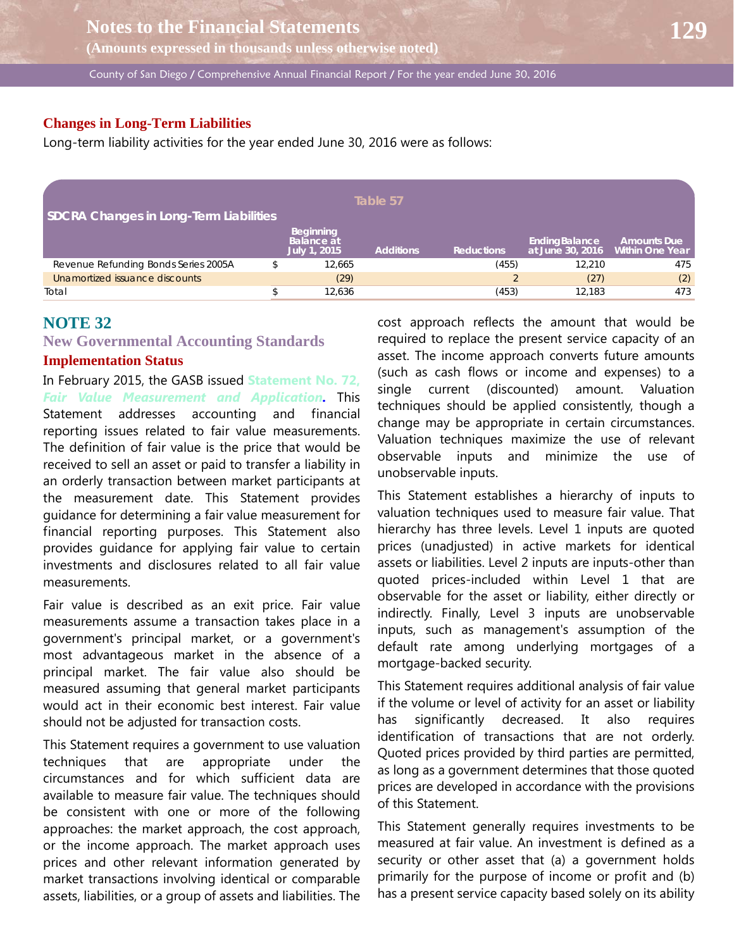**(Amounts expressed in thousands unless otherwise noted)**

County of San Diego / Comprehensive Annual Financial Report / For the year ended June 30, 2016

#### **Changes in Long-Term Liabilities**

Long-term liability activities for the year ended June 30, 2016 were as follows:

| Table 57<br><b>SDCRA Changes in Long-Term Liabilities</b> |  |                                                       |                  |                   |                                           |                                              |  |  |
|-----------------------------------------------------------|--|-------------------------------------------------------|------------------|-------------------|-------------------------------------------|----------------------------------------------|--|--|
|                                                           |  | <b>Beginning</b><br><b>Balance</b> at<br>July 1, 2015 | <b>Additions</b> | <b>Reductions</b> | <b>Ending Balance</b><br>at June 30, 2016 | <b>Amounts Due</b><br><b>Within One Year</b> |  |  |
| Revenue Refunding Bonds Series 2005A                      |  | 12.665                                                |                  | (455)             | 12.210                                    | 475                                          |  |  |
| Unamortized issuance discounts                            |  | (29)                                                  |                  | $\mathcal{D}$     | (27)                                      | (2)                                          |  |  |
| Total                                                     |  | 12.636                                                |                  | (453)             | 12.183                                    | 473                                          |  |  |

# **NOTE 32**

## **New Governmental Accounting Standards**

#### **Implementation Status**

In February 2015, the GASB issued **Statement No. 72,** *Fair Value Measurement and Application.* This Statement addresses accounting and financial reporting issues related to fair value measurements. The definition of fair value is the price that would be received to sell an asset or paid to transfer a liability in an orderly transaction between market participants at the measurement date. This Statement provides guidance for determining a fair value measurement for financial reporting purposes. This Statement also provides guidance for applying fair value to certain investments and disclosures related to all fair value measurements.

Fair value is described as an exit price. Fair value measurements assume a transaction takes place in a government's principal market, or a government's most advantageous market in the absence of a principal market. The fair value also should be measured assuming that general market participants would act in their economic best interest. Fair value should not be adjusted for transaction costs.

This Statement requires a government to use valuation techniques that are appropriate under the circumstances and for which sufficient data are available to measure fair value. The techniques should be consistent with one or more of the following approaches: the market approach, the cost approach, or the income approach. The market approach uses prices and other relevant information generated by market transactions involving identical or comparable assets, liabilities, or a group of assets and liabilities. The cost approach reflects the amount that would be required to replace the present service capacity of an asset. The income approach converts future amounts (such as cash flows or income and expenses) to a single current (discounted) amount. Valuation techniques should be applied consistently, though a change may be appropriate in certain circumstances. Valuation techniques maximize the use of relevant observable inputs and minimize the use of unobservable inputs.

This Statement establishes a hierarchy of inputs to valuation techniques used to measure fair value. That hierarchy has three levels. Level 1 inputs are quoted prices (unadjusted) in active markets for identical assets or liabilities. Level 2 inputs are inputs-other than quoted prices-included within Level 1 that are observable for the asset or liability, either directly or indirectly. Finally, Level 3 inputs are unobservable inputs, such as management's assumption of the default rate among underlying mortgages of a mortgage-backed security.

This Statement requires additional analysis of fair value if the volume or level of activity for an asset or liability has significantly decreased. It also requires identification of transactions that are not orderly. Quoted prices provided by third parties are permitted, as long as a government determines that those quoted prices are developed in accordance with the provisions of this Statement.

This Statement generally requires investments to be measured at fair value. An investment is defined as a security or other asset that (a) a government holds primarily for the purpose of income or profit and (b) has a present service capacity based solely on its ability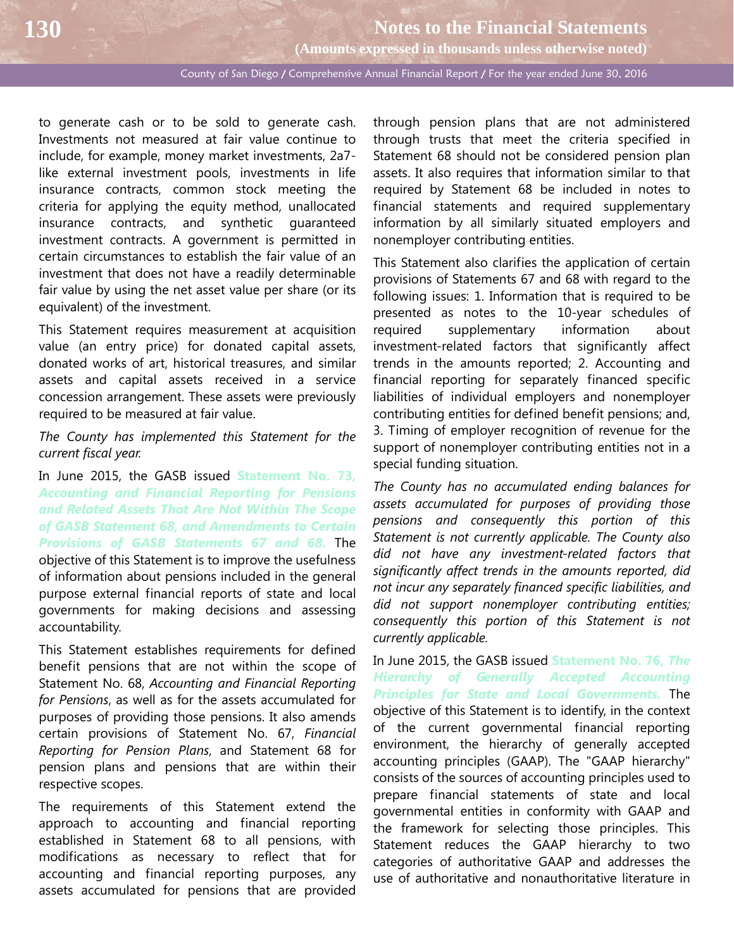County of San Diego / Comprehensive Annual Financial Report / For the year ended June 30, 2016

to generate cash or to be sold to generate cash. Investments not measured at fair value continue to include, for example, money market investments, 2a7 like external investment pools, investments in life insurance contracts, common stock meeting the criteria for applying the equity method, unallocated insurance contracts, and synthetic guaranteed investment contracts. A government is permitted in certain circumstances to establish the fair value of an investment that does not have a readily determinable fair value by using the net asset value per share (or its equivalent) of the investment.

This Statement requires measurement at acquisition value (an entry price) for donated capital assets, donated works of art, historical treasures, and similar assets and capital assets received in a service concession arrangement. These assets were previously required to be measured at fair value.

### *The County has implemented this Statement for the current fiscal year.*

In June 2015, the GASB issued **Statement No. 73,** *Accounting and Financial Reporting for Pensions and Related Assets That Are Not Within The Scope of GASB Statement 68, and Amendments to Certain Provisions of GASB Statements 67 and 68.* The objective of this Statement is to improve the usefulness of information about pensions included in the general purpose external financial reports of state and local governments for making decisions and assessing accountability.

This Statement establishes requirements for defined benefit pensions that are not within the scope of Statement No. 68, *Accounting and Financial Reporting for Pensions*, as well as for the assets accumulated for purposes of providing those pensions. It also amends certain provisions of Statement No. 67, *Financial Reporting for Pension Plans*, and Statement 68 for pension plans and pensions that are within their respective scopes.

The requirements of this Statement extend the approach to accounting and financial reporting established in Statement 68 to all pensions, with modifications as necessary to reflect that for accounting and financial reporting purposes, any assets accumulated for pensions that are provided

through pension plans that are not administered through trusts that meet the criteria specified in Statement 68 should not be considered pension plan assets. It also requires that information similar to that required by Statement 68 be included in notes to financial statements and required supplementary information by all similarly situated employers and nonemployer contributing entities.

This Statement also clarifies the application of certain provisions of Statements 67 and 68 with regard to the following issues: 1. Information that is required to be presented as notes to the 10-year schedules of required supplementary information about investment-related factors that significantly affect trends in the amounts reported; 2. Accounting and financial reporting for separately financed specific liabilities of individual employers and nonemployer contributing entities for defined benefit pensions; and, 3. Timing of employer recognition of revenue for the support of nonemployer contributing entities not in a special funding situation.

*The County has no accumulated ending balances for assets accumulated for purposes of providing those pensions and consequently this portion of this Statement is not currently applicable. The County also did not have any investment-related factors that significantly affect trends in the amounts reported, did not incur any separately financed specific liabilities, and did not support nonemployer contributing entities; consequently this portion of this Statement is not currently applicable.*

In June 2015, the GASB issued **Statement No. 76,** *The Hierarchy of Generally Accepted Accounting Principles for State and Local Governments.* The objective of this Statement is to identify, in the context of the current governmental financial reporting environment, the hierarchy of generally accepted accounting principles (GAAP). The "GAAP hierarchy" consists of the sources of accounting principles used to prepare financial statements of state and local governmental entities in conformity with GAAP and the framework for selecting those principles. This Statement reduces the GAAP hierarchy to two categories of authoritative GAAP and addresses the use of authoritative and nonauthoritative literature in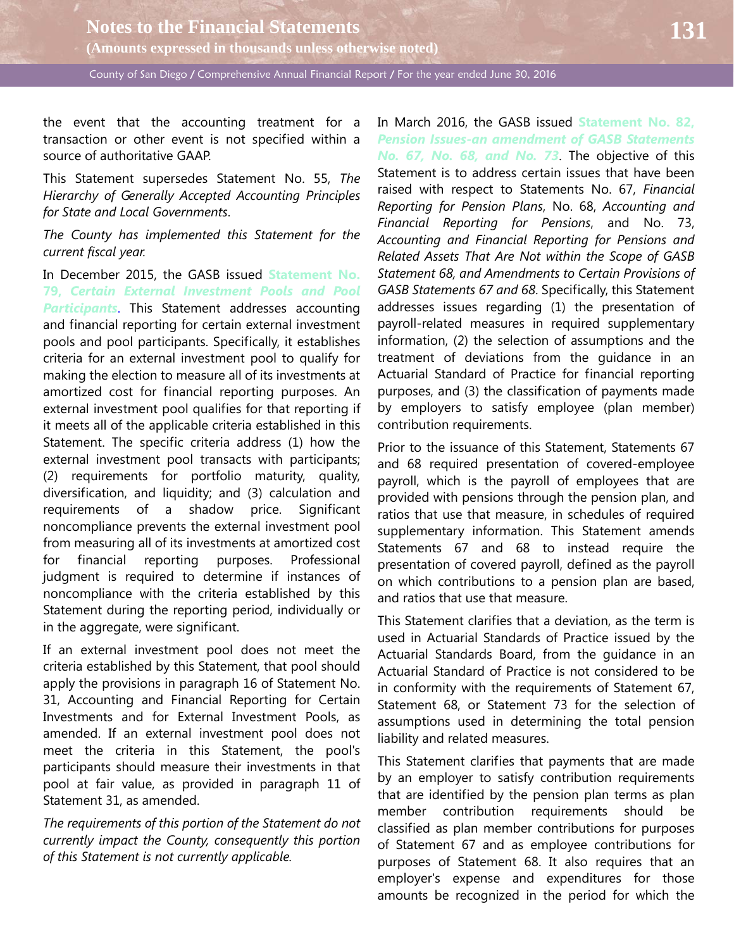**131**

County of San Diego / Comprehensive Annual Financial Report / For the year ended June 30, 2016

the event that the accounting treatment for a transaction or other event is not specified within a source of authoritative GAAP.

This Statement supersedes Statement No. 55, *The Hierarchy of Generally Accepted Accounting Principles for State and Local Governments*.

### *The County has implemented this Statement for the current fiscal year.*

In December 2015, the GASB issued **Statement No. 79,** *Certain External Investment Pools and Pool Participants*. This Statement addresses accounting and financial reporting for certain external investment pools and pool participants. Specifically, it establishes criteria for an external investment pool to qualify for making the election to measure all of its investments at amortized cost for financial reporting purposes. An external investment pool qualifies for that reporting if it meets all of the applicable criteria established in this Statement. The specific criteria address (1) how the external investment pool transacts with participants; (2) requirements for portfolio maturity, quality, diversification, and liquidity; and (3) calculation and requirements of a shadow price. Significant noncompliance prevents the external investment pool from measuring all of its investments at amortized cost for financial reporting purposes. Professional judgment is required to determine if instances of noncompliance with the criteria established by this Statement during the reporting period, individually or in the aggregate, were significant.

If an external investment pool does not meet the criteria established by this Statement, that pool should apply the provisions in paragraph 16 of Statement No. 31, Accounting and Financial Reporting for Certain Investments and for External Investment Pools, as amended. If an external investment pool does not meet the criteria in this Statement, the pool's participants should measure their investments in that pool at fair value, as provided in paragraph 11 of Statement 31, as amended.

*The requirements of this portion of the Statement do not currently impact the County, consequently this portion of this Statement is not currently applicable.* 

In March 2016, the GASB issued **Statement No. 82,** *Pension Issues-an amendment of GASB Statements No. 67, No. 68, and No. 73*. The objective of this Statement is to address certain issues that have been raised with respect to Statements No. 67, *Financial Reporting for Pension Plans*, No. 68, *Accounting and Financial Reporting for Pensions*, and No. 73, *Accounting and Financial Reporting for Pensions and Related Assets That Are Not within the Scope of GASB Statement 68, and Amendments to Certain Provisions of GASB Statements 67 and 68*. Specifically, this Statement addresses issues regarding (1) the presentation of payroll-related measures in required supplementary information, (2) the selection of assumptions and the treatment of deviations from the guidance in an Actuarial Standard of Practice for financial reporting purposes, and (3) the classification of payments made by employers to satisfy employee (plan member) contribution requirements.

Prior to the issuance of this Statement, Statements 67 and 68 required presentation of covered-employee payroll, which is the payroll of employees that are provided with pensions through the pension plan, and ratios that use that measure, in schedules of required supplementary information. This Statement amends Statements 67 and 68 to instead require the presentation of covered payroll, defined as the payroll on which contributions to a pension plan are based, and ratios that use that measure.

This Statement clarifies that a deviation, as the term is used in Actuarial Standards of Practice issued by the Actuarial Standards Board, from the guidance in an Actuarial Standard of Practice is not considered to be in conformity with the requirements of Statement 67, Statement 68, or Statement 73 for the selection of assumptions used in determining the total pension liability and related measures.

This Statement clarifies that payments that are made by an employer to satisfy contribution requirements that are identified by the pension plan terms as plan member contribution requirements should be classified as plan member contributions for purposes of Statement 67 and as employee contributions for purposes of Statement 68. It also requires that an employer's expense and expenditures for those amounts be recognized in the period for which the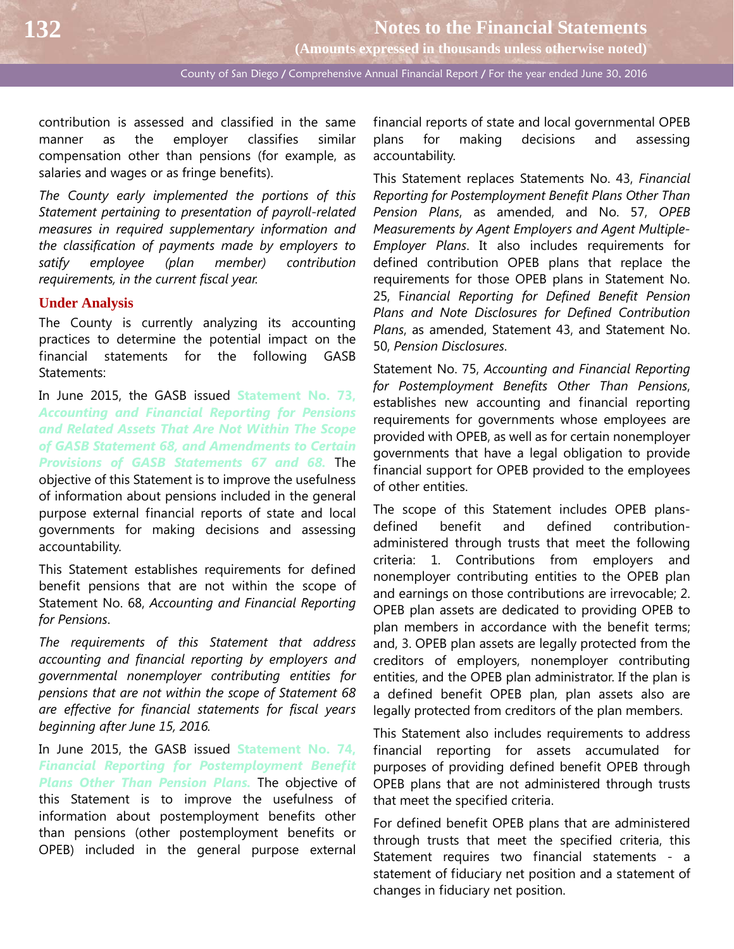County of San Diego / Comprehensive Annual Financial Report / For the year ended June 30, 2016

contribution is assessed and classified in the same manner as the employer classifies similar compensation other than pensions (for example, as salaries and wages or as fringe benefits).

*The County early implemented the portions of this Statement pertaining to presentation of payroll-related measures in required supplementary information and the classification of payments made by employers to satify employee (plan member) contribution requirements, in the current fiscal year.* 

#### **Under Analysis**

The County is currently analyzing its accounting practices to determine the potential impact on the financial statements for the following GASB Statements:

In June 2015, the GASB issued **Statement No. 73,** *Accounting and Financial Reporting for Pensions and Related Assets That Are Not Within The Scope of GASB Statement 68, and Amendments to Certain Provisions of GASB Statements 67 and 68.* The objective of this Statement is to improve the usefulness of information about pensions included in the general purpose external financial reports of state and local governments for making decisions and assessing accountability.

This Statement establishes requirements for defined benefit pensions that are not within the scope of Statement No. 68, *Accounting and Financial Reporting for Pensions*.

*The requirements of this Statement that address accounting and financial reporting by employers and governmental nonemployer contributing entities for pensions that are not within the scope of Statement 68 are effective for financial statements for fiscal years beginning after June 15, 2016.*

In June 2015, the GASB issued **Statement No. 74,** *Financial Reporting for Postemployment Benefit Plans Other Than Pension Plans.* The objective of this Statement is to improve the usefulness of information about postemployment benefits other than pensions (other postemployment benefits or OPEB) included in the general purpose external

financial reports of state and local governmental OPEB plans for making decisions and assessing accountability.

This Statement replaces Statements No. 43, *Financial Reporting for Postemployment Benefit Plans Other Than Pension Plans*, as amended, and No. 57, *OPEB Measurements by Agent Employers and Agent Multiple-Employer Plans*. It also includes requirements for defined contribution OPEB plans that replace the requirements for those OPEB plans in Statement No. 25, F*inancial Reporting for Defined Benefit Pension Plans and Note Disclosures for Defined Contribution Plans*, as amended, Statement 43, and Statement No. 50, *Pension Disclosures*.

Statement No. 75, *Accounting and Financial Reporting for Postemployment Benefits Other Than Pensions*, establishes new accounting and financial reporting requirements for governments whose employees are provided with OPEB, as well as for certain nonemployer governments that have a legal obligation to provide financial support for OPEB provided to the employees of other entities.

The scope of this Statement includes OPEB plansdefined benefit and defined contributionadministered through trusts that meet the following criteria: 1. Contributions from employers and nonemployer contributing entities to the OPEB plan and earnings on those contributions are irrevocable; 2. OPEB plan assets are dedicated to providing OPEB to plan members in accordance with the benefit terms; and, 3. OPEB plan assets are legally protected from the creditors of employers, nonemployer contributing entities, and the OPEB plan administrator. If the plan is a defined benefit OPEB plan, plan assets also are legally protected from creditors of the plan members.

This Statement also includes requirements to address financial reporting for assets accumulated for purposes of providing defined benefit OPEB through OPEB plans that are not administered through trusts that meet the specified criteria.

For defined benefit OPEB plans that are administered through trusts that meet the specified criteria, this Statement requires two financial statements - a statement of fiduciary net position and a statement of changes in fiduciary net position.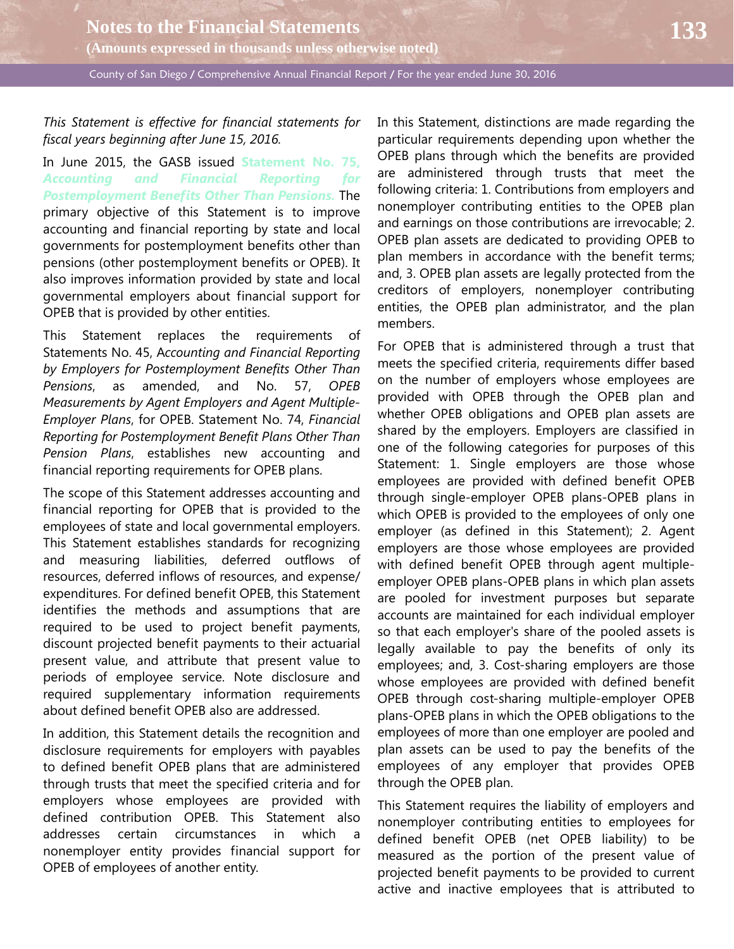## *This Statement is effective for financial statements for fiscal years beginning after June 15, 2016.*

In June 2015, the GASB issued **Statement No. 75,** *Accounting and Financial Reporting for Postemployment Benefits Other Than Pensions.* The primary objective of this Statement is to improve accounting and financial reporting by state and local governments for postemployment benefits other than pensions (other postemployment benefits or OPEB). It also improves information provided by state and local governmental employers about financial support for OPEB that is provided by other entities.

This Statement replaces the requirements of Statements No. 45, A*ccounting and Financial Reporting by Employers for Postemployment Benefits Other Than Pensions*, as amended, and No. 57, *OPEB Measurements by Agent Employers and Agent Multiple-Employer Plans*, for OPEB. Statement No. 74, *Financial Reporting for Postemployment Benefit Plans Other Than Pension Plans*, establishes new accounting and financial reporting requirements for OPEB plans.

The scope of this Statement addresses accounting and financial reporting for OPEB that is provided to the employees of state and local governmental employers. This Statement establishes standards for recognizing and measuring liabilities, deferred outflows of resources, deferred inflows of resources, and expense/ expenditures. For defined benefit OPEB, this Statement identifies the methods and assumptions that are required to be used to project benefit payments, discount projected benefit payments to their actuarial present value, and attribute that present value to periods of employee service. Note disclosure and required supplementary information requirements about defined benefit OPEB also are addressed.

In addition, this Statement details the recognition and disclosure requirements for employers with payables to defined benefit OPEB plans that are administered through trusts that meet the specified criteria and for employers whose employees are provided with defined contribution OPEB. This Statement also addresses certain circumstances in which a nonemployer entity provides financial support for OPEB of employees of another entity.

In this Statement, distinctions are made regarding the particular requirements depending upon whether the OPEB plans through which the benefits are provided are administered through trusts that meet the following criteria: 1. Contributions from employers and nonemployer contributing entities to the OPEB plan and earnings on those contributions are irrevocable; 2. OPEB plan assets are dedicated to providing OPEB to plan members in accordance with the benefit terms; and, 3. OPEB plan assets are legally protected from the creditors of employers, nonemployer contributing entities, the OPEB plan administrator, and the plan members.

For OPEB that is administered through a trust that meets the specified criteria, requirements differ based on the number of employers whose employees are provided with OPEB through the OPEB plan and whether OPEB obligations and OPEB plan assets are shared by the employers. Employers are classified in one of the following categories for purposes of this Statement: 1. Single employers are those whose employees are provided with defined benefit OPEB through single-employer OPEB plans-OPEB plans in which OPEB is provided to the employees of only one employer (as defined in this Statement); 2. Agent employers are those whose employees are provided with defined benefit OPEB through agent multipleemployer OPEB plans-OPEB plans in which plan assets are pooled for investment purposes but separate accounts are maintained for each individual employer so that each employer's share of the pooled assets is legally available to pay the benefits of only its employees; and, 3. Cost-sharing employers are those whose employees are provided with defined benefit OPEB through cost-sharing multiple-employer OPEB plans-OPEB plans in which the OPEB obligations to the employees of more than one employer are pooled and plan assets can be used to pay the benefits of the employees of any employer that provides OPEB through the OPEB plan.

This Statement requires the liability of employers and nonemployer contributing entities to employees for defined benefit OPEB (net OPEB liability) to be measured as the portion of the present value of projected benefit payments to be provided to current active and inactive employees that is attributed to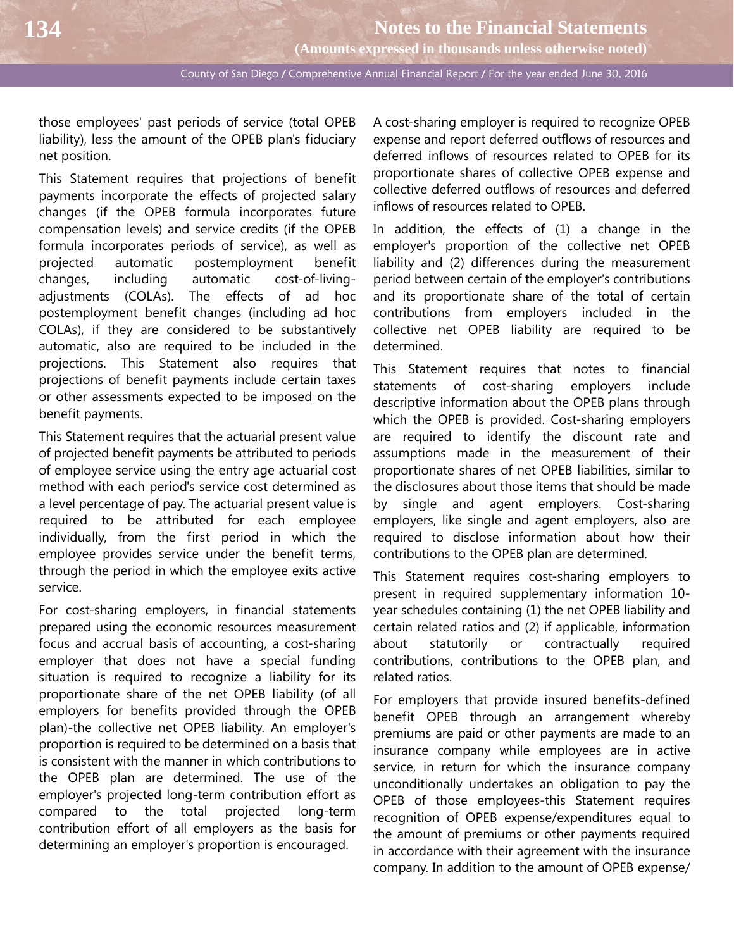County of San Diego / Comprehensive Annual Financial Report / For the year ended June 30, 2016

those employees' past periods of service (total OPEB liability), less the amount of the OPEB plan's fiduciary net position.

This Statement requires that projections of benefit payments incorporate the effects of projected salary changes (if the OPEB formula incorporates future compensation levels) and service credits (if the OPEB formula incorporates periods of service), as well as projected automatic postemployment benefit changes, including automatic cost-of-livingadjustments (COLAs). The effects of ad hoc postemployment benefit changes (including ad hoc COLAs), if they are considered to be substantively automatic, also are required to be included in the projections. This Statement also requires that projections of benefit payments include certain taxes or other assessments expected to be imposed on the benefit payments.

This Statement requires that the actuarial present value of projected benefit payments be attributed to periods of employee service using the entry age actuarial cost method with each period's service cost determined as a level percentage of pay. The actuarial present value is required to be attributed for each employee individually, from the first period in which the employee provides service under the benefit terms, through the period in which the employee exits active service.

For cost-sharing employers, in financial statements prepared using the economic resources measurement focus and accrual basis of accounting, a cost-sharing employer that does not have a special funding situation is required to recognize a liability for its proportionate share of the net OPEB liability (of all employers for benefits provided through the OPEB plan)-the collective net OPEB liability. An employer's proportion is required to be determined on a basis that is consistent with the manner in which contributions to the OPEB plan are determined. The use of the employer's projected long-term contribution effort as compared to the total projected long-term contribution effort of all employers as the basis for determining an employer's proportion is encouraged.

A cost-sharing employer is required to recognize OPEB expense and report deferred outflows of resources and deferred inflows of resources related to OPEB for its proportionate shares of collective OPEB expense and collective deferred outflows of resources and deferred inflows of resources related to OPEB.

In addition, the effects of (1) a change in the employer's proportion of the collective net OPEB liability and (2) differences during the measurement period between certain of the employer's contributions and its proportionate share of the total of certain contributions from employers included in the collective net OPEB liability are required to be determined.

This Statement requires that notes to financial statements of cost-sharing employers include descriptive information about the OPEB plans through which the OPEB is provided. Cost-sharing employers are required to identify the discount rate and assumptions made in the measurement of their proportionate shares of net OPEB liabilities, similar to the disclosures about those items that should be made by single and agent employers. Cost-sharing employers, like single and agent employers, also are required to disclose information about how their contributions to the OPEB plan are determined.

This Statement requires cost-sharing employers to present in required supplementary information 10 year schedules containing (1) the net OPEB liability and certain related ratios and (2) if applicable, information about statutorily or contractually required contributions, contributions to the OPEB plan, and related ratios.

For employers that provide insured benefits-defined benefit OPEB through an arrangement whereby premiums are paid or other payments are made to an insurance company while employees are in active service, in return for which the insurance company unconditionally undertakes an obligation to pay the OPEB of those employees-this Statement requires recognition of OPEB expense/expenditures equal to the amount of premiums or other payments required in accordance with their agreement with the insurance company. In addition to the amount of OPEB expense/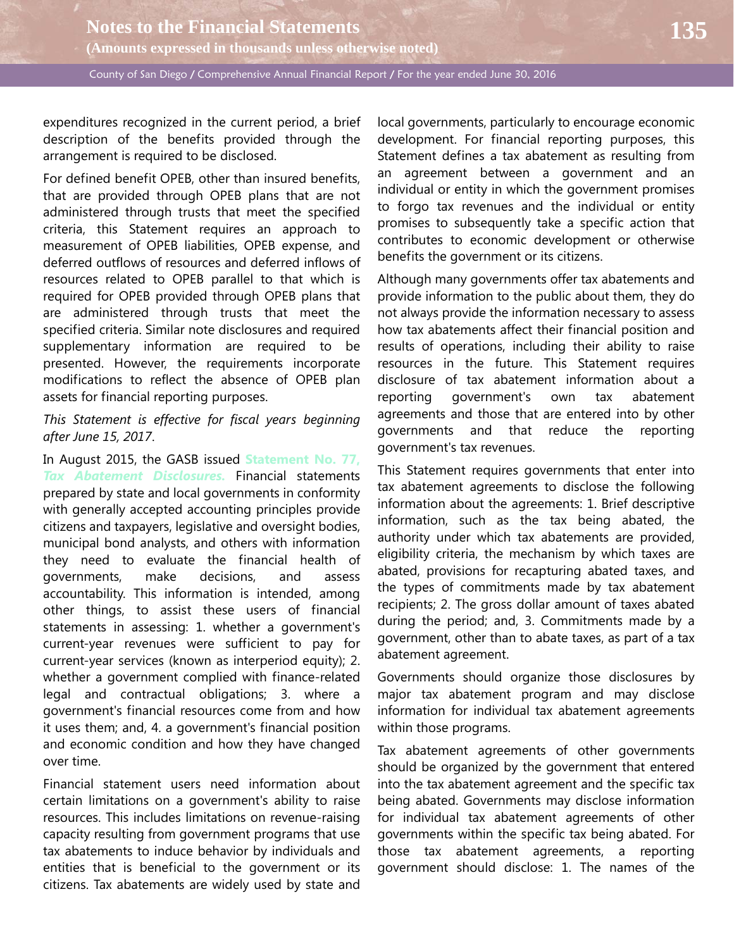expenditures recognized in the current period, a brief description of the benefits provided through the arrangement is required to be disclosed.

For defined benefit OPEB, other than insured benefits, that are provided through OPEB plans that are not administered through trusts that meet the specified criteria, this Statement requires an approach to measurement of OPEB liabilities, OPEB expense, and deferred outflows of resources and deferred inflows of resources related to OPEB parallel to that which is required for OPEB provided through OPEB plans that are administered through trusts that meet the specified criteria. Similar note disclosures and required supplementary information are required to be presented. However, the requirements incorporate modifications to reflect the absence of OPEB plan assets for financial reporting purposes.

## *This Statement is effective for fiscal years beginning after June 15, 2017*.

In August 2015, the GASB issued **Statement No. 77,** *Tax Abatement Disclosures.* Financial statements prepared by state and local governments in conformity with generally accepted accounting principles provide citizens and taxpayers, legislative and oversight bodies, municipal bond analysts, and others with information they need to evaluate the financial health of governments, make decisions, and assess accountability. This information is intended, among other things, to assist these users of financial statements in assessing: 1. whether a government's current-year revenues were sufficient to pay for current-year services (known as interperiod equity); 2. whether a government complied with finance-related legal and contractual obligations; 3. where a government's financial resources come from and how it uses them; and, 4. a government's financial position and economic condition and how they have changed over time.

Financial statement users need information about certain limitations on a government's ability to raise resources. This includes limitations on revenue-raising capacity resulting from government programs that use tax abatements to induce behavior by individuals and entities that is beneficial to the government or its citizens. Tax abatements are widely used by state and local governments, particularly to encourage economic development. For financial reporting purposes, this Statement defines a tax abatement as resulting from an agreement between a government and an individual or entity in which the government promises to forgo tax revenues and the individual or entity promises to subsequently take a specific action that contributes to economic development or otherwise benefits the government or its citizens.

Although many governments offer tax abatements and provide information to the public about them, they do not always provide the information necessary to assess how tax abatements affect their financial position and results of operations, including their ability to raise resources in the future. This Statement requires disclosure of tax abatement information about a reporting government's own tax abatement agreements and those that are entered into by other governments and that reduce the reporting government's tax revenues.

This Statement requires governments that enter into tax abatement agreements to disclose the following information about the agreements: 1. Brief descriptive information, such as the tax being abated, the authority under which tax abatements are provided, eligibility criteria, the mechanism by which taxes are abated, provisions for recapturing abated taxes, and the types of commitments made by tax abatement recipients; 2. The gross dollar amount of taxes abated during the period; and, 3. Commitments made by a government, other than to abate taxes, as part of a tax abatement agreement.

Governments should organize those disclosures by major tax abatement program and may disclose information for individual tax abatement agreements within those programs.

Tax abatement agreements of other governments should be organized by the government that entered into the tax abatement agreement and the specific tax being abated. Governments may disclose information for individual tax abatement agreements of other governments within the specific tax being abated. For those tax abatement agreements, a reporting government should disclose: 1. The names of the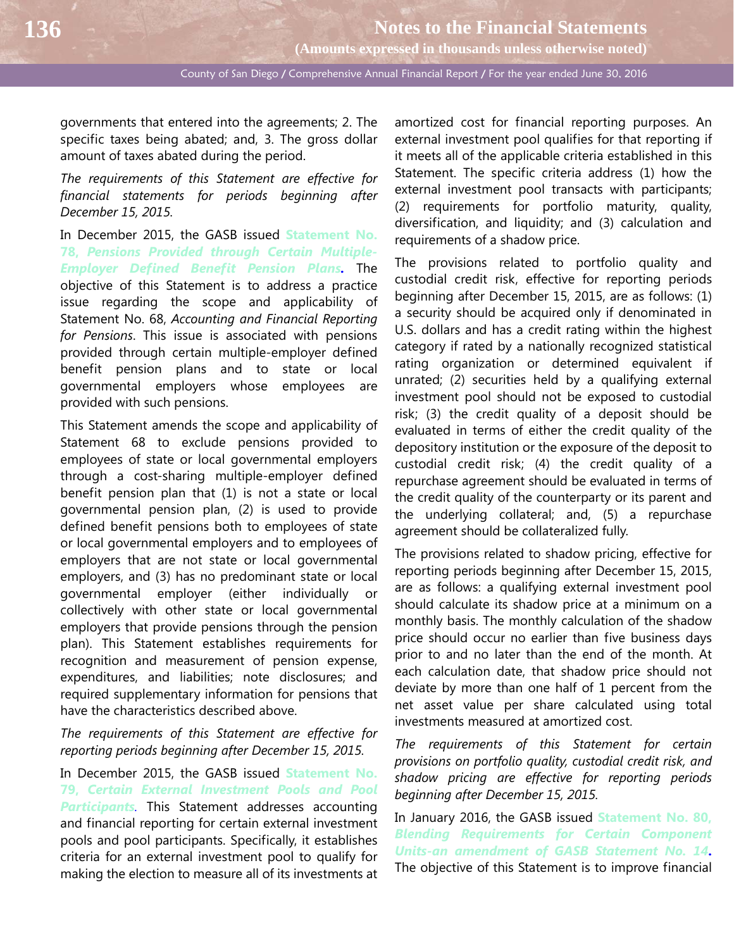County of San Diego / Comprehensive Annual Financial Report / For the year ended June 30, 2016

governments that entered into the agreements; 2. The specific taxes being abated; and, 3. The gross dollar amount of taxes abated during the period.

*The requirements of this Statement are effective for financial statements for periods beginning after December 15, 2015.*

In December 2015, the GASB issued **Statement No. 78,** *Pensions Provided through Certain Multiple-Employer Defined Benefit Pension Plans.* The objective of this Statement is to address a practice issue regarding the scope and applicability of Statement No. 68, *Accounting and Financial Reporting for Pensions*. This issue is associated with pensions provided through certain multiple-employer defined benefit pension plans and to state or local governmental employers whose employees are provided with such pensions.

This Statement amends the scope and applicability of Statement 68 to exclude pensions provided to employees of state or local governmental employers through a cost-sharing multiple-employer defined benefit pension plan that (1) is not a state or local governmental pension plan, (2) is used to provide defined benefit pensions both to employees of state or local governmental employers and to employees of employers that are not state or local governmental employers, and (3) has no predominant state or local governmental employer (either individually or collectively with other state or local governmental employers that provide pensions through the pension plan). This Statement establishes requirements for recognition and measurement of pension expense, expenditures, and liabilities; note disclosures; and required supplementary information for pensions that have the characteristics described above.

# *The requirements of this Statement are effective for reporting periods beginning after December 15, 2015.*

In December 2015, the GASB issued **Statement No. 79,** *Certain External Investment Pools and Pool Participants.* This Statement addresses accounting and financial reporting for certain external investment pools and pool participants. Specifically, it establishes criteria for an external investment pool to qualify for making the election to measure all of its investments at

amortized cost for financial reporting purposes. An external investment pool qualifies for that reporting if it meets all of the applicable criteria established in this Statement. The specific criteria address (1) how the external investment pool transacts with participants; (2) requirements for portfolio maturity, quality, diversification, and liquidity; and (3) calculation and requirements of a shadow price.

The provisions related to portfolio quality and custodial credit risk, effective for reporting periods beginning after December 15, 2015, are as follows: (1) a security should be acquired only if denominated in U.S. dollars and has a credit rating within the highest category if rated by a nationally recognized statistical rating organization or determined equivalent if unrated; (2) securities held by a qualifying external investment pool should not be exposed to custodial risk; (3) the credit quality of a deposit should be evaluated in terms of either the credit quality of the depository institution or the exposure of the deposit to custodial credit risk; (4) the credit quality of a repurchase agreement should be evaluated in terms of the credit quality of the counterparty or its parent and the underlying collateral; and, (5) a repurchase agreement should be collateralized fully.

The provisions related to shadow pricing, effective for reporting periods beginning after December 15, 2015, are as follows: a qualifying external investment pool should calculate its shadow price at a minimum on a monthly basis. The monthly calculation of the shadow price should occur no earlier than five business days prior to and no later than the end of the month. At each calculation date, that shadow price should not deviate by more than one half of 1 percent from the net asset value per share calculated using total investments measured at amortized cost.

*The requirements of this Statement for certain provisions on portfolio quality, custodial credit risk, and shadow pricing are effective for reporting periods beginning after December 15, 2015.* 

In January 2016, the GASB issued **Statement No. 80,** *Blending Requirements for Certain Component Units-an amendment of GASB Statement No. 14***.** The objective of this Statement is to improve financial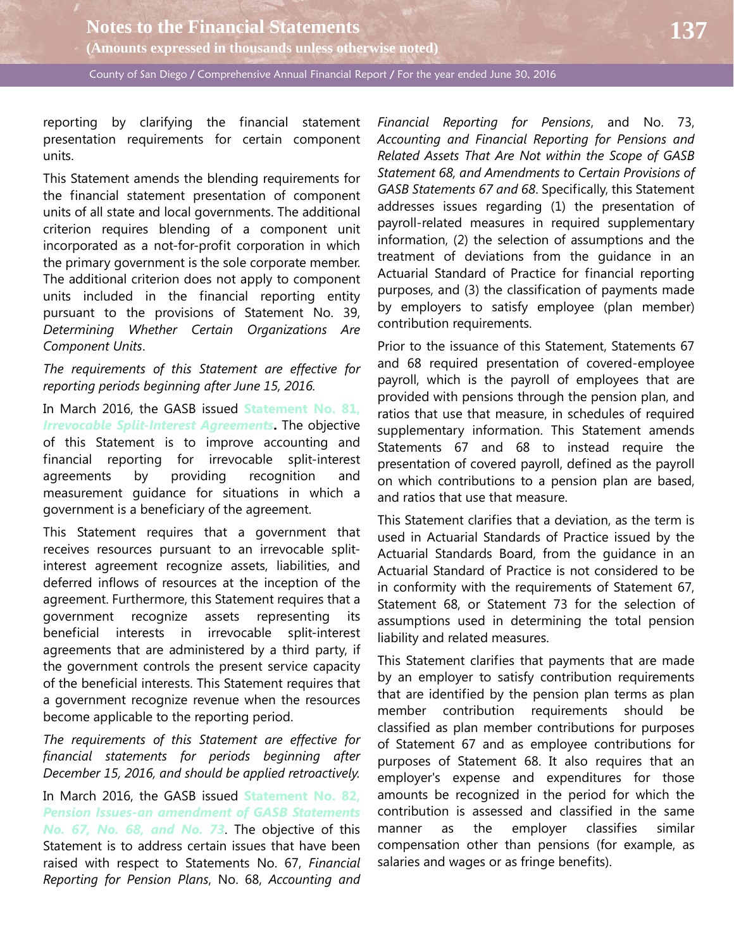County of San Diego / Comprehensive Annual Financial Report / For the year ended June 30, 2016

reporting by clarifying the financial statement presentation requirements for certain component units.

This Statement amends the blending requirements for the financial statement presentation of component units of all state and local governments. The additional criterion requires blending of a component unit incorporated as a not-for-profit corporation in which the primary government is the sole corporate member. The additional criterion does not apply to component units included in the financial reporting entity pursuant to the provisions of Statement No. 39, *Determining Whether Certain Organizations Are Component Units*.

*The requirements of this Statement are effective for reporting periods beginning after June 15, 2016.* 

In March 2016, the GASB issued **Statement No. 81,** *Irrevocable Split-Interest Agreements***.** The objective of this Statement is to improve accounting and financial reporting for irrevocable split-interest agreements by providing recognition and measurement guidance for situations in which a government is a beneficiary of the agreement.

This Statement requires that a government that receives resources pursuant to an irrevocable splitinterest agreement recognize assets, liabilities, and deferred inflows of resources at the inception of the agreement. Furthermore, this Statement requires that a government recognize assets representing its beneficial interests in irrevocable split-interest agreements that are administered by a third party, if the government controls the present service capacity of the beneficial interests. This Statement requires that a government recognize revenue when the resources become applicable to the reporting period.

*The requirements of this Statement are effective for financial statements for periods beginning after December 15, 2016, and should be applied retroactively.*

In March 2016, the GASB issued **Statement No. 82,** *Pension Issues-an amendment of GASB Statements No. 67, No. 68, and No. 73*. The objective of this Statement is to address certain issues that have been raised with respect to Statements No. 67, *Financial Reporting for Pension Plans*, No. 68, *Accounting and* *Financial Reporting for Pensions*, and No. 73, *Accounting and Financial Reporting for Pensions and Related Assets That Are Not within the Scope of GASB Statement 68, and Amendments to Certain Provisions of GASB Statements 67 and 68*. Specifically, this Statement addresses issues regarding (1) the presentation of payroll-related measures in required supplementary information, (2) the selection of assumptions and the treatment of deviations from the guidance in an Actuarial Standard of Practice for financial reporting purposes, and (3) the classification of payments made by employers to satisfy employee (plan member) contribution requirements.

Prior to the issuance of this Statement, Statements 67 and 68 required presentation of covered-employee payroll, which is the payroll of employees that are provided with pensions through the pension plan, and ratios that use that measure, in schedules of required supplementary information. This Statement amends Statements 67 and 68 to instead require the presentation of covered payroll, defined as the payroll on which contributions to a pension plan are based, and ratios that use that measure.

This Statement clarifies that a deviation, as the term is used in Actuarial Standards of Practice issued by the Actuarial Standards Board, from the guidance in an Actuarial Standard of Practice is not considered to be in conformity with the requirements of Statement 67, Statement 68, or Statement 73 for the selection of assumptions used in determining the total pension liability and related measures.

This Statement clarifies that payments that are made by an employer to satisfy contribution requirements that are identified by the pension plan terms as plan member contribution requirements should be classified as plan member contributions for purposes of Statement 67 and as employee contributions for purposes of Statement 68. It also requires that an employer's expense and expenditures for those amounts be recognized in the period for which the contribution is assessed and classified in the same manner as the employer classifies similar compensation other than pensions (for example, as salaries and wages or as fringe benefits).